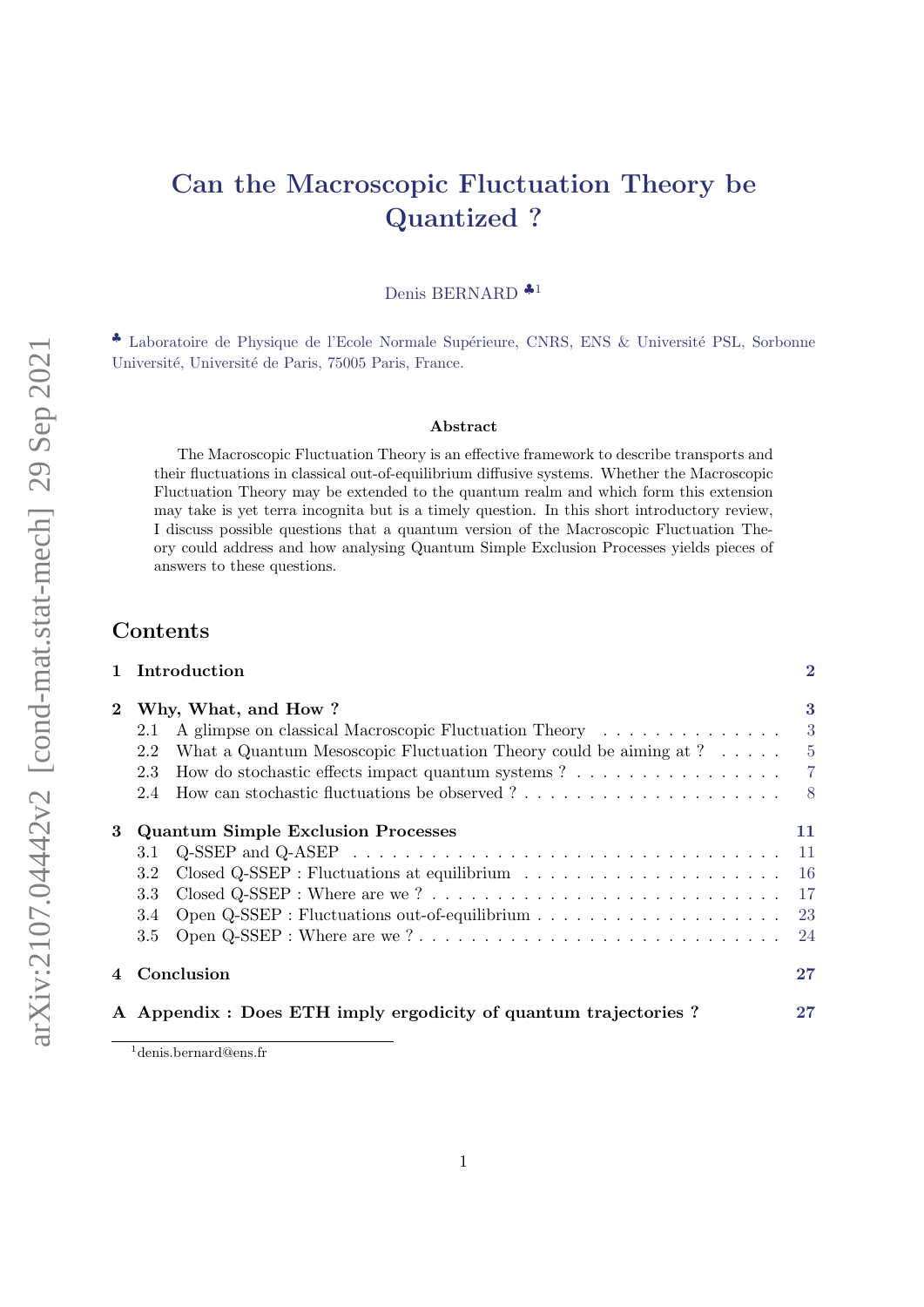# Can the Macroscopic Fluctuation Theory be Quantized ?

Denis BERNARD ♣[1](#page-0-0)

◆ Laboratoire de Physique de l'Ecole Normale Supérieure, CNRS, ENS & Université PSL, Sorbonne Université, Université de Paris, 75005 Paris, France.

#### Abstract

The Macroscopic Fluctuation Theory is an effective framework to describe transports and their fluctuations in classical out-of-equilibrium diffusive systems. Whether the Macroscopic Fluctuation Theory may be extended to the quantum realm and which form this extension may take is yet terra incognita but is a timely question. In this short introductory review, I discuss possible questions that a quantum version of the Macroscopic Fluctuation Theory could address and how analysing Quantum Simple Exclusion Processes yields pieces of answers to these questions.

# Contents

|          | 1 Introduction                                                                                                 | $\overline{2}$   |
|----------|----------------------------------------------------------------------------------------------------------------|------------------|
| $\bf{2}$ | Why, What, and How?                                                                                            | $\boldsymbol{3}$ |
|          | A glimpse on classical Macroscopic Fluctuation Theory<br>2.1                                                   | -3               |
|          | What a Quantum Mesoscopic Fluctuation Theory could be aiming at $? \dots$ .<br>2.2                             | $-5$             |
|          | How do stochastic effects impact quantum systems ?<br>2.3                                                      | $\overline{7}$   |
|          | 2.4                                                                                                            | 8 <sup>8</sup>   |
| 3        | <b>Quantum Simple Exclusion Processes</b>                                                                      | 11               |
|          | $Q$ -SSEP and $Q$ -ASEP $\dots \dots \dots \dots \dots \dots \dots \dots \dots \dots \dots \dots \dots$<br>3.1 | <sup>11</sup>    |
|          | Closed $Q$ -SSEP : Fluctuations at equilibrium $\ldots \ldots \ldots \ldots \ldots \ldots$<br>3.2              | <b>16</b>        |
|          | 3.3                                                                                                            | -17              |
|          | Open Q-SSEP : Fluctuations out-of-equilibrium $\ldots \ldots \ldots \ldots \ldots \ldots$ 23<br>3.4            |                  |
|          | Open Q-SSEP : Where are we?<br>$3.5\,$                                                                         | -24              |
| 4        | Conclusion                                                                                                     | 27               |
|          | A Appendix : Does ETH imply ergodicity of quantum trajectories?                                                | 27               |
|          |                                                                                                                |                  |

<span id="page-0-0"></span><sup>1</sup>denis.bernard@ens.fr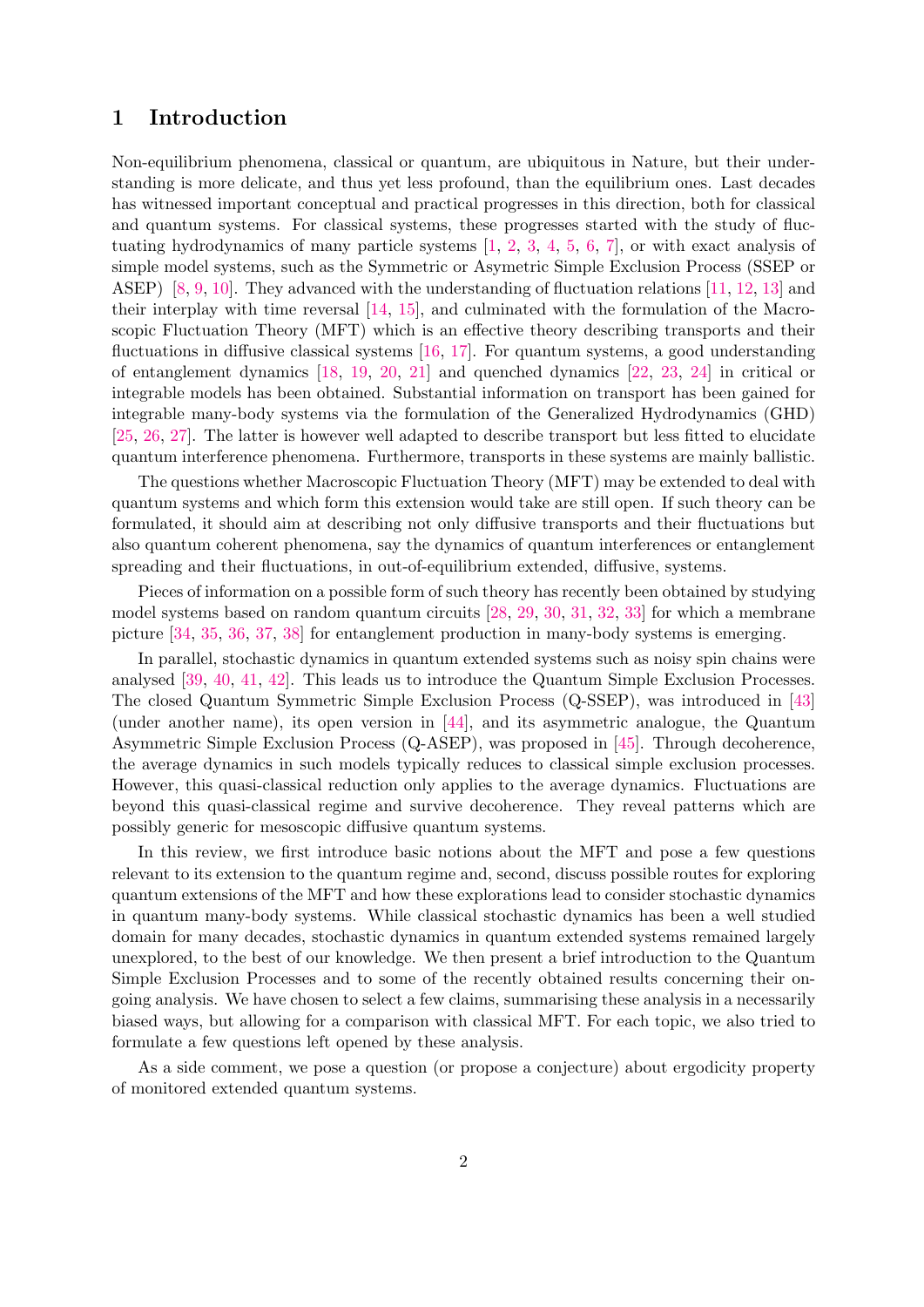# <span id="page-1-0"></span>1 Introduction

Non-equilibrium phenomena, classical or quantum, are ubiquitous in Nature, but their understanding is more delicate, and thus yet less profound, than the equilibrium ones. Last decades has witnessed important conceptual and practical progresses in this direction, both for classical and quantum systems. For classical systems, these progresses started with the study of fluctuating hydrodynamics of many particle systems [\[1,](#page-28-0) [2,](#page-28-1) [3,](#page-28-2) [4,](#page-28-3) [5,](#page-28-4) [6,](#page-28-5) [7\]](#page-28-6), or with exact analysis of simple model systems, such as the Symmetric or Asymetric Simple Exclusion Process (SSEP or ASEP) [\[8,](#page-28-7) [9,](#page-28-8) [10\]](#page-29-0). They advanced with the understanding of fluctuation relations [\[11,](#page-29-1) [12,](#page-29-2) [13\]](#page-29-3) and their interplay with time reversal [\[14,](#page-29-4) [15\]](#page-29-5), and culminated with the formulation of the Macroscopic Fluctuation Theory (MFT) which is an effective theory describing transports and their fluctuations in diffusive classical systems [\[16,](#page-29-6) [17\]](#page-29-7). For quantum systems, a good understanding of entanglement dynamics [\[18,](#page-29-8) [19,](#page-29-9) [20,](#page-29-10) [21\]](#page-29-11) and quenched dynamics [\[22,](#page-29-12) [23,](#page-29-13) [24\]](#page-29-14) in critical or integrable models has been obtained. Substantial information on transport has been gained for integrable many-body systems via the formulation of the Generalized Hydrodynamics (GHD) [\[25,](#page-29-15) [26,](#page-29-16) [27\]](#page-29-17). The latter is however well adapted to describe transport but less fitted to elucidate quantum interference phenomena. Furthermore, transports in these systems are mainly ballistic.

The questions whether Macroscopic Fluctuation Theory (MFT) may be extended to deal with quantum systems and which form this extension would take are still open. If such theory can be formulated, it should aim at describing not only diffusive transports and their fluctuations but also quantum coherent phenomena, say the dynamics of quantum interferences or entanglement spreading and their fluctuations, in out-of-equilibrium extended, diffusive, systems.

Pieces of information on a possible form of such theory has recently been obtained by studying model systems based on random quantum circuits [\[28,](#page-30-0) [29,](#page-30-1) [30,](#page-30-2) [31,](#page-30-3) [32,](#page-30-4) [33\]](#page-30-5) for which a membrane picture [\[34,](#page-30-6) [35,](#page-30-7) [36,](#page-30-8) [37,](#page-30-9) [38\]](#page-30-10) for entanglement production in many-body systems is emerging.

In parallel, stochastic dynamics in quantum extended systems such as noisy spin chains were analysed [\[39,](#page-30-11) [40,](#page-30-12) [41,](#page-30-13) [42\]](#page-30-14). This leads us to introduce the Quantum Simple Exclusion Processes. The closed Quantum Symmetric Simple Exclusion Process (Q-SSEP), was introduced in [\[43\]](#page-30-15) (under another name), its open version in [\[44\]](#page-30-16), and its asymmetric analogue, the Quantum Asymmetric Simple Exclusion Process (Q-ASEP), was proposed in [\[45\]](#page-30-17). Through decoherence, the average dynamics in such models typically reduces to classical simple exclusion processes. However, this quasi-classical reduction only applies to the average dynamics. Fluctuations are beyond this quasi-classical regime and survive decoherence. They reveal patterns which are possibly generic for mesoscopic diffusive quantum systems.

In this review, we first introduce basic notions about the MFT and pose a few questions relevant to its extension to the quantum regime and, second, discuss possible routes for exploring quantum extensions of the MFT and how these explorations lead to consider stochastic dynamics in quantum many-body systems. While classical stochastic dynamics has been a well studied domain for many decades, stochastic dynamics in quantum extended systems remained largely unexplored, to the best of our knowledge. We then present a brief introduction to the Quantum Simple Exclusion Processes and to some of the recently obtained results concerning their ongoing analysis. We have chosen to select a few claims, summarising these analysis in a necessarily biased ways, but allowing for a comparison with classical MFT. For each topic, we also tried to formulate a few questions left opened by these analysis.

As a side comment, we pose a question (or propose a conjecture) about ergodicity property of monitored extended quantum systems.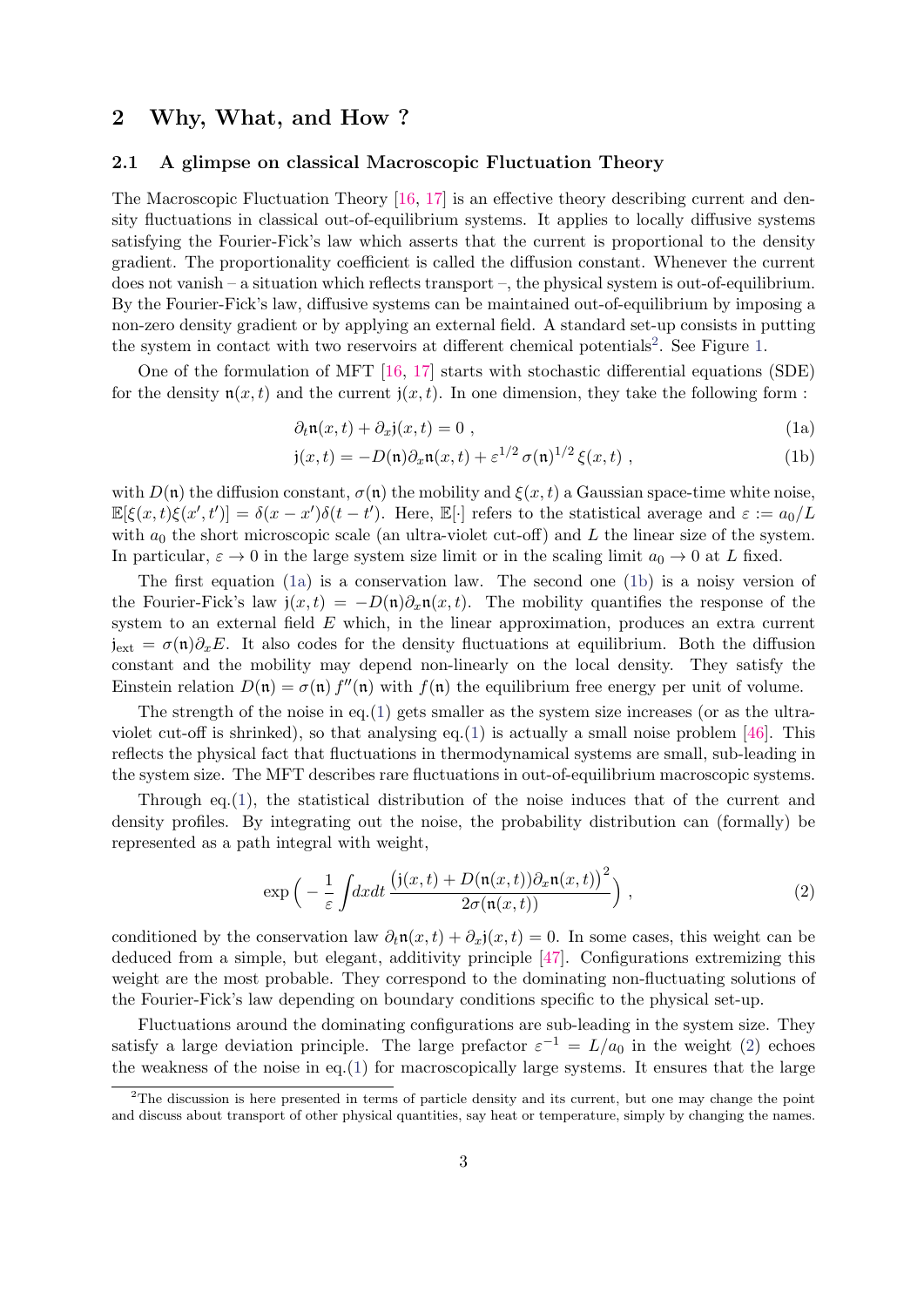# <span id="page-2-0"></span>2 Why, What, and How ?

## <span id="page-2-1"></span>2.1 A glimpse on classical Macroscopic Fluctuation Theory

The Macroscopic Fluctuation Theory [\[16,](#page-29-6) [17\]](#page-29-7) is an effective theory describing current and density fluctuations in classical out-of-equilibrium systems. It applies to locally diffusive systems satisfying the Fourier-Fick's law which asserts that the current is proportional to the density gradient. The proportionality coefficient is called the diffusion constant. Whenever the current does not vanish – a situation which reflects transport –, the physical system is out-of-equilibrium. By the Fourier-Fick's law, diffusive systems can be maintained out-of-equilibrium by imposing a non-zero density gradient or by applying an external field. A standard set-up consists in putting the system in contact with two reservoirs at different chemical potentials<sup>[2](#page-2-2)</sup>. See Figure [1.](#page-3-0)

One of the formulation of MFT [\[16,](#page-29-6) [17\]](#page-29-7) starts with stochastic differential equations (SDE) for the density  $\mathfrak{n}(x,t)$  and the current  $\mathfrak{j}(x,t)$ . In one dimension, they take the following form :

<span id="page-2-5"></span><span id="page-2-3"></span>
$$
\partial_t \mathfrak{n}(x,t) + \partial_x \mathfrak{j}(x,t) = 0 , \qquad (1a)
$$

<span id="page-2-4"></span>
$$
\mathfrak{j}(x,t) = -D(\mathfrak{n})\partial_x \mathfrak{n}(x,t) + \varepsilon^{1/2} \sigma(\mathfrak{n})^{1/2} \xi(x,t) , \qquad (1b)
$$

with  $D(\mathfrak{n})$  the diffusion constant,  $\sigma(\mathfrak{n})$  the mobility and  $\xi(x, t)$  a Gaussian space-time white noise,  $\mathbb{E}[\xi(x,t)\xi(x',t')] = \delta(x-x')\delta(t-t')$ . Here,  $\mathbb{E}[\cdot]$  refers to the statistical average and  $\varepsilon := a_0/L$ with  $a_0$  the short microscopic scale (an ultra-violet cut-off) and L the linear size of the system. In particular,  $\varepsilon \to 0$  in the large system size limit or in the scaling limit  $a_0 \to 0$  at L fixed.

The first equation [\(1a\)](#page-2-3) is a conservation law. The second one [\(1b\)](#page-2-4) is a noisy version of the Fourier-Fick's law  $j(x, t) = -D(n)\partial_x n(x, t)$ . The mobility quantifies the response of the system to an external field E which, in the linear approximation, produces an extra current  $j_{ext} = \sigma(\mathfrak{n})\partial_x E$ . It also codes for the density fluctuations at equilibrium. Both the diffusion constant and the mobility may depend non-linearly on the local density. They satisfy the Einstein relation  $D(\mathfrak{n}) = \sigma(\mathfrak{n}) f''(\mathfrak{n})$  with  $f(\mathfrak{n})$  the equilibrium free energy per unit of volume.

The strength of the noise in eq.[\(1\)](#page-2-5) gets smaller as the system size increases (or as the ultra-violet cut-off is shrinked), so that analysing eq.[\(1\)](#page-2-5) is actually a small noise problem [\[46\]](#page-31-0). This reflects the physical fact that fluctuations in thermodynamical systems are small, sub-leading in the system size. The MFT describes rare fluctuations in out-of-equilibrium macroscopic systems.

Through eq.  $(1)$ , the statistical distribution of the noise induces that of the current and density profiles. By integrating out the noise, the probability distribution can (formally) be represented as a path integral with weight,

<span id="page-2-6"></span>
$$
\exp\left(-\frac{1}{\varepsilon}\int dxdt\,\frac{\left(\mathrm{j}(x,t)+D(\mathfrak{n}(x,t))\partial_x\mathfrak{n}(x,t)\right)^2}{2\sigma(\mathfrak{n}(x,t))}\right)\,,\tag{2}
$$

conditioned by the conservation law  $\partial_t \mathfrak{n}(x,t) + \partial_x \mathfrak{j}(x,t) = 0$ . In some cases, this weight can be deduced from a simple, but elegant, additivity principle [\[47\]](#page-31-1). Configurations extremizing this weight are the most probable. They correspond to the dominating non-fluctuating solutions of the Fourier-Fick's law depending on boundary conditions specific to the physical set-up.

Fluctuations around the dominating configurations are sub-leading in the system size. They satisfy a large deviation principle. The large prefactor  $\varepsilon^{-1} = L/a_0$  in the weight [\(2\)](#page-2-6) echoes the weakness of the noise in eq.[\(1\)](#page-2-5) for macroscopically large systems. It ensures that the large

<span id="page-2-2"></span><sup>&</sup>lt;sup>2</sup>The discussion is here presented in terms of particle density and its current, but one may change the point and discuss about transport of other physical quantities, say heat or temperature, simply by changing the names.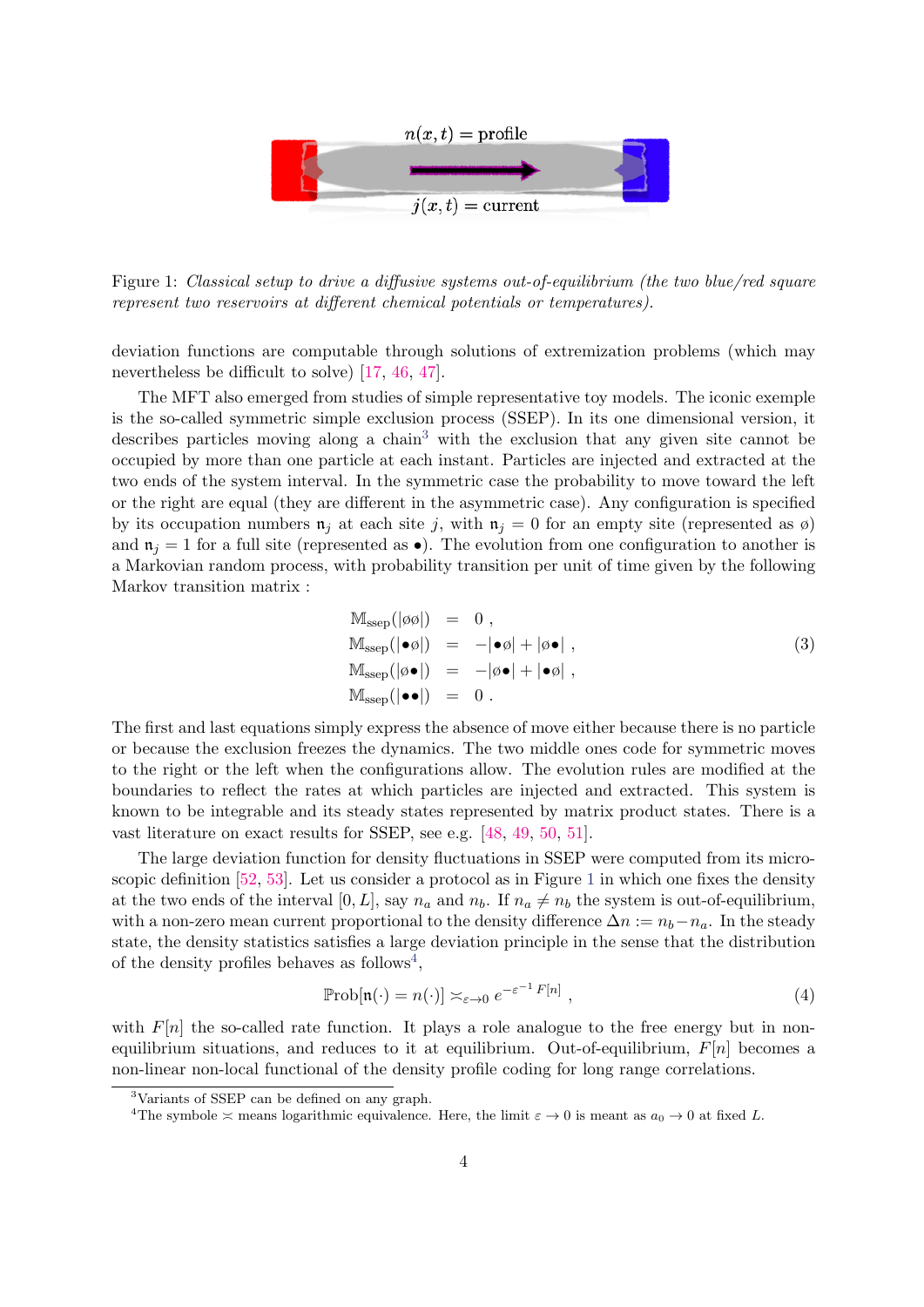

<span id="page-3-0"></span>Figure 1: Classical setup to drive a diffusive systems out-of-equilibrium (the two blue/red square represent two reservoirs at different chemical potentials or temperatures).

deviation functions are computable through solutions of extremization problems (which may nevertheless be difficult to solve) [\[17,](#page-29-7) [46,](#page-31-0) [47\]](#page-31-1).

The MFT also emerged from studies of simple representative toy models. The iconic exemple is the so-called symmetric simple exclusion process (SSEP). In its one dimensional version, it describes particles moving along a chain<sup>[3](#page-3-1)</sup> with the exclusion that any given site cannot be occupied by more than one particle at each instant. Particles are injected and extracted at the two ends of the system interval. In the symmetric case the probability to move toward the left or the right are equal (they are different in the asymmetric case). Any configuration is specified by its occupation numbers  $\mathfrak{n}_i$  at each site j, with  $\mathfrak{n}_i = 0$  for an empty site (represented as  $\emptyset$ ) and  $\mathfrak{n}_j = 1$  for a full site (represented as  $\bullet$ ). The evolution from one configuration to another is a Markovian random process, with probability transition per unit of time given by the following Markov transition matrix :

<span id="page-3-4"></span>
$$
Mssep(|\phi\phi|) = 0,Mssep(|\bullet\phi|) = -|\bullet\phi| + |\phi\bullet|,
$$
  
\n
$$
Mssep(|\phi\bullet|) = -|\phi\bullet| + |\bullet\phi|,
$$
  
\n
$$
Mssep(|\bullet\bullet|) = 0.
$$
\n(3)

The first and last equations simply express the absence of move either because there is no particle or because the exclusion freezes the dynamics. The two middle ones code for symmetric moves to the right or the left when the configurations allow. The evolution rules are modified at the boundaries to reflect the rates at which particles are injected and extracted. This system is known to be integrable and its steady states represented by matrix product states. There is a vast literature on exact results for SSEP, see e.g. [\[48,](#page-31-2) [49,](#page-31-3) [50,](#page-31-4) [51\]](#page-31-5).

The large deviation function for density fluctuations in SSEP were computed from its microscopic definition [\[52,](#page-31-6) [53\]](#page-31-7). Let us consider a protocol as in Figure [1](#page-3-0) in which one fixes the density at the two ends of the interval [0, L], say  $n_a$  and  $n_b$ . If  $n_a \neq n_b$  the system is out-of-equilibrium, with a non-zero mean current proportional to the density difference  $\Delta n := n_b - n_a$ . In the steady state, the density statistics satisfies a large deviation principle in the sense that the distribution of the density profiles behaves as follows<sup>[4](#page-3-2)</sup>,

<span id="page-3-3"></span>
$$
\mathbb{P}\mathrm{rob}[\mathfrak{n}(\cdot) = n(\cdot)] \asymp_{\varepsilon \to 0} e^{-\varepsilon^{-1} F[n]},
$$
\n(4)

with  $F[n]$  the so-called rate function. It plays a role analogue to the free energy but in nonequilibrium situations, and reduces to it at equilibrium. Out-of-equilibrium,  $F[n]$  becomes a non-linear non-local functional of the density profile coding for long range correlations.

<span id="page-3-1"></span><sup>3</sup>Variants of SSEP can be defined on any graph.

<span id="page-3-2"></span><sup>&</sup>lt;sup>4</sup>The symbole  $\approx$  means logarithmic equivalence. Here, the limit  $\varepsilon \to 0$  is meant as  $a_0 \to 0$  at fixed L.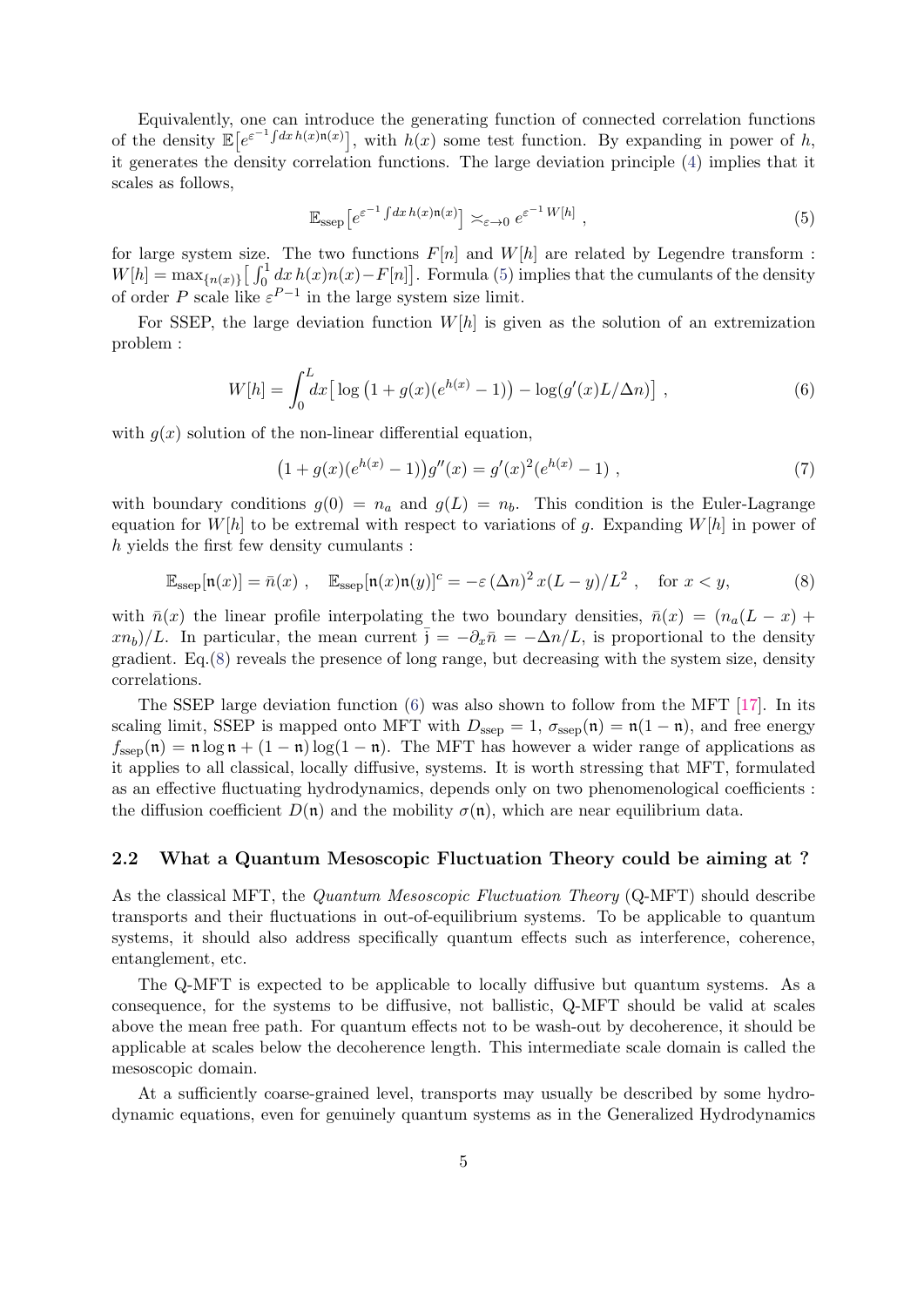Equivalently, one can introduce the generating function of connected correlation functions of the density  $\mathbb{E}[e^{\varepsilon^{-1}\int dx h(x)\mathfrak{n}(x)}]$ , with  $h(x)$  some test function. By expanding in power of h, it generates the density correlation functions. The large deviation principle [\(4\)](#page-3-3) implies that it scales as follows,

<span id="page-4-1"></span>
$$
\mathbb{E}_{\text{ssep}} \left[ e^{\varepsilon^{-1} \int dx \, h(x) \mathfrak{n}(x)} \right] \asymp_{\varepsilon \to 0} e^{\varepsilon^{-1} \, W[h]}, \tag{5}
$$

for large system size. The two functions  $F[n]$  and  $W[h]$  are related by Legendre transform :  $W[h] = \max_{\{n(x)\}} \left[ \int_0^1 dx \, h(x) n(x) - F[n] \right]$ . Formula [\(5\)](#page-4-1) implies that the cumulants of the density of order P scale like  $\varepsilon^{P-1}$  in the large system size limit.

For SSEP, the large deviation function  $W[h]$  is given as the solution of an extremization problem :

<span id="page-4-3"></span>
$$
W[h] = \int_0^L dx \left[ \log \left( 1 + g(x)(e^{h(x)} - 1) \right) - \log(g'(x)L/\Delta n) \right],
$$
 (6)

with  $g(x)$  solution of the non-linear differential equation,

$$
(1 + g(x)(e^{h(x)} - 1))g''(x) = g'(x)^2(e^{h(x)} - 1) ,
$$
\n(7)

with boundary conditions  $g(0) = n_a$  and  $g(L) = n_b$ . This condition is the Euler-Lagrange equation for  $W[h]$  to be extremal with respect to variations of g. Expanding  $W[h]$  in power of h yields the first few density cumulants :

<span id="page-4-2"></span>
$$
\mathbb{E}_{\text{ssep}}[\mathfrak{n}(x)] = \bar{n}(x) , \quad \mathbb{E}_{\text{ssep}}[\mathfrak{n}(x)\mathfrak{n}(y)]^c = -\varepsilon (\Delta n)^2 x (L - y) / L^2 , \quad \text{for } x < y,
$$

with  $\bar{n}(x)$  the linear profile interpolating the two boundary densities,  $\bar{n}(x) = (n_a(L - x) +$  $(xn_b)/L$ . In particular, the mean current  $\bar{j} = -\partial_x \bar{n} = -\Delta n/L$ , is proportional to the density gradient.  $Eq.(8)$  $Eq.(8)$  reveals the presence of long range, but decreasing with the system size, density correlations.

The SSEP large deviation function  $(6)$  was also shown to follow from the MFT [\[17\]](#page-29-7). In its scaling limit, SSEP is mapped onto MFT with  $D_{\text{ssep}} = 1$ ,  $\sigma_{\text{ssep}}(\mathfrak{n}) = \mathfrak{n}(1 - \mathfrak{n})$ , and free energy  $f_{\text{ssep}}(\mathfrak{n}) = \mathfrak{n} \log \mathfrak{n} + (1 - \mathfrak{n}) \log(1 - \mathfrak{n})$ . The MFT has however a wider range of applications as it applies to all classical, locally diffusive, systems. It is worth stressing that MFT, formulated as an effective fluctuating hydrodynamics, depends only on two phenomenological coefficients : the diffusion coefficient  $D(\mathfrak{n})$  and the mobility  $\sigma(\mathfrak{n})$ , which are near equilibrium data.

#### <span id="page-4-0"></span>2.2 What a Quantum Mesoscopic Fluctuation Theory could be aiming at ?

As the classical MFT, the *Quantum Mesoscopic Fluctuation Theory* (Q-MFT) should describe transports and their fluctuations in out-of-equilibrium systems. To be applicable to quantum systems, it should also address specifically quantum effects such as interference, coherence, entanglement, etc.

The Q-MFT is expected to be applicable to locally diffusive but quantum systems. As a consequence, for the systems to be diffusive, not ballistic, Q-MFT should be valid at scales above the mean free path. For quantum effects not to be wash-out by decoherence, it should be applicable at scales below the decoherence length. This intermediate scale domain is called the mesoscopic domain.

At a sufficiently coarse-grained level, transports may usually be described by some hydrodynamic equations, even for genuinely quantum systems as in the Generalized Hydrodynamics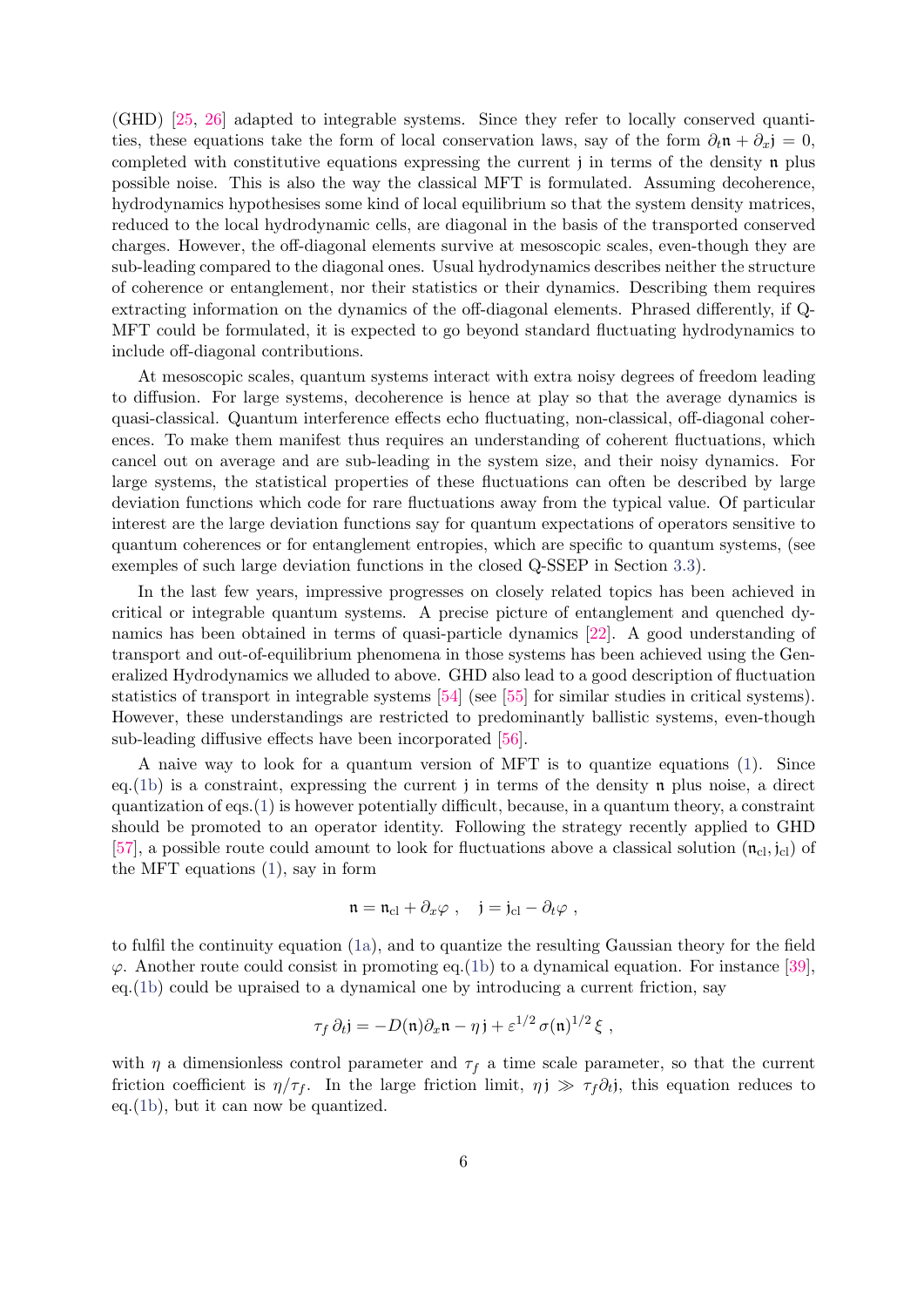(GHD) [\[25,](#page-29-15) [26\]](#page-29-16) adapted to integrable systems. Since they refer to locally conserved quantities, these equations take the form of local conservation laws, say of the form  $\partial_t \mathbf{n} + \partial_x \mathbf{j} = 0$ , completed with constitutive equations expressing the current j in terms of the density  $\mathfrak n$  plus possible noise. This is also the way the classical MFT is formulated. Assuming decoherence, hydrodynamics hypothesises some kind of local equilibrium so that the system density matrices, reduced to the local hydrodynamic cells, are diagonal in the basis of the transported conserved charges. However, the off-diagonal elements survive at mesoscopic scales, even-though they are sub-leading compared to the diagonal ones. Usual hydrodynamics describes neither the structure of coherence or entanglement, nor their statistics or their dynamics. Describing them requires extracting information on the dynamics of the off-diagonal elements. Phrased differently, if Q-MFT could be formulated, it is expected to go beyond standard fluctuating hydrodynamics to include off-diagonal contributions.

At mesoscopic scales, quantum systems interact with extra noisy degrees of freedom leading to diffusion. For large systems, decoherence is hence at play so that the average dynamics is quasi-classical. Quantum interference effects echo fluctuating, non-classical, off-diagonal coherences. To make them manifest thus requires an understanding of coherent fluctuations, which cancel out on average and are sub-leading in the system size, and their noisy dynamics. For large systems, the statistical properties of these fluctuations can often be described by large deviation functions which code for rare fluctuations away from the typical value. Of particular interest are the large deviation functions say for quantum expectations of operators sensitive to quantum coherences or for entanglement entropies, which are specific to quantum systems, (see exemples of such large deviation functions in the closed Q-SSEP in Section [3.3\)](#page-16-0).

In the last few years, impressive progresses on closely related topics has been achieved in critical or integrable quantum systems. A precise picture of entanglement and quenched dynamics has been obtained in terms of quasi-particle dynamics [\[22\]](#page-29-12). A good understanding of transport and out-of-equilibrium phenomena in those systems has been achieved using the Generalized Hydrodynamics we alluded to above. GHD also lead to a good description of fluctuation statistics of transport in integrable systems [\[54\]](#page-31-8) (see [\[55\]](#page-31-9) for similar studies in critical systems). However, these understandings are restricted to predominantly ballistic systems, even-though sub-leading diffusive effects have been incorporated [\[56\]](#page-31-10).

A naive way to look for a quantum version of MFT is to quantize equations [\(1\)](#page-2-5). Since eq. [\(1b\)](#page-2-4) is a constraint, expressing the current j in terms of the density  $\mathfrak n$  plus noise, a direct quantization of eqs. $(1)$  is however potentially difficult, because, in a quantum theory, a constraint should be promoted to an operator identity. Following the strategy recently applied to GHD [\[57\]](#page-31-11), a possible route could amount to look for fluctuations above a classical solution  $(\mathbf{n}_{\rm cl}, \mathbf{j}_{\rm cl})$  of the MFT equations [\(1\)](#page-2-5), say in form

$$
\mathfrak{n}=\mathfrak{n}_{\mathrm{cl}}+\partial_x\varphi\ ,\quad \mathfrak{j}=\mathfrak{j}_{\mathrm{cl}}-\partial_t\varphi\ ,
$$

to fulfil the continuity equation [\(1a\)](#page-2-3), and to quantize the resulting Gaussian theory for the field  $\varphi$ . Another route could consist in promoting eq.[\(1b\)](#page-2-4) to a dynamical equation. For instance [\[39\]](#page-30-11), eq.[\(1b\)](#page-2-4) could be upraised to a dynamical one by introducing a current friction, say

$$
\tau_f \, \partial_t j = -D(\mathfrak{n}) \partial_x \mathfrak{n} - \eta \, j + \varepsilon^{1/2} \, \sigma(\mathfrak{n})^{1/2} \, \xi \ ,
$$

with  $\eta$  a dimensionless control parameter and  $\tau_f$  a time scale parameter, so that the current friction coefficient is  $\eta/\tau_f$ . In the large friction limit,  $\eta \neq \tau_f \partial_t$ , this equation reduces to eq.[\(1b\)](#page-2-4), but it can now be quantized.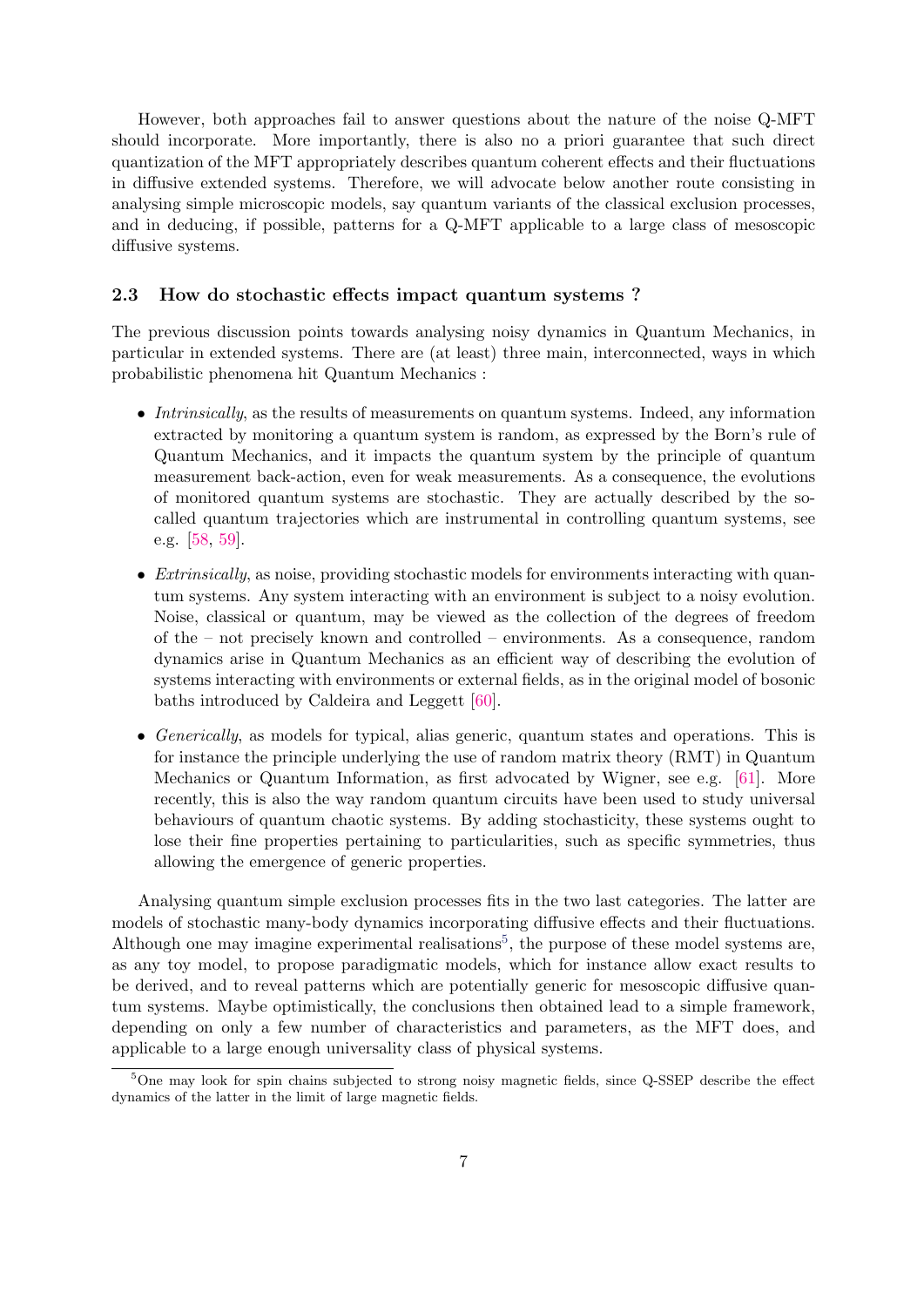However, both approaches fail to answer questions about the nature of the noise Q-MFT should incorporate. More importantly, there is also no a priori guarantee that such direct quantization of the MFT appropriately describes quantum coherent effects and their fluctuations in diffusive extended systems. Therefore, we will advocate below another route consisting in analysing simple microscopic models, say quantum variants of the classical exclusion processes, and in deducing, if possible, patterns for a Q-MFT applicable to a large class of mesoscopic diffusive systems.

## <span id="page-6-0"></span>2.3 How do stochastic effects impact quantum systems ?

The previous discussion points towards analysing noisy dynamics in Quantum Mechanics, in particular in extended systems. There are (at least) three main, interconnected, ways in which probabilistic phenomena hit Quantum Mechanics :

- Intrinsically, as the results of measurements on quantum systems. Indeed, any information extracted by monitoring a quantum system is random, as expressed by the Born's rule of Quantum Mechanics, and it impacts the quantum system by the principle of quantum measurement back-action, even for weak measurements. As a consequence, the evolutions of monitored quantum systems are stochastic. They are actually described by the socalled quantum trajectories which are instrumental in controlling quantum systems, see e.g. [\[58,](#page-31-12) [59\]](#page-31-13).
- Extrinsically, as noise, providing stochastic models for environments interacting with quantum systems. Any system interacting with an environment is subject to a noisy evolution. Noise, classical or quantum, may be viewed as the collection of the degrees of freedom of the – not precisely known and controlled – environments. As a consequence, random dynamics arise in Quantum Mechanics as an efficient way of describing the evolution of systems interacting with environments or external fields, as in the original model of bosonic baths introduced by Caldeira and Leggett [\[60\]](#page-31-14).
- Generically, as models for typical, alias generic, quantum states and operations. This is for instance the principle underlying the use of random matrix theory (RMT) in Quantum Mechanics or Quantum Information, as first advocated by Wigner, see e.g. [\[61\]](#page-31-15). More recently, this is also the way random quantum circuits have been used to study universal behaviours of quantum chaotic systems. By adding stochasticity, these systems ought to lose their fine properties pertaining to particularities, such as specific symmetries, thus allowing the emergence of generic properties.

Analysing quantum simple exclusion processes fits in the two last categories. The latter are models of stochastic many-body dynamics incorporating diffusive effects and their fluctuations. Although one may imagine experimental realisations<sup>[5](#page-6-1)</sup>, the purpose of these model systems are, as any toy model, to propose paradigmatic models, which for instance allow exact results to be derived, and to reveal patterns which are potentially generic for mesoscopic diffusive quantum systems. Maybe optimistically, the conclusions then obtained lead to a simple framework, depending on only a few number of characteristics and parameters, as the MFT does, and applicable to a large enough universality class of physical systems.

<span id="page-6-1"></span><sup>5</sup>One may look for spin chains subjected to strong noisy magnetic fields, since Q-SSEP describe the effect dynamics of the latter in the limit of large magnetic fields.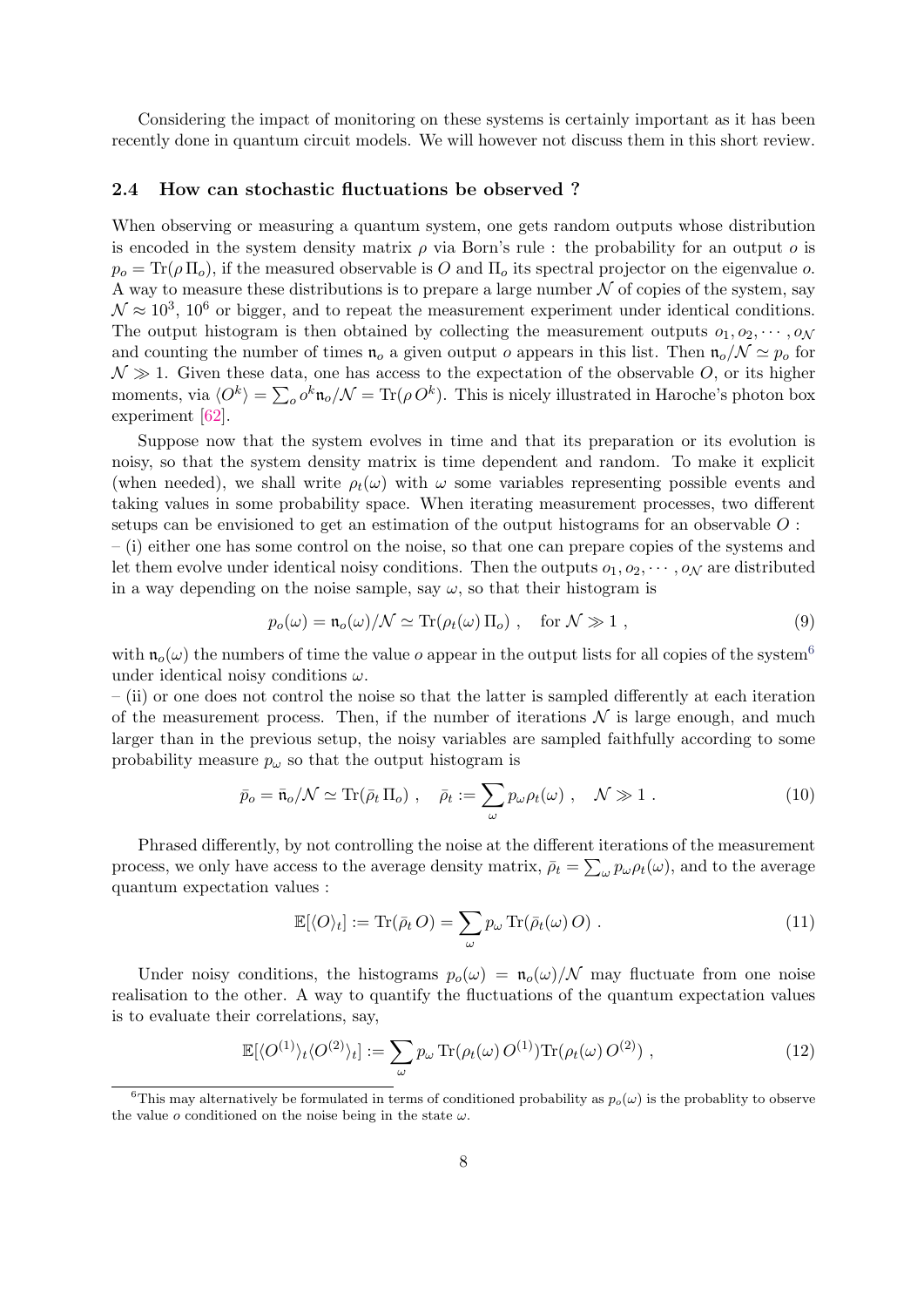Considering the impact of monitoring on these systems is certainly important as it has been recently done in quantum circuit models. We will however not discuss them in this short review.

#### <span id="page-7-0"></span>2.4 How can stochastic fluctuations be observed ?

When observing or measuring a quantum system, one gets random outputs whose distribution is encoded in the system density matrix  $\rho$  via Born's rule : the probability for an output  $\rho$  is  $p_o = \text{Tr}(\rho \Pi_o)$ , if the measured observable is O and  $\Pi_o$  its spectral projector on the eigenvalue o. A way to measure these distributions is to prepare a large number  $N$  of copies of the system, say  $\mathcal{N} \approx 10^3$ ,  $10^6$  or bigger, and to repeat the measurement experiment under identical conditions. The output histogram is then obtained by collecting the measurement outputs  $o_1, o_2, \cdots, o_N$ and counting the number of times  $\mathfrak{n}_o$  a given output o appears in this list. Then  $\mathfrak{n}_o/N \simeq p_o$  for  $\mathcal{N} \gg 1$ . Given these data, one has access to the expectation of the observable O, or its higher moments, via  $\langle O^k \rangle = \sum_o o^k \mathfrak{n}_o / \mathcal{N} = \text{Tr}(\rho \, O^k)$ . This is nicely illustrated in Haroche's photon box experiment [\[62\]](#page-31-16).

Suppose now that the system evolves in time and that its preparation or its evolution is noisy, so that the system density matrix is time dependent and random. To make it explicit (when needed), we shall write  $\rho_t(\omega)$  with  $\omega$  some variables representing possible events and taking values in some probability space. When iterating measurement processes, two different setups can be envisioned to get an estimation of the output histograms for an observable O :

– (i) either one has some control on the noise, so that one can prepare copies of the systems and let them evolve under identical noisy conditions. Then the outputs  $o_1, o_2, \cdots, o_N$  are distributed in a way depending on the noise sample, say  $\omega$ , so that their histogram is

$$
p_o(\omega) = \mathfrak{n}_o(\omega) / \mathcal{N} \simeq \text{Tr}(\rho_t(\omega) \, \Pi_o) \;, \quad \text{for } \mathcal{N} \gg 1 \;, \tag{9}
$$

with  $\mathfrak{n}_o(\omega)$  the numbers of time the value o appear in the output lists for all copies of the system<sup>[6](#page-7-1)</sup> under identical noisy conditions  $\omega$ .

 $-$  (ii) or one does not control the noise so that the latter is sampled differently at each iteration of the measurement process. Then, if the number of iterations  $\mathcal N$  is large enough, and much larger than in the previous setup, the noisy variables are sampled faithfully according to some probability measure  $p_{\omega}$  so that the output histogram is

$$
\bar{p}_o = \bar{\mathfrak{n}}_o / \mathcal{N} \simeq \text{Tr}(\bar{\rho}_t \, \Pi_o) \;, \quad \bar{\rho}_t := \sum_{\omega} p_{\omega} \rho_t(\omega) \;, \quad \mathcal{N} \gg 1 \;.
$$

Phrased differently, by not controlling the noise at the different iterations of the measurement process, we only have access to the average density matrix,  $\bar{\rho}_t = \sum_{\omega} p_{\omega} \rho_t(\omega)$ , and to the average quantum expectation values :

$$
\mathbb{E}[\langle O \rangle_t] := \text{Tr}(\bar{\rho}_t O) = \sum_{\omega} p_{\omega} \text{Tr}(\bar{\rho}_t(\omega) O) . \qquad (11)
$$

Under noisy conditions, the histograms  $p_o(\omega) = \frac{\mathfrak{n}_o(\omega)}{N}$  may fluctuate from one noise realisation to the other. A way to quantify the fluctuations of the quantum expectation values is to evaluate their correlations, say,

<span id="page-7-2"></span>
$$
\mathbb{E}[\langle O^{(1)}\rangle_t \langle O^{(2)}\rangle_t] := \sum_{\omega} p_{\omega} \operatorname{Tr}(\rho_t(\omega) O^{(1)}) \operatorname{Tr}(\rho_t(\omega) O^{(2)}) , \qquad (12)
$$

<span id="page-7-1"></span><sup>&</sup>lt;sup>6</sup>This may alternatively be formulated in terms of conditioned probability as  $p_o(\omega)$  is the probability to observe the value o conditioned on the noise being in the state  $\omega$ .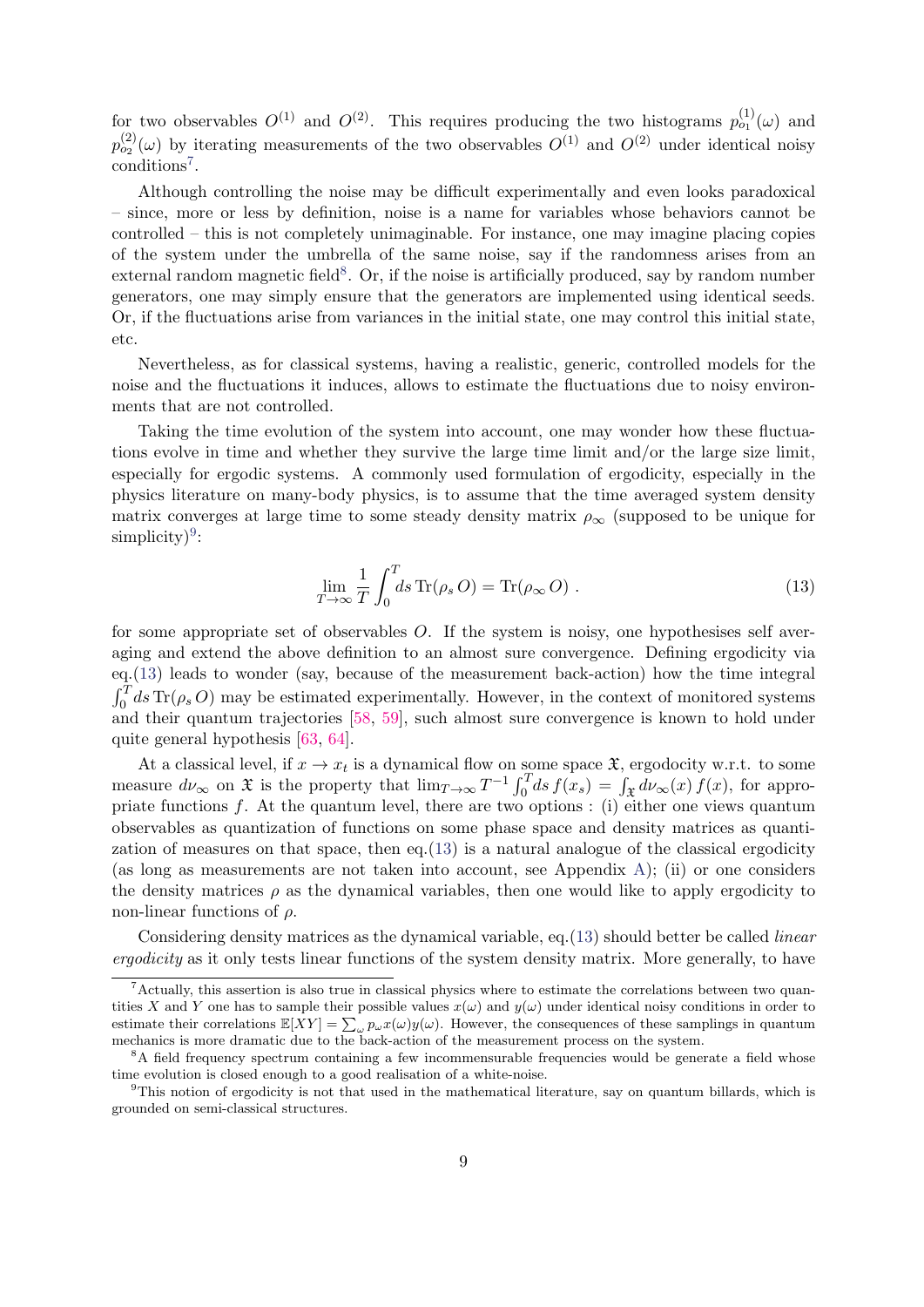for two observables  $O^{(1)}$  and  $O^{(2)}$ . This requires producing the two histograms  $p_{o_1}^{(1)}(\omega)$  and  $p_{o_2}^{(2)}(\omega)$  by iterating measurements of the two observables  $O^{(1)}$  and  $O^{(2)}$  under identical noisy conditions<sup>[7](#page-8-0)</sup>.

Although controlling the noise may be difficult experimentally and even looks paradoxical – since, more or less by definition, noise is a name for variables whose behaviors cannot be controlled – this is not completely unimaginable. For instance, one may imagine placing copies of the system under the umbrella of the same noise, say if the randomness arises from an external random magnetic field<sup>[8](#page-8-1)</sup>. Or, if the noise is artificially produced, say by random number generators, one may simply ensure that the generators are implemented using identical seeds. Or, if the fluctuations arise from variances in the initial state, one may control this initial state, etc.

Nevertheless, as for classical systems, having a realistic, generic, controlled models for the noise and the fluctuations it induces, allows to estimate the fluctuations due to noisy environments that are not controlled.

Taking the time evolution of the system into account, one may wonder how these fluctuations evolve in time and whether they survive the large time limit and/or the large size limit, especially for ergodic systems. A commonly used formulation of ergodicity, especially in the physics literature on many-body physics, is to assume that the time averaged system density matrix converges at large time to some steady density matrix  $\rho_{\infty}$  (supposed to be unique for  $simplify)^{9}$  $simplify)^{9}$  $simplify)^{9}$ :

<span id="page-8-3"></span>
$$
\lim_{T \to \infty} \frac{1}{T} \int_0^T ds \operatorname{Tr}(\rho_s O) = \operatorname{Tr}(\rho_\infty O) . \tag{13}
$$

for some appropriate set of observables O. If the system is noisy, one hypothesises self averaging and extend the above definition to an almost sure convergence. Defining ergodicity via eq.[\(13\)](#page-8-3) leads to wonder (say, because of the measurement back-action) how the time integral  $\int_0^T ds \, \text{Tr}(\rho_s O)$  may be estimated experimentally. However, in the context of monitored systems and their quantum trajectories [\[58,](#page-31-12) [59\]](#page-31-13), such almost sure convergence is known to hold under quite general hypothesis [\[63,](#page-32-0) [64\]](#page-32-1).

At a classical level, if  $x \to x_t$  is a dynamical flow on some space  $\mathfrak{X}$ , ergodocity w.r.t. to some measure  $d\nu_{\infty}$  on  $\mathfrak X$  is the property that  $\lim_{T\to\infty} T^{-1} \int_0^T ds f(x_s) = \int_{\mathfrak X} d\nu_{\infty}(x) f(x)$ , for appropriate functions f. At the quantum level, there are two options : (i) either one views quantum observables as quantization of functions on some phase space and density matrices as quantization of measures on that space, then eq. $(13)$  is a natural analogue of the classical ergodicity (as long as measurements are not taken into account, see Appendix [A\)](#page-26-1); (ii) or one considers the density matrices  $\rho$  as the dynamical variables, then one would like to apply ergodicity to non-linear functions of  $\rho$ .

Considering density matrices as the dynamical variable, eq. [\(13\)](#page-8-3) should better be called *linear* ergodicity as it only tests linear functions of the system density matrix. More generally, to have

<span id="page-8-0"></span> $^7$ Actually, this assertion is also true in classical physics where to estimate the correlations between two quantities X and Y one has to sample their possible values  $x(\omega)$  and  $y(\omega)$  under identical noisy conditions in order to estimate their correlations  $\mathbb{E}[XY] = \sum_{\omega} p_{\omega} x(\omega) y(\omega)$ . However, the consequences of these samplings in quantum mechanics is more dramatic due to the back-action of the measurement process on the system.

<span id="page-8-1"></span><sup>&</sup>lt;sup>8</sup>A field frequency spectrum containing a few incommensurable frequencies would be generate a field whose time evolution is closed enough to a good realisation of a white-noise.

<span id="page-8-2"></span><sup>9</sup>This notion of ergodicity is not that used in the mathematical literature, say on quantum billards, which is grounded on semi-classical structures.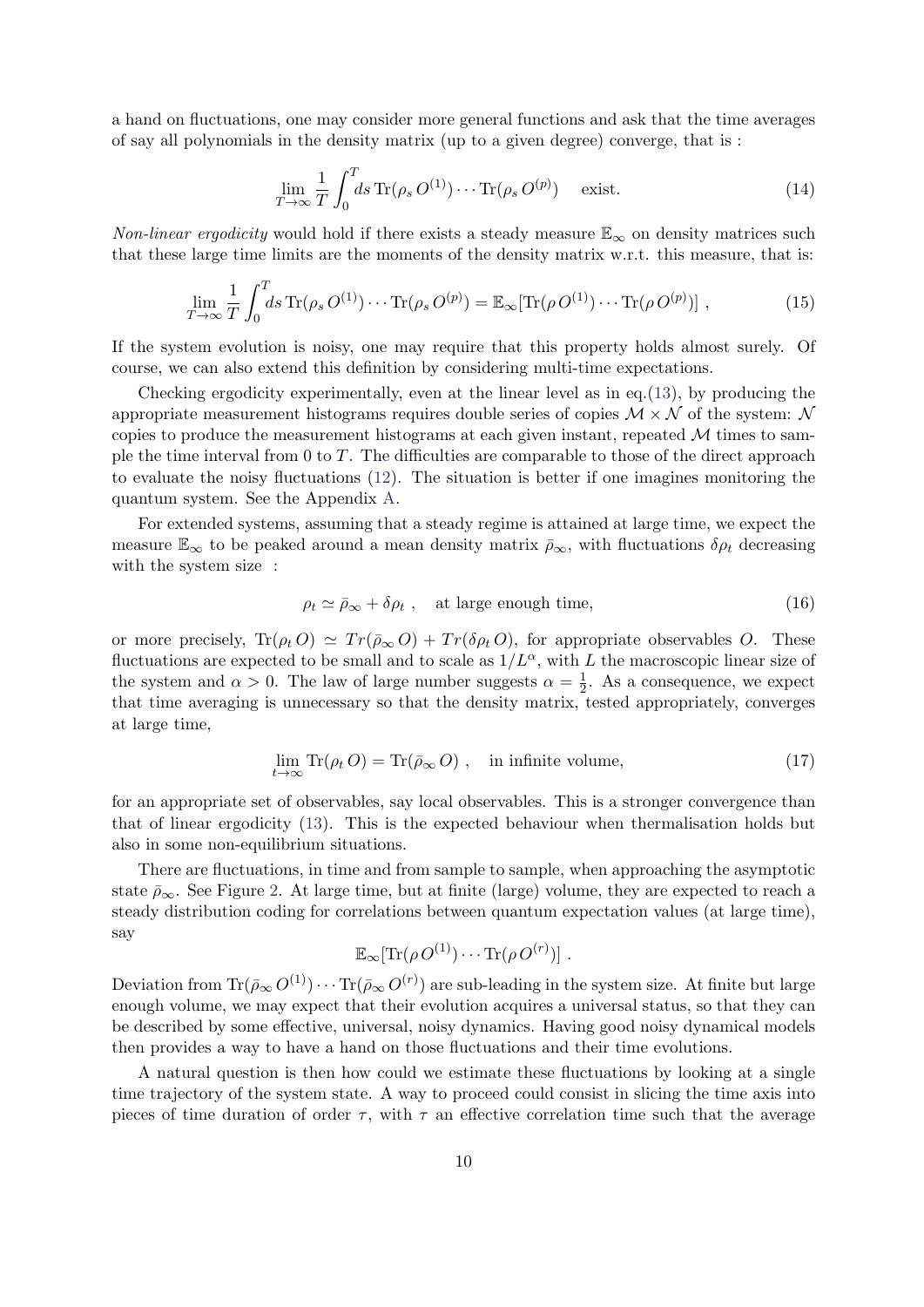a hand on fluctuations, one may consider more general functions and ask that the time averages of say all polynomials in the density matrix (up to a given degree) converge, that is :

$$
\lim_{T \to \infty} \frac{1}{T} \int_0^T ds \operatorname{Tr}(\rho_s O^{(1)}) \cdots \operatorname{Tr}(\rho_s O^{(p)}) \quad \text{exist.}
$$
\n(14)

Non-linear ergodicity would hold if there exists a steady measure  $\mathbb{E}_{\infty}$  on density matrices such that these large time limits are the moments of the density matrix w.r.t. this measure, that is:

<span id="page-9-2"></span>
$$
\lim_{T \to \infty} \frac{1}{T} \int_0^T ds \operatorname{Tr}(\rho_s O^{(1)}) \cdots \operatorname{Tr}(\rho_s O^{(p)}) = \mathbb{E}_{\infty}[\operatorname{Tr}(\rho O^{(1)}) \cdots \operatorname{Tr}(\rho O^{(p)})], \qquad (15)
$$

If the system evolution is noisy, one may require that this property holds almost surely. Of course, we can also extend this definition by considering multi-time expectations.

Checking ergodicity experimentally, even at the linear level as in eq.[\(13\)](#page-8-3), by producing the appropriate measurement histograms requires double series of copies  $\mathcal{M} \times \mathcal{N}$  of the system:  $\mathcal{N}$ copies to produce the measurement histograms at each given instant, repeated  $\mathcal M$  times to sample the time interval from 0 to  $T$ . The difficulties are comparable to those of the direct approach to evaluate the noisy fluctuations [\(12\)](#page-7-2). The situation is better if one imagines monitoring the quantum system. See the Appendix [A.](#page-26-1)

For extended systems, assuming that a steady regime is attained at large time, we expect the measure  $\mathbb{E}_{\infty}$  to be peaked around a mean density matrix  $\bar{\rho}_{\infty}$ , with fluctuations  $\delta \rho_t$  decreasing with the system size :

<span id="page-9-1"></span>
$$
\rho_t \simeq \bar{\rho}_{\infty} + \delta \rho_t , \quad \text{at large enough time,} \tag{16}
$$

or more precisely,  $\text{Tr}(\rho_t O) \simeq \text{Tr}(\bar{\rho}_{\infty} O) + \text{Tr}(\delta \rho_t O)$ , for appropriate observables O. These fluctuations are expected to be small and to scale as  $1/L^{\alpha}$ , with L the macroscopic linear size of the system and  $\alpha > 0$ . The law of large number suggests  $\alpha = \frac{1}{2}$  $\frac{1}{2}$ . As a consequence, we expect that time averaging is unnecessary so that the density matrix, tested appropriately, converges at large time,

<span id="page-9-0"></span>
$$
\lim_{t \to \infty} \text{Tr}(\rho_t O) = \text{Tr}(\bar{\rho}_{\infty} O) , \quad \text{in infinite volume}, \tag{17}
$$

for an appropriate set of observables, say local observables. This is a stronger convergence than that of linear ergodicity [\(13\)](#page-8-3). This is the expected behaviour when thermalisation holds but also in some non-equilibrium situations.

There are fluctuations, in time and from sample to sample, when approaching the asymptotic state  $\bar{\rho}_{\infty}$ . See Figure [2.](#page-10-2) At large time, but at finite (large) volume, they are expected to reach a steady distribution coding for correlations between quantum expectation values (at large time), say

$$
\mathbb{E}_{\infty}[\text{Tr}(\rho O^{(1)})\cdots \text{Tr}(\rho O^{(r)})].
$$

Deviation from  $\text{Tr}(\bar{\rho}_{\infty} O^{(1)}) \cdots \text{Tr}(\bar{\rho}_{\infty} O^{(r)})$  are sub-leading in the system size. At finite but large enough volume, we may expect that their evolution acquires a universal status, so that they can be described by some effective, universal, noisy dynamics. Having good noisy dynamical models then provides a way to have a hand on those fluctuations and their time evolutions.

A natural question is then how could we estimate these fluctuations by looking at a single time trajectory of the system state. A way to proceed could consist in slicing the time axis into pieces of time duration of order  $\tau$ , with  $\tau$  an effective correlation time such that the average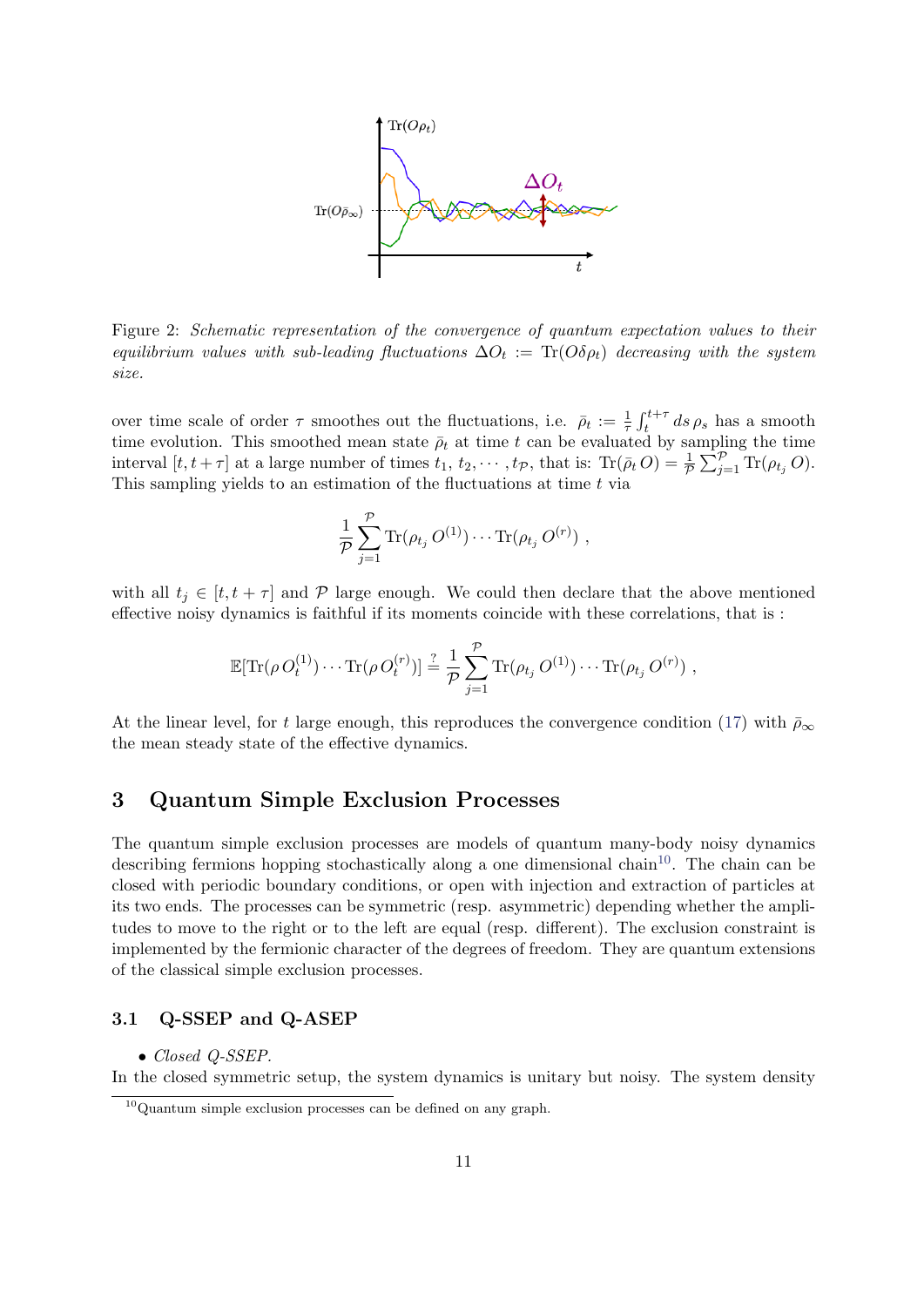

<span id="page-10-2"></span>Figure 2: Schematic representation of the convergence of quantum expectation values to their equilibrium values with sub-leading fluctuations  $\Delta O_t := \text{Tr}(O \delta \rho_t)$  decreasing with the system size.

over time scale of order  $\tau$  smoothes out the fluctuations, i.e.  $\bar{\rho}_t := \frac{1}{\tau} \int_t^{t+\tau} ds \rho_s$  has a smooth time evolution. This smoothed mean state  $\bar{\rho}_t$  at time t can be evaluated by sampling the time interval  $[t, t + \tau]$  at a large number of times  $t_1, t_2, \dots, t_{\mathcal{P}}$ , that is:  $\text{Tr}(\bar{\rho}_t O) = \frac{1}{\mathcal{P}} \sum_{j=1}^{\mathcal{P}} \text{Tr}(\rho_{t_j} O)$ . This sampling yields to an estimation of the fluctuations at time  $t$  via

$$
\frac{1}{\mathcal{P}}\sum_{j=1}^{\mathcal{P}} \text{Tr}(\rho_{t_j} O^{(1)}) \cdots \text{Tr}(\rho_{t_j} O^{(r)}) ,
$$

with all  $t_j \in [t, t + \tau]$  and P large enough. We could then declare that the above mentioned effective noisy dynamics is faithful if its moments coincide with these correlations, that is :

$$
\mathbb{E}[\text{Tr}(\rho O_t^{(1)})\cdots \text{Tr}(\rho O_t^{(r)})] \stackrel{?}{=} \frac{1}{p} \sum_{j=1}^p \text{Tr}(\rho_{t_j} O^{(1)})\cdots \text{Tr}(\rho_{t_j} O^{(r)}) ,
$$

At the linear level, for t large enough, this reproduces the convergence condition [\(17\)](#page-9-0) with  $\bar{p}_{\infty}$ the mean steady state of the effective dynamics.

# <span id="page-10-0"></span>3 Quantum Simple Exclusion Processes

The quantum simple exclusion processes are models of quantum many-body noisy dynamics describing fermions hopping stochastically along a one dimensional chain<sup>[10](#page-10-3)</sup>. The chain can be closed with periodic boundary conditions, or open with injection and extraction of particles at its two ends. The processes can be symmetric (resp. asymmetric) depending whether the amplitudes to move to the right or to the left are equal (resp. different). The exclusion constraint is implemented by the fermionic character of the degrees of freedom. They are quantum extensions of the classical simple exclusion processes.

# <span id="page-10-1"></span>3.1 Q-SSEP and Q-ASEP

• Closed Q-SSEP.

In the closed symmetric setup, the system dynamics is unitary but noisy. The system density

<span id="page-10-3"></span> $10$ Quantum simple exclusion processes can be defined on any graph.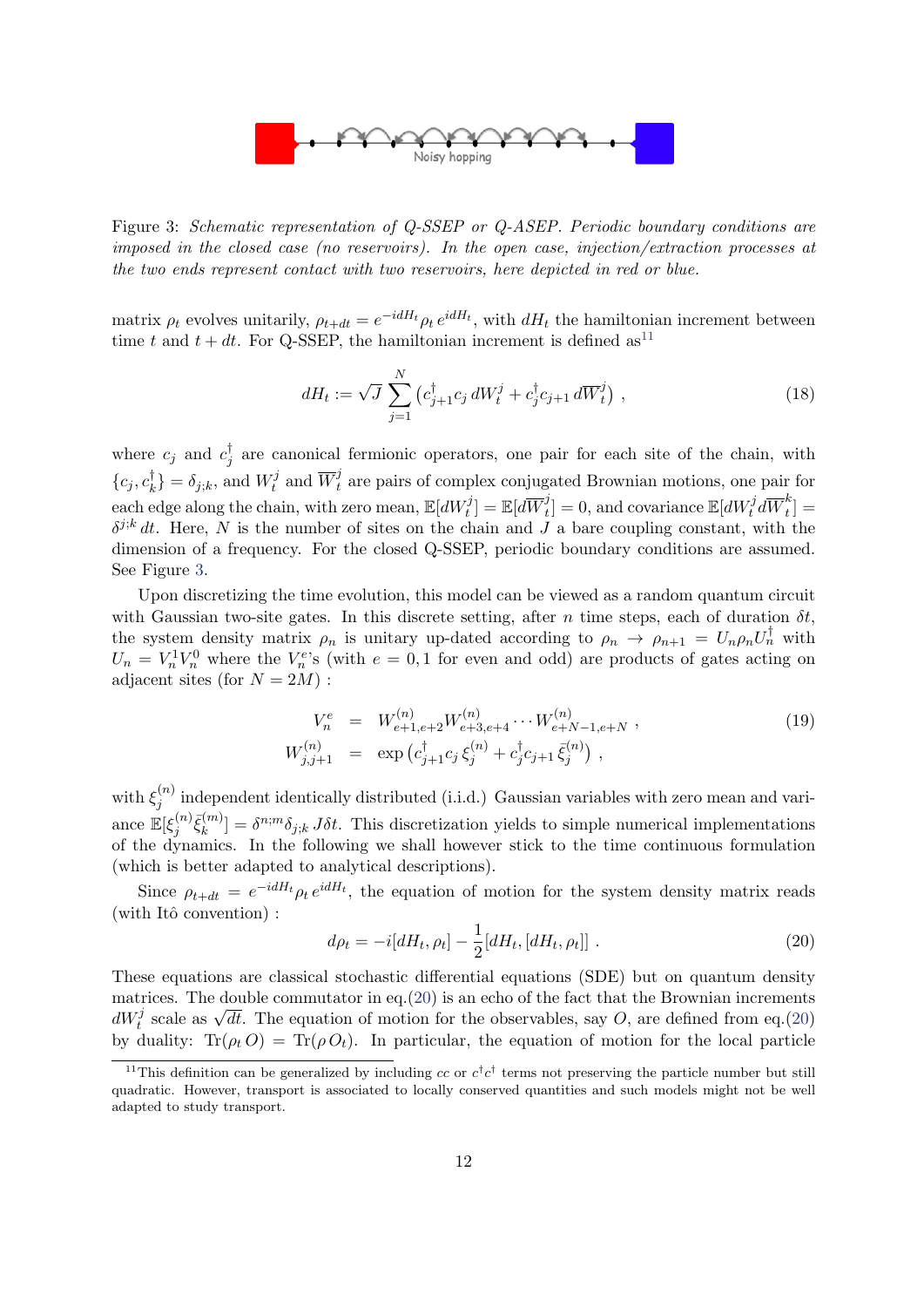

<span id="page-11-1"></span>Figure 3: Schematic representation of Q-SSEP or Q-ASEP. Periodic boundary conditions are imposed in the closed case (no reservoirs). In the open case, injection/extraction processes at the two ends represent contact with two reservoirs, here depicted in red or blue.

matrix  $\rho_t$  evolves unitarily,  $\rho_{t+dt} = e^{-idH_t} \rho_t e^{idH_t}$ , with  $dH_t$  the hamiltonian increment between time t and  $t + dt$ . For Q-SSEP, the hamiltonian increment is defined as<sup>[11](#page-11-0)</sup>

<span id="page-11-3"></span>
$$
dH_t := \sqrt{J} \sum_{j=1}^{N} \left( c_{j+1}^{\dagger} c_j \, dW_t^j + c_j^{\dagger} c_{j+1} \, d\overline{W}_t^j \right) , \qquad (18)
$$

where  $c_j$  and  $c_j^{\dagger}$  $j_j^{\dagger}$  are canonical fermionic operators, one pair for each site of the chain, with  $\{c_j, c_k^\dagger\}$  $\binom{t}{k} = \delta_{j;k}$ , and  $W_t^j$  $\overline{W}^j_t$  and  $\overline{W}^j_t$  are pairs of complex conjugated Brownian motions, one pair for each edge along the chain, with zero mean,  $\mathbb{E}[dW_t^j]=\mathbb{E}[d\overline{W}_t^j]$  $\mathbf{t}^{j}_{t}]=0,$  and covariance  $\mathbb{E}[dW_{t}^{j}d\overline{W}_{t}^{k}]$  $\binom{b}{t}$  =  $\delta^{j,k}$  dt. Here, N is the number of sites on the chain and J a bare coupling constant, with the dimension of a frequency. For the closed Q-SSEP, periodic boundary conditions are assumed. See Figure [3.](#page-11-1)

Upon discretizing the time evolution, this model can be viewed as a random quantum circuit with Gaussian two-site gates. In this discrete setting, after n time steps, each of duration  $\delta t$ , the system density matrix  $\rho_n$  is unitary up-dated according to  $\rho_n \to \rho_{n+1} = U_n \rho_n U_n^{\dagger}$  with  $U_n = V_n^1 V_n^0$  where the  $V_n^e$ 's (with  $e = 0, 1$  for even and odd) are products of gates acting on adjacent sites (for  $N = 2M$ ):

$$
V_n^e = W_{e+1,e+2}^{(n)} W_{e+3,e+4}^{(n)} \cdots W_{e+N-1,e+N}^{(n)},
$$
  
\n
$$
W_{j,j+1}^{(n)} = \exp\left(c_{j+1}^{\dagger} c_j \xi_j^{(n)} + c_j^{\dagger} c_{j+1} \bar{\xi}_j^{(n)}\right),
$$
\n(19)

with  $\xi_i^{(n)}$  $j_j^{(n)}$  independent identically distributed (i.i.d.) Gaussian variables with zero mean and variance  $\mathbb{E}[\xi_i^{(n)}]$  $\bar{\xi}^{(m)}_k$  $[\hat{k}^{(m)}] = \delta^{n;m} \delta_{j;k} J \delta t$ . This discretization yields to simple numerical implementations of the dynamics. In the following we shall however stick to the time continuous formulation (which is better adapted to analytical descriptions).

Since  $\rho_{t+dt} = e^{-idH_t} \rho_t e^{idH_t}$ , the equation of motion for the system density matrix reads  $(\text{with Itô convention})$ :

<span id="page-11-2"></span>
$$
d\rho_t = -i[dH_t, \rho_t] - \frac{1}{2}[dH_t, [dH_t, \rho_t]] \tag{20}
$$

These equations are classical stochastic differential equations (SDE) but on quantum density matrices. The double commutator in eq.  $(20)$  is an echo of the fact that the Brownian increments  $dW_t^j$  scale as  $\sqrt{dt}$ . The equation of motion for the observables, say O, are defined from eq.[\(20\)](#page-11-2) by duality:  $\text{Tr}(\rho_t O) = \text{Tr}(\rho O_t)$ . In particular, the equation of motion for the local particle

<span id="page-11-0"></span><sup>&</sup>lt;sup>11</sup>This definition can be generalized by including cc or  $c^{\dagger}c^{\dagger}$  terms not preserving the particle number but still quadratic. However, transport is associated to locally conserved quantities and such models might not be well adapted to study transport.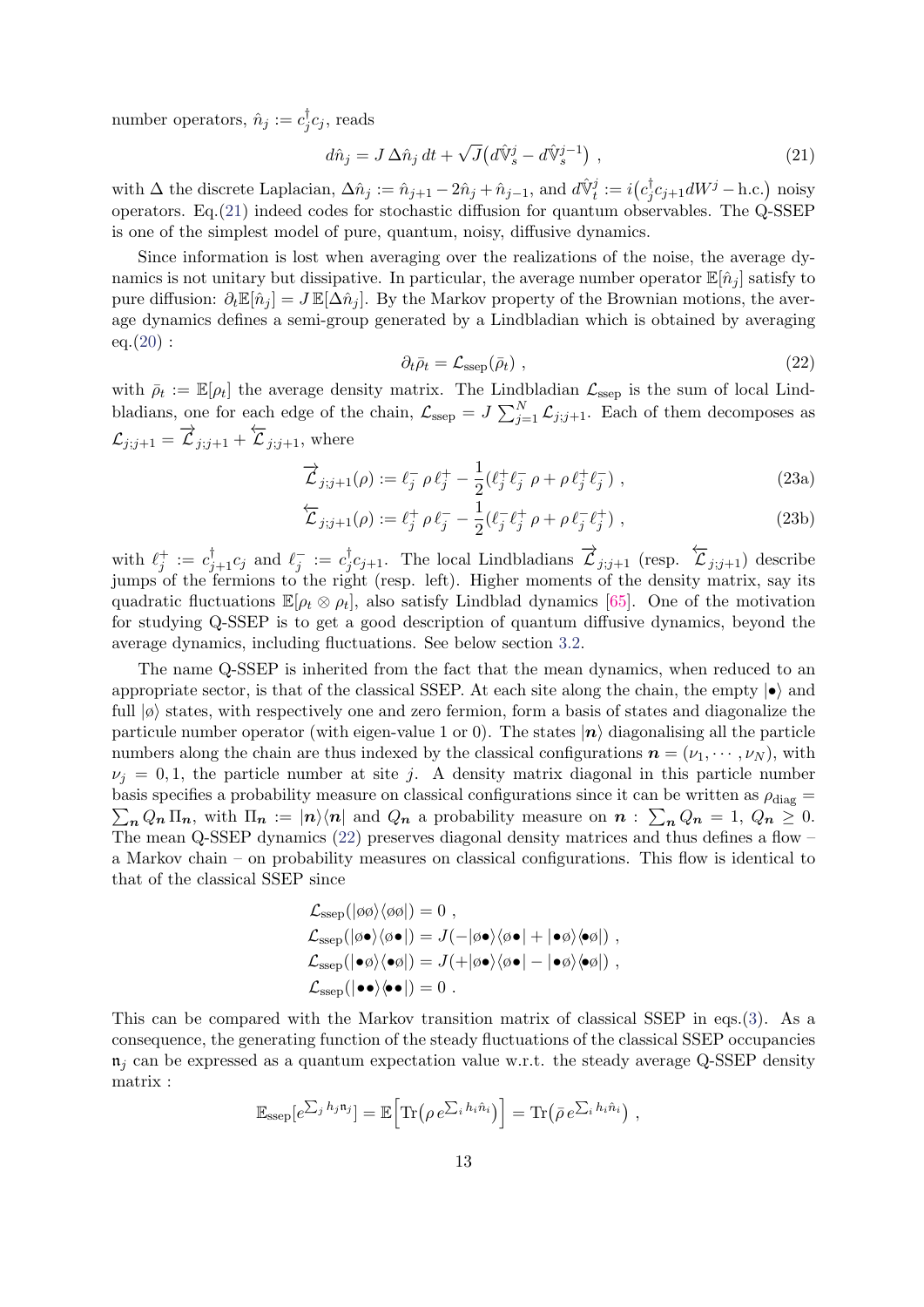number operators,  $\hat{n}_j := c_j^{\dagger}$  $C_j^{\dagger}c_j$ , reads

<span id="page-12-0"></span>
$$
d\hat{n}_j = J \Delta \hat{n}_j dt + \sqrt{J} \left( d\hat{\mathbb{V}}_s^j - d\hat{\mathbb{V}}_s^{j-1} \right) , \qquad (21)
$$

with  $\Delta$  the discrete Laplacian,  $\Delta \hat{n}_j := \hat{n}_{j+1} - 2\hat{n}_j + \hat{n}_{j-1}$ , and  $d\hat{\mathbb{V}}_t^j := i(c_j^{\dagger})$  $j_j^{\dagger}c_{j+1}dW^j$  – h.c.) noisy operators. Eq.[\(21\)](#page-12-0) indeed codes for stochastic diffusion for quantum observables. The Q-SSEP is one of the simplest model of pure, quantum, noisy, diffusive dynamics.

Since information is lost when averaging over the realizations of the noise, the average dynamics is not unitary but dissipative. In particular, the average number operator  $\mathbb{E}[\hat{n}_i]$  satisfy to pure diffusion:  $\partial_t \mathbb{E}[\hat{n}_i] = J \mathbb{E}[\Delta \hat{n}_i]$ . By the Markov property of the Brownian motions, the average dynamics defines a semi-group generated by a Lindbladian which is obtained by averaging  $eq.(20)$  $eq.(20)$ :

<span id="page-12-1"></span>
$$
\partial_t \bar{\rho}_t = \mathcal{L}_{\rm ssep}(\bar{\rho}_t) \tag{22}
$$

with  $\bar{\rho}_t := \mathbb{E}[\rho_t]$  the average density matrix. The Lindbladian  $\mathcal{L}_{\text{ssep}}$  is the sum of local Lindbladians, one for each edge of the chain,  $\mathcal{L}_{\text{sep}} = J \sum_{j=1}^{N} \mathcal{L}_{j,j+1}$ . Each of them decomposes as  $\mathcal{L}_{j;j+1} = \overrightarrow{\mathcal{L}}_{j;j+1} + \overleftarrow{\mathcal{L}}_{j;j+1}$ , where

<span id="page-12-2"></span>
$$
\vec{\mathcal{L}}_{j;j+1}(\rho) := \ell_j^- \rho \ell_j^+ - \frac{1}{2} (\ell_j^+ \ell_j^- \rho + \rho \ell_j^+ \ell_j^-) , \qquad (23a)
$$

$$
\overleftarrow{\mathcal{L}}_{j;j+1}(\rho) := \ell_j^+ \rho \ell_j^- - \frac{1}{2} (\ell_j^- \ell_j^+ \rho + \rho \ell_j^- \ell_j^+), \qquad (23b)
$$

with  $\ell_j^+ := c_{j+1}^{\dagger} c_j$  and  $\ell_j^- := c_j^{\dagger}$  $\overrightarrow{\mathcal{L}}_{j:j+1}$ . The local Lindbladians  $\overrightarrow{\mathcal{L}}_{j:j+1}$  (resp.  $\overleftarrow{\mathcal{L}}_{j:j+1}$ ) describe jumps of the fermions to the right (resp. left). Higher moments of the density matrix, say its quadratic fluctuations  $\mathbb{E}[\rho_t \otimes \rho_t]$ , also satisfy Lindblad dynamics [\[65\]](#page-32-2). One of the motivation for studying Q-SSEP is to get a good description of quantum diffusive dynamics, beyond the average dynamics, including fluctuations. See below section [3.2.](#page-15-0)

The name Q-SSEP is inherited from the fact that the mean dynamics, when reduced to an appropriate sector, is that of the classical SSEP. At each site along the chain, the empty  $|\bullet\rangle$  and full  $|\phi\rangle$  states, with respectively one and zero fermion, form a basis of states and diagonalize the particule number operator (with eigen-value 1 or 0). The states  $|n\rangle$  diagonalising all the particle numbers along the chain are thus indexed by the classical configurations  $\mathbf{n} = (\nu_1, \dots, \nu_N)$ , with  $\nu_i = 0, 1$ , the particle number at site j. A density matrix diagonal in this particle number basis specifies a probability measure on classical configurations since it can be written as  $\rho_{\text{diag}} =$  $\sum_{n} Q_n \Pi_n$ , with  $\Pi_n := |n\rangle\langle n|$  and  $Q_n$  a probability measure on  $n : \sum_{n} Q_n = 1, Q_n \ge 0$ . The mean Q-SSEP dynamics [\(22\)](#page-12-1) preserves diagonal density matrices and thus defines a flow – a Markov chain – on probability measures on classical configurations. This flow is identical to that of the classical SSEP since

$$
\mathcal{L}_{\text{ssep}}(|\phi\phi\rangle\langle\phi\phi|) = 0 ,
$$
\n
$$
\mathcal{L}_{\text{ssep}}(|\phi\bullet\rangle\langle\phi\bullet|) = J(-|\phi\bullet\rangle\langle\phi\bullet| + |\bullet\phi\rangle\langle\bullet\phi|) ,
$$
\n
$$
\mathcal{L}_{\text{ssep}}(|\bullet\phi\rangle\langle\bullet\phi|) = J(+|\phi\bullet\rangle\langle\phi\bullet| - |\bullet\phi\rangle\langle\bullet\phi|) ,
$$
\n
$$
\mathcal{L}_{\text{ssep}}(|\bullet\bullet\rangle\langle\bullet\bullet|) = 0 .
$$

This can be compared with the Markov transition matrix of classical SSEP in eqs.[\(3\)](#page-3-4). As a consequence, the generating function of the steady fluctuations of the classical SSEP occupancies  $\mathfrak{n}_i$  can be expressed as a quantum expectation value w.r.t. the steady average Q-SSEP density matrix :

$$
\mathbb{E}_{\text{ssep}}[e^{\sum_j h_j \mathbf{n}_j}] = \mathbb{E}\Big[\text{Tr}\big(\rho \, e^{\sum_i h_i \hat{n}_i}\big)\Big] = \text{Tr}\big(\bar{\rho} \, e^{\sum_i h_i \hat{n}_i}\big) ,
$$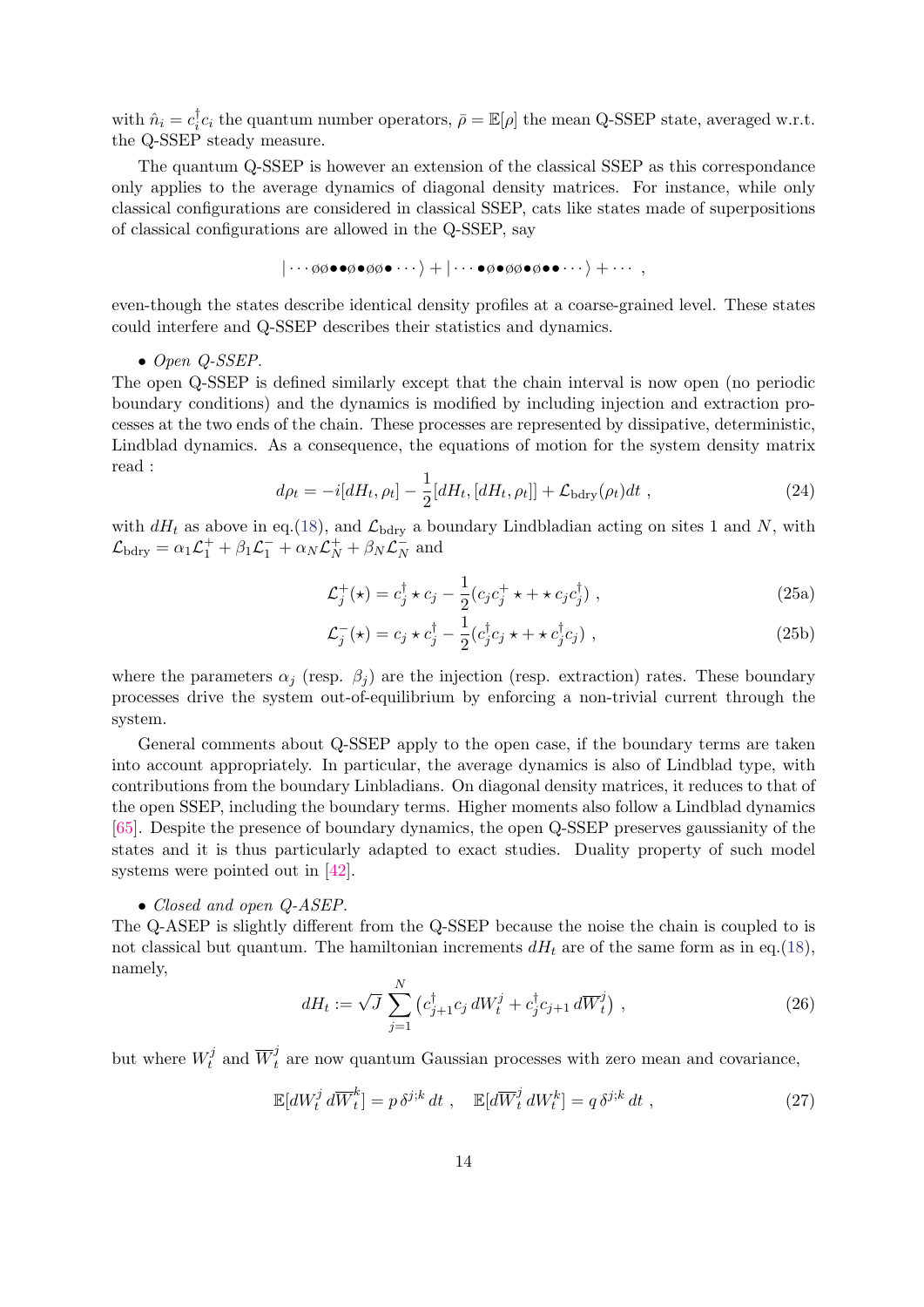with  $\hat{n}_i = c_i^{\dagger}$ <sup>†</sup><sub>*c<sub>i</sub>*</sub> the quantum number operators,  $\bar{\rho} = \mathbb{E}[\rho]$  the mean Q-SSEP state, averaged w.r.t. the Q-SSEP steady measure.

The quantum Q-SSEP is however an extension of the classical SSEP as this correspondance only applies to the average dynamics of diagonal density matrices. For instance, while only classical configurations are considered in classical SSEP, cats like states made of superpositions of classical configurations are allowed in the Q-SSEP, say

$$
|\cdots \emptyset \emptyset \bullet \bullet \emptyset \bullet \emptyset \bullet \cdots \rangle + |\cdots \bullet \emptyset \bullet \emptyset \bullet \emptyset \bullet \emptyset \bullet \cdots \rangle + \cdots,
$$

even-though the states describe identical density profiles at a coarse-grained level. These states could interfere and Q-SSEP describes their statistics and dynamics.

#### • Open Q-SSEP.

The open Q-SSEP is defined similarly except that the chain interval is now open (no periodic boundary conditions) and the dynamics is modified by including injection and extraction processes at the two ends of the chain. These processes are represented by dissipative, deterministic, Lindblad dynamics. As a consequence, the equations of motion for the system density matrix read :

<span id="page-13-2"></span>
$$
d\rho_t = -i[dH_t, \rho_t] - \frac{1}{2}[dH_t, [dH_t, \rho_t]] + \mathcal{L}_{\text{bdry}}(\rho_t)dt ,
$$
\n(24)

with  $dH_t$  as above in eq.[\(18\)](#page-11-3), and  $\mathcal{L}_{\text{bdry}}$  a boundary Lindbladian acting on sites 1 and N, with  $\mathcal{L}_{\text{bdry}} = \alpha_1 \mathcal{L}_1^+ + \beta_1 \mathcal{L}_1^- + \alpha_N \mathcal{L}_N^+ + \beta_N \mathcal{L}_N^ \bar{N}$  and

$$
\mathcal{L}_j^+(\star) = c_j^\dagger \star c_j - \frac{1}{2} (c_j c_j^+ \star + \star c_j c_j^\dagger) , \qquad (25a)
$$

$$
\mathcal{L}_j^-(\star) = c_j \star c_j^{\dagger} - \frac{1}{2} (c_j^{\dagger} c_j \star + \star c_j^{\dagger} c_j) , \qquad (25b)
$$

where the parameters  $\alpha_i$  (resp.  $\beta_i$ ) are the injection (resp. extraction) rates. These boundary processes drive the system out-of-equilibrium by enforcing a non-trivial current through the system.

General comments about Q-SSEP apply to the open case, if the boundary terms are taken into account appropriately. In particular, the average dynamics is also of Lindblad type, with contributions from the boundary Linbladians. On diagonal density matrices, it reduces to that of the open SSEP, including the boundary terms. Higher moments also follow a Lindblad dynamics [\[65\]](#page-32-2). Despite the presence of boundary dynamics, the open Q-SSEP preserves gaussianity of the states and it is thus particularly adapted to exact studies. Duality property of such model systems were pointed out in [\[42\]](#page-30-14).

#### • Closed and open Q-ASEP.

The Q-ASEP is slightly different from the Q-SSEP because the noise the chain is coupled to is not classical but quantum. The hamiltonian increments  $dH_t$  are of the same form as in eq.[\(18\)](#page-11-3), namely,

<span id="page-13-1"></span>
$$
dH_t := \sqrt{J} \sum_{j=1}^{N} \left( c_{j+1}^{\dagger} c_j \, dW_t^j + c_j^{\dagger} c_{j+1} \, d\overline{W}_t^j \right) , \qquad (26)
$$

but where  $W_t^j$  $\overline{W}_t^j$  and  $\overline{W}_t^j$  are now quantum Gaussian processes with zero mean and covariance,

<span id="page-13-0"></span>
$$
\mathbb{E}[dW_t^j d\overline{W}_t^k] = p \,\delta^{j;k} dt \;, \quad \mathbb{E}[d\overline{W}_t^j dW_t^k] = q \,\delta^{j;k} dt \;, \tag{27}
$$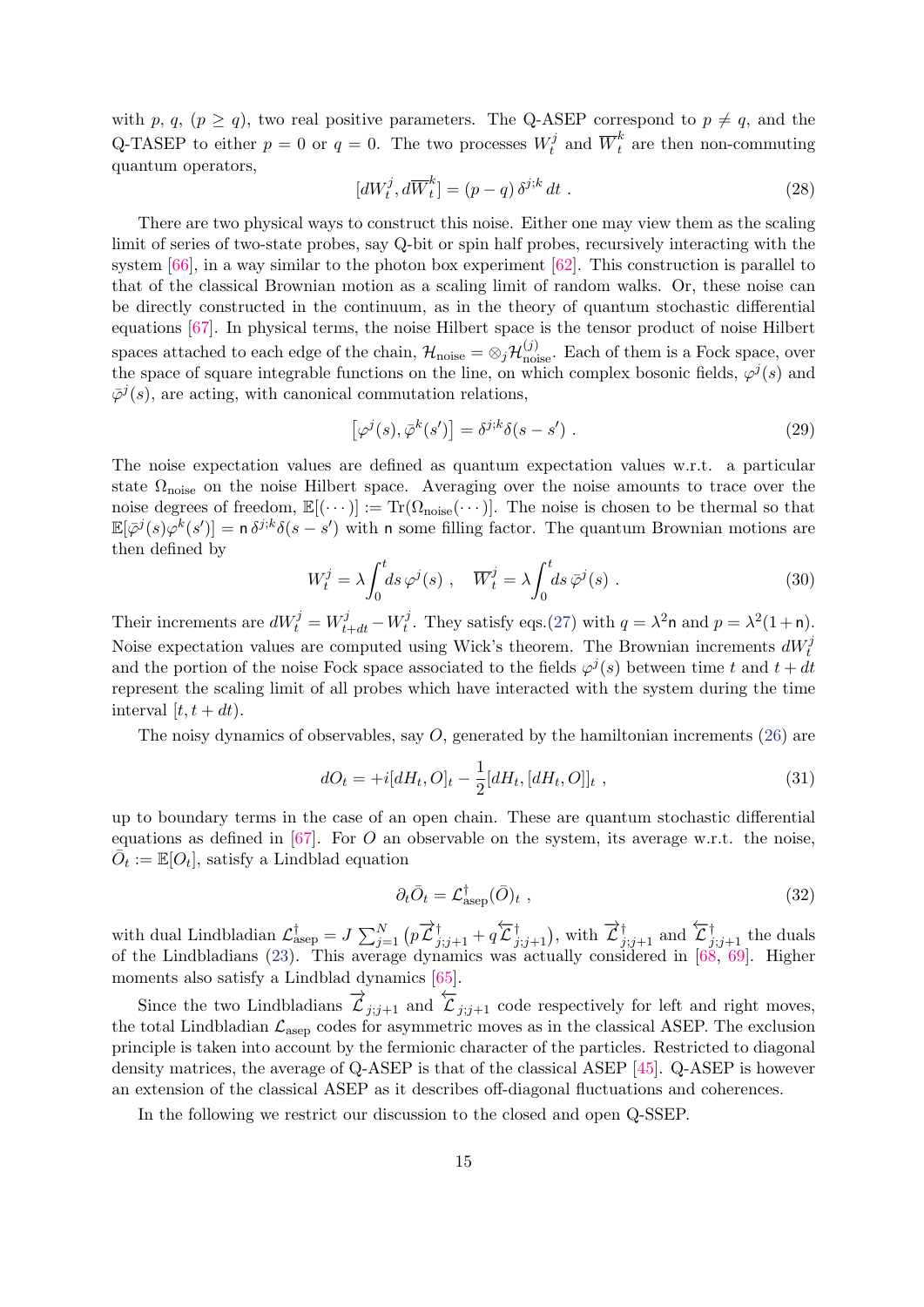with p, q,  $(p \ge q)$ , two real positive parameters. The Q-ASEP correspond to  $p \ne q$ , and the Q-TASEP to either  $p = 0$  or  $q = 0$ . The two processes  $W_t^j$  $\overline{t}_t^j$  and  $\overline{W}_t^k$  are then non-commuting quantum operators,

$$
[dW_t^j, d\overline{W}_t^k] = (p - q) \delta^{j;k} dt . \qquad (28)
$$

There are two physical ways to construct this noise. Either one may view them as the scaling limit of series of two-state probes, say Q-bit or spin half probes, recursively interacting with the system [\[66\]](#page-32-3), in a way similar to the photon box experiment [\[62\]](#page-31-16). This construction is parallel to that of the classical Brownian motion as a scaling limit of random walks. Or, these noise can be directly constructed in the continuum, as in the theory of quantum stochastic differential equations [\[67\]](#page-32-4). In physical terms, the noise Hilbert space is the tensor product of noise Hilbert spaces attached to each edge of the chain,  $\mathcal{H}_{\text{noise}} = \otimes_j \mathcal{H}_{\text{noise}}^{(j)}$ . Each of them is a Fock space, over the space of square integrable functions on the line, on which complex bosonic fields,  $\varphi^{j}(s)$  and  $\bar{\varphi}^j(s)$ , are acting, with canonical commutation relations,

$$
\left[\varphi^j(s), \bar{\varphi}^k(s')\right] = \delta^{j;k}\delta(s-s')\ .\tag{29}
$$

The noise expectation values are defined as quantum expectation values w.r.t. a particular state  $\Omega_{\text{noise}}$  on the noise Hilbert space. Averaging over the noise amounts to trace over the noise degrees of freedom,  $\mathbb{E}[(\cdots)] := \text{Tr}(\Omega_{\text{noise}}(\cdots)].$  The noise is chosen to be thermal so that  $\mathbb{E}[\bar{\varphi}^j(s)\varphi^k(s')] = \mathsf{n}\,\delta^{j;k}\delta(s-s')$  with n some filling factor. The quantum Brownian motions are then defined by

$$
W_t^j = \lambda \int_0^t ds \,\varphi^j(s) \;, \quad \overline{W}_t^j = \lambda \int_0^t ds \,\overline{\varphi}^j(s) \;.
$$
 (30)

Their increments are  $dW_t^j = W_{t+dt}^j - W_t^j$  $t^j$ . They satisfy eqs.[\(27\)](#page-13-0) with  $q = \lambda^2 \mathsf{n}$  and  $p = \lambda^2(1+\mathsf{n})$ . Noise expectation values are computed using Wick's theorem. The Brownian increments  $dW_t^j$ and the portion of the noise Fock space associated to the fields  $\varphi^{j}(s)$  between time t and  $t + dt$ represent the scaling limit of all probes which have interacted with the system during the time interval  $[t, t + dt)$ .

The noisy dynamics of observables, say  $O$ , generated by the hamiltonian increments [\(26\)](#page-13-1) are

$$
dO_t = +i[dH_t, O]_t - \frac{1}{2}[dH_t, [dH_t, O]]_t ,
$$
\n(31)

up to boundary terms in the case of an open chain. These are quantum stochastic differential equations as defined in  $[67]$ . For O an observable on the system, its average w.r.t. the noise,  $\overline{O}_t := \mathbb{E}[O_t]$ , satisfy a Lindblad equation

$$
\partial_t \bar{O}_t = \mathcal{L}_{\text{asep}}^{\dagger}(\bar{O})_t , \qquad (32)
$$

with dual Lindbladian  $\mathcal{L}_{\text{asep}}^{\dagger} = J \sum_{j=1}^{N} (p \overrightarrow{\mathcal{L}}_{j,j+1}^{\dagger} + q \overleftarrow{\mathcal{L}}_{j,j+1}^{\dagger}), \text{ with } \overrightarrow{\mathcal{L}}_{j,j+1}^{\dagger} \text{ and } \overleftarrow{\mathcal{L}}_{j,j+1}^{\dagger} \text{ the duals}$ of the Lindbladians [\(23\)](#page-12-2). This average dynamics was actually considered in [\[68,](#page-32-5) [69\]](#page-32-6). Higher moments also satisfy a Lindblad dynamics [\[65\]](#page-32-2).

Since the two Lindbladians  $\overrightarrow{\mathcal{L}}_{j;j+1}$  and  $\overleftarrow{\mathcal{L}}_{j;j+1}$  code respectively for left and right moves, the total Lindbladian  $\mathcal{L}_{\text{asen}}$  codes for asymmetric moves as in the classical ASEP. The exclusion principle is taken into account by the fermionic character of the particles. Restricted to diagonal density matrices, the average of Q-ASEP is that of the classical ASEP [\[45\]](#page-30-17). Q-ASEP is however an extension of the classical ASEP as it describes off-diagonal fluctuations and coherences.

In the following we restrict our discussion to the closed and open Q-SSEP.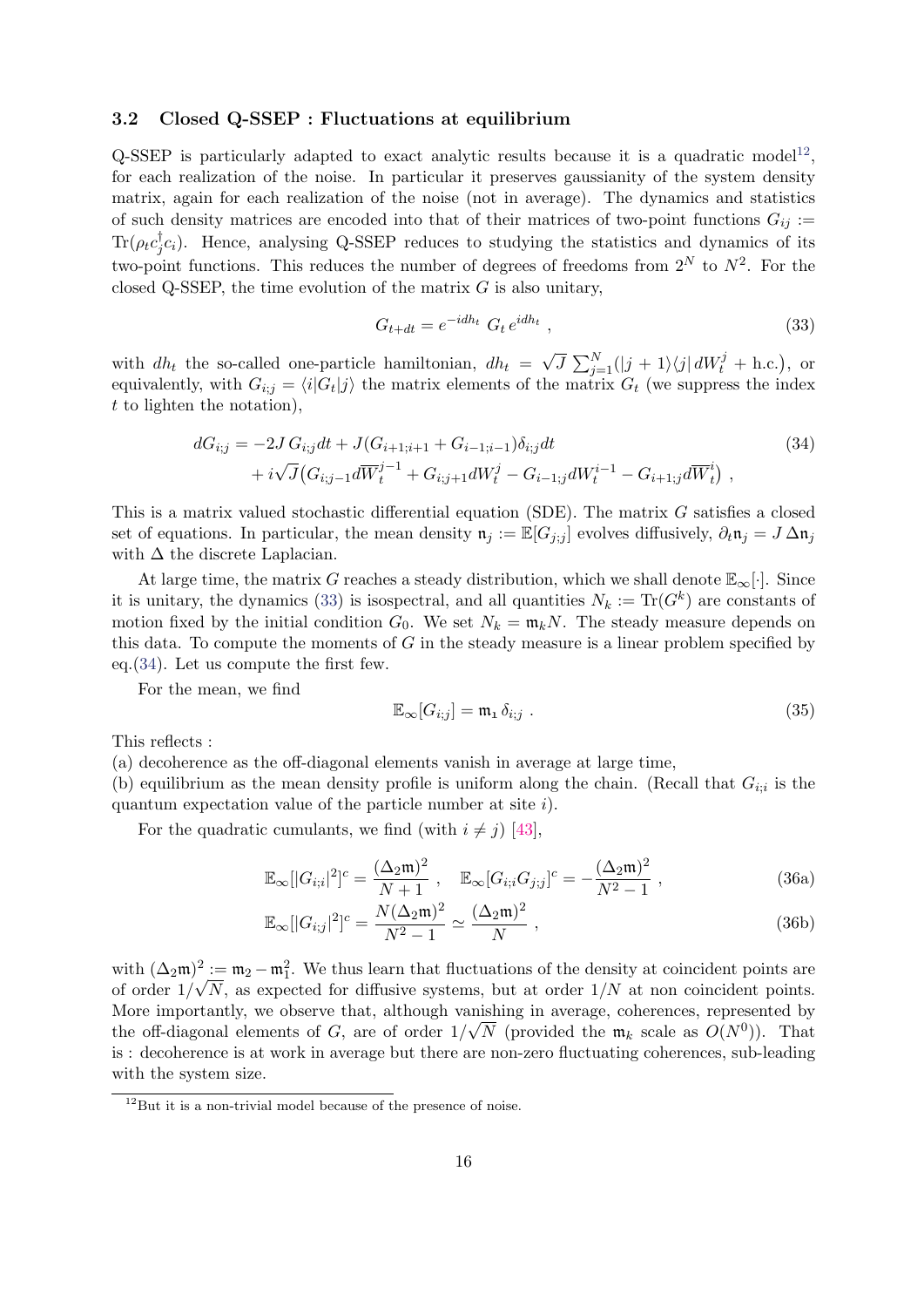## <span id="page-15-0"></span>3.2 Closed Q-SSEP : Fluctuations at equilibrium

Q-SSEP is particularly adapted to exact analytic results because it is a quadratic model<sup>[12](#page-15-1)</sup>, for each realization of the noise. In particular it preserves gaussianity of the system density matrix, again for each realization of the noise (not in average). The dynamics and statistics of such density matrices are encoded into that of their matrices of two-point functions  $G_{ij}$  :=  $\text{Tr}(\rho_t c_i^\dagger$  ${}_{j}^{\dagger}c_{i}$ ). Hence, analysing Q-SSEP reduces to studying the statistics and dynamics of its two-point functions. This reduces the number of degrees of freedoms from  $2^N$  to  $N^2$ . For the closed Q-SSEP, the time evolution of the matrix  $G$  is also unitary,

<span id="page-15-3"></span><span id="page-15-2"></span>
$$
G_{t+dt} = e^{-idh_t} G_t e^{idh_t}, \qquad (33)
$$

with  $dh_t$  the so-called one-particle hamiltonian,  $dh_t = \sqrt{J} \sum_{j=1}^N (|j+1\rangle\langle j| dW_t^j + \text{h.c.})$ , or equivalently, with  $G_{i,j} = \langle i|G_t|j\rangle$  the matrix elements of the matrix  $G_t$  (we suppress the index t to lighten the notation),

$$
dG_{i;j} = -2J G_{i;j} dt + J(G_{i+1;i+1} + G_{i-1;i-1}) \delta_{i;j} dt
$$
  
+  $i\sqrt{J}(G_{i;j-1} d\overline{W}_t^{j-1} + G_{i;j+1} dW_t^j - G_{i-1;j} dW_t^{i-1} - G_{i+1;j} d\overline{W}_t^i)$  (34)

This is a matrix valued stochastic differential equation (SDE). The matrix G satisfies a closed set of equations. In particular, the mean density  $\mathfrak{n}_j := \mathbb{E}[G_{j;j}]$  evolves diffusively,  $\partial_t \mathfrak{n}_j = J \Delta \mathfrak{n}_j$ with  $\Delta$  the discrete Laplacian.

At large time, the matrix G reaches a steady distribution, which we shall denote  $\mathbb{E}_{\infty}[\cdot]$ . Since it is unitary, the dynamics [\(33\)](#page-15-2) is isospectral, and all quantities  $N_k := \text{Tr}(G^k)$  are constants of motion fixed by the initial condition  $G_0$ . We set  $N_k = \mathfrak{m}_k N$ . The steady measure depends on this data. To compute the moments of  $G$  in the steady measure is a linear problem specified by eq.[\(34\)](#page-15-3). Let us compute the first few.

For the mean, we find

<span id="page-15-5"></span><span id="page-15-4"></span>
$$
\mathbb{E}_{\infty}[G_{i,j}] = \mathfrak{m}_1 \,\delta_{i,j} \tag{35}
$$

This reflects :

(a) decoherence as the off-diagonal elements vanish in average at large time,

(b) equilibrium as the mean density profile is uniform along the chain. (Recall that  $G_{i;i}$  is the quantum expectation value of the particle number at site  $i$ ).

For the quadratic cumulants, we find (with  $i \neq j$ ) [\[43\]](#page-30-15),

$$
\mathbb{E}_{\infty}[|G_{i;i}|^2]^c = \frac{(\Delta_2 \mathfrak{m})^2}{N+1}, \quad \mathbb{E}_{\infty}[G_{i;i}G_{j;j}]^c = -\frac{(\Delta_2 \mathfrak{m})^2}{N^2-1}, \tag{36a}
$$

$$
\mathbb{E}_{\infty} [|G_{i;j}|^2]^c = \frac{N(\Delta_2 \mathfrak{m})^2}{N^2 - 1} \simeq \frac{(\Delta_2 \mathfrak{m})^2}{N} , \qquad (36b)
$$

with  $(\Delta_2 \mathfrak{m})^2 := \mathfrak{m}_2 - \mathfrak{m}_1^2$ . We thus learn that fluctuations of the density at coincident points are of order  $1/\sqrt{N}$ , as expected for diffusive systems, but at order  $1/N$  at non coincident points. More importantly, we observe that, although vanishing in average, coherences, represented by the off-diagonal elements of G, are of order  $1/\sqrt{N}$  (provided the  $\mathfrak{m}_k$  scale as  $O(N^0)$ ). That is : decoherence is at work in average but there are non-zero fluctuating coherences, sub-leading with the system size.

<span id="page-15-1"></span> $12$ But it is a non-trivial model because of the presence of noise.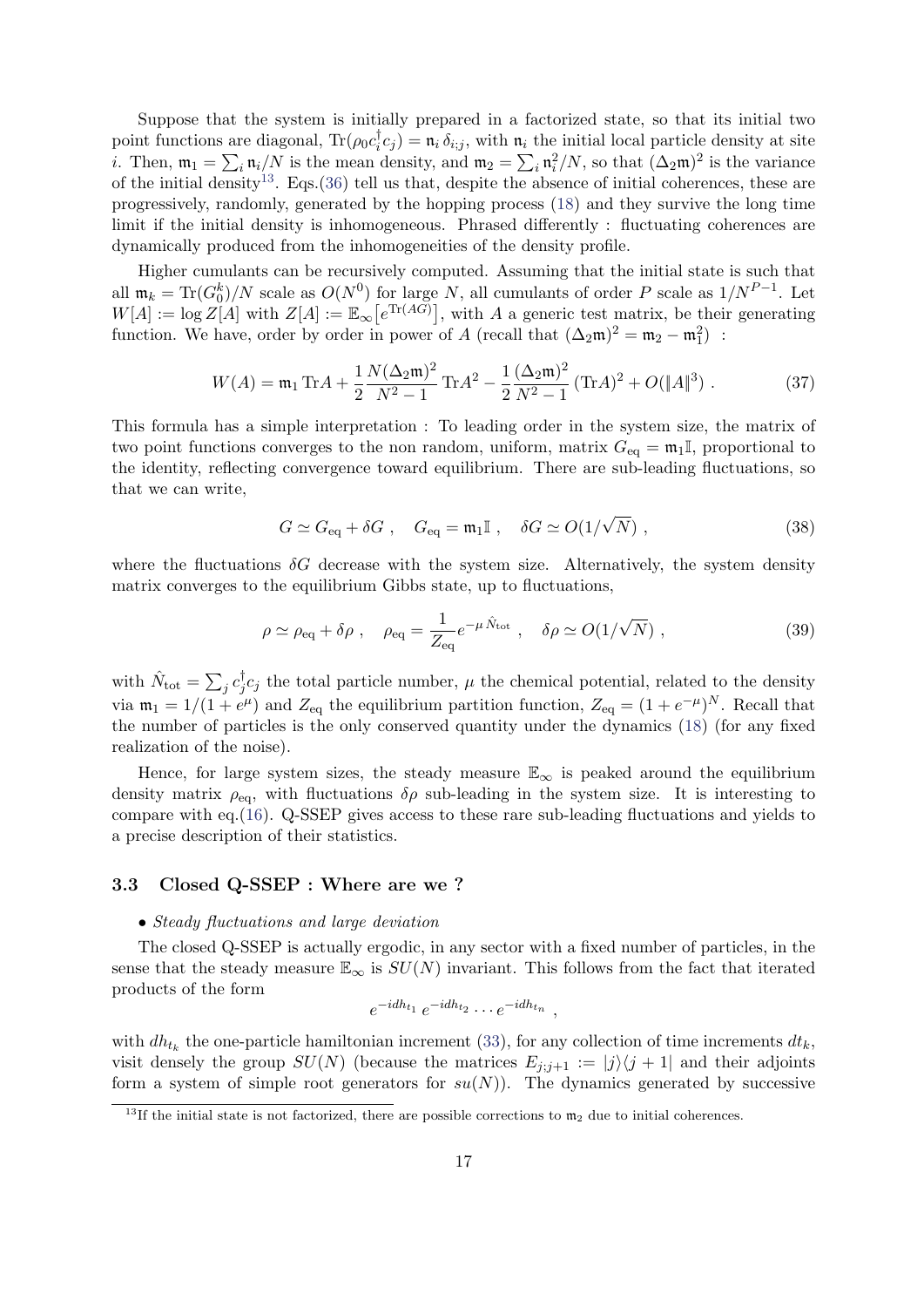Suppose that the system is initially prepared in a factorized state, so that its initial two point functions are diagonal,  $\text{Tr}(\rho_0 c_i^{\dagger})$  $\mathbf{u}_i^{\dagger} c_j$  =  $\mathbf{n}_i \delta_{i,j}$ , with  $\mathbf{n}_i$  the initial local particle density at site *i*. Then,  $\mathfrak{m}_1 = \sum_i \mathfrak{n}_i/N$  is the mean density, and  $\mathfrak{m}_2 = \sum_i \mathfrak{n}_i^2/N$ , so that  $(\Delta_2 \mathfrak{m})^2$  is the variance of the initial density<sup>[13](#page-16-1)</sup>. Eqs.[\(36\)](#page-15-4) tell us that, despite the absence of initial coherences, these are progressively, randomly, generated by the hopping process [\(18\)](#page-11-3) and they survive the long time limit if the initial density is inhomogeneous. Phrased differently : fluctuating coherences are dynamically produced from the inhomogeneities of the density profile.

Higher cumulants can be recursively computed. Assuming that the initial state is such that all  $\mathfrak{m}_k = \text{Tr}(G_0^k)/N$  scale as  $O(N^0)$  for large N, all cumulants of order P scale as  $1/N^{P-1}$ . Let  $W[A] := \log Z[A]$  with  $Z[A] := \mathbb{E}_{\infty}[e^{\text{Tr}(AG)}],$  with A a generic test matrix, be their generating function. We have, order by order in power of A (recall that  $(\Delta_2 \mathfrak{m})^2 = \mathfrak{m}_2 - \mathfrak{m}_1^2$ ) :

<span id="page-16-2"></span>
$$
W(A) = \mathfrak{m}_1 \operatorname{Tr} A + \frac{1}{2} \frac{N(\Delta_2 \mathfrak{m})^2}{N^2 - 1} \operatorname{Tr} A^2 - \frac{1}{2} \frac{(\Delta_2 \mathfrak{m})^2}{N^2 - 1} (\operatorname{Tr} A)^2 + O(\|A\|^3) \tag{37}
$$

This formula has a simple interpretation : To leading order in the system size, the matrix of two point functions converges to the non random, uniform, matrix  $G_{eq} = \mathfrak{m}_1\mathbb{I}$ , proportional to the identity, reflecting convergence toward equilibrium. There are sub-leading fluctuations, so that we can write,

$$
G \simeq G_{\text{eq}} + \delta G \ , \quad G_{\text{eq}} = \mathfrak{m}_1 \mathbb{I} \ , \quad \delta G \simeq O(1/\sqrt{N}) \ , \tag{38}
$$

where the fluctuations  $\delta G$  decrease with the system size. Alternatively, the system density matrix converges to the equilibrium Gibbs state, up to fluctuations,

$$
\rho \simeq \rho_{\text{eq}} + \delta \rho \;, \quad \rho_{\text{eq}} = \frac{1}{Z_{\text{eq}}} e^{-\mu \hat{N}_{\text{tot}}} \;, \quad \delta \rho \simeq O(1/\sqrt{N}) \;, \tag{39}
$$

with  $\hat{N}_{\text{tot}} = \sum_j c_j^{\dagger}$  $\mathbf{y}_j^{\dagger}$ c<sub>j</sub> the total particle number,  $\mu$  the chemical potential, related to the density via  $m_1 = 1/(1 + e^{\mu})$  and  $Z_{eq}$  the equilibrium partition function,  $Z_{eq} = (1 + e^{-\mu})^N$ . Recall that the number of particles is the only conserved quantity under the dynamics [\(18\)](#page-11-3) (for any fixed realization of the noise).

Hence, for large system sizes, the steady measure  $\mathbb{E}_{\infty}$  is peaked around the equilibrium density matrix  $\rho_{eq}$ , with fluctuations  $\delta \rho$  sub-leading in the system size. It is interesting to compare with eq.[\(16\)](#page-9-1). Q-SSEP gives access to these rare sub-leading fluctuations and yields to a precise description of their statistics.

## <span id="page-16-0"></span>3.3 Closed Q-SSEP : Where are we ?

## • Steady fluctuations and large deviation

The closed Q-SSEP is actually ergodic, in any sector with a fixed number of particles, in the sense that the steady measure  $\mathbb{E}_{\infty}$  is  $SU(N)$  invariant. This follows from the fact that iterated products of the form

$$
e^{-idh_{t_1}}e^{-idh_{t_2}}\cdots e^{-idh_{t_n}},
$$

with  $dh_{t_k}$  the one-particle hamiltonian increment [\(33\)](#page-15-2), for any collection of time increments  $dt_k$ , visit densely the group  $SU(N)$  (because the matrices  $E_{i:j+1} := |j\rangle\langle j+1|$  and their adjoints form a system of simple root generators for  $su(N)$ ). The dynamics generated by successive

<span id="page-16-1"></span><sup>&</sup>lt;sup>13</sup>If the initial state is not factorized, there are possible corrections to  $m_2$  due to initial coherences.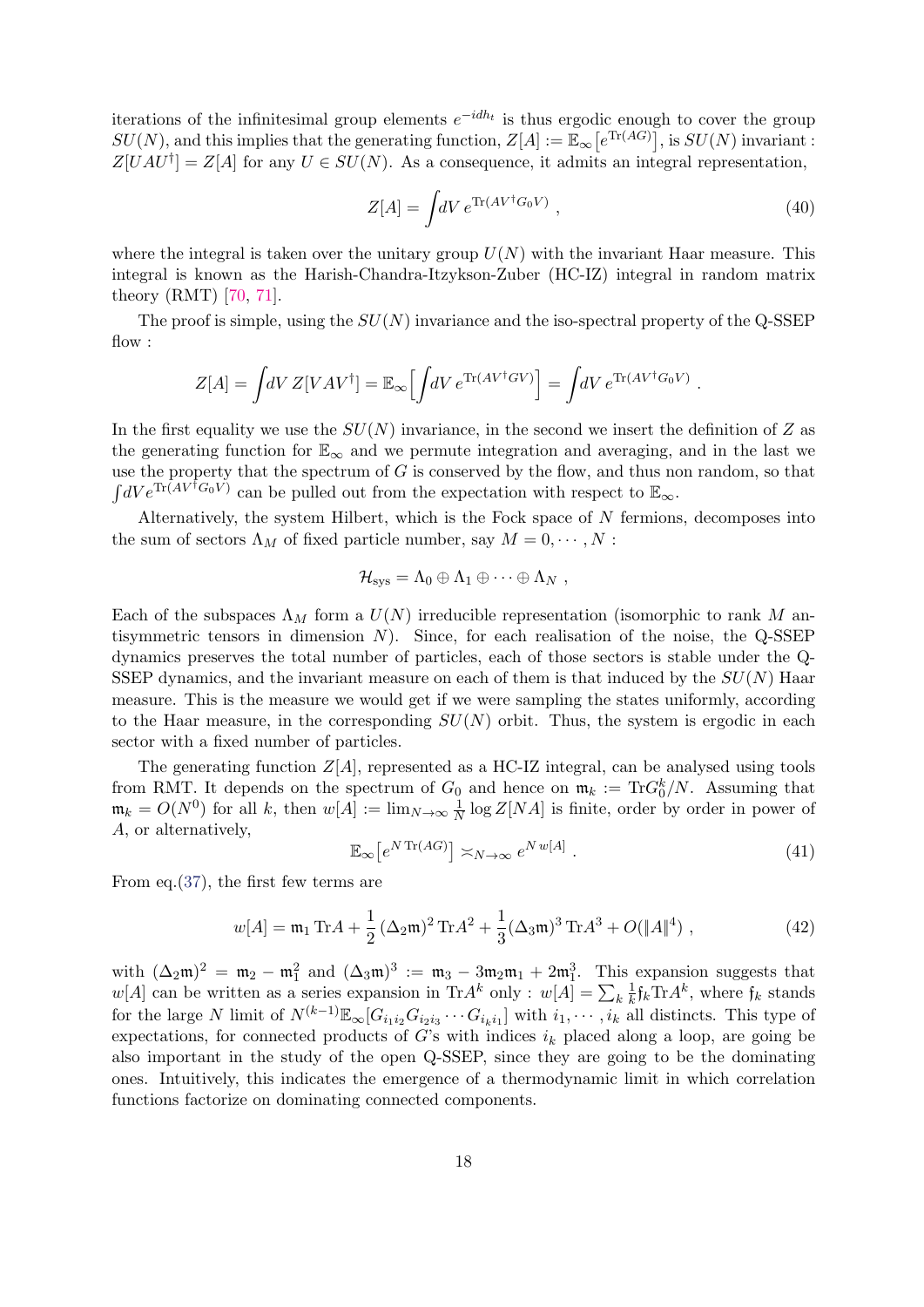iterations of the infinitesimal group elements  $e^{-idh_t}$  is thus ergodic enough to cover the group  $SU(N)$ , and this implies that the generating function,  $Z[A] := \mathbb{E}_{\infty} [e^{\text{Tr}(AG)}],$  is  $SU(N)$  invariant:  $Z[UAU^{\dagger}] = Z[A]$  for any  $U \in SU(N)$ . As a consequence, it admits an integral representation,

$$
Z[A] = \int dV \, e^{\text{Tr}(AV^\dagger G_0 V)} \,, \tag{40}
$$

where the integral is taken over the unitary group  $U(N)$  with the invariant Haar measure. This integral is known as the Harish-Chandra-Itzykson-Zuber (HC-IZ) integral in random matrix theory (RMT) [\[70,](#page-32-7) [71\]](#page-32-8).

The proof is simple, using the  $SU(N)$  invariance and the iso-spectral property of the Q-SSEP flow :

$$
Z[A] = \int dV Z[VAV^{\dagger}] = \mathbb{E}_{\infty} \Big[ \int dV e^{\text{Tr}(AV^{\dagger}GV)} \Big] = \int dV e^{\text{Tr}(AV^{\dagger}G_0V)}.
$$

In the first equality we use the  $SU(N)$  invariance, in the second we insert the definition of Z as the generating function for  $\mathbb{E}_{\infty}$  and we permute integration and averaging, and in the last we use the property that the spectrum of  $G$  is conserved by the flow, and thus non random, so that  $\int dV e^{\text{Tr}(AV^{\dagger}G_0V)}$  can be pulled out from the expectation with respect to  $\mathbb{E}_{\infty}$ .

Alternatively, the system Hilbert, which is the Fock space of  $N$  fermions, decomposes into the sum of sectors  $\Lambda_M$  of fixed particle number, say  $M = 0, \cdots, N$ :

$$
\mathcal{H}_{\rm sys} = \Lambda_0 \oplus \Lambda_1 \oplus \cdots \oplus \Lambda_N ,
$$

Each of the subspaces  $\Lambda_M$  form a  $U(N)$  irreducible representation (isomorphic to rank M antisymmetric tensors in dimension  $N$ ). Since, for each realisation of the noise, the Q-SSEP dynamics preserves the total number of particles, each of those sectors is stable under the Q-SSEP dynamics, and the invariant measure on each of them is that induced by the  $SU(N)$  Haar measure. This is the measure we would get if we were sampling the states uniformly, according to the Haar measure, in the corresponding  $SU(N)$  orbit. Thus, the system is ergodic in each sector with a fixed number of particles.

The generating function  $Z[A]$ , represented as a HC-IZ integral, can be analysed using tools from RMT. It depends on the spectrum of  $G_0$  and hence on  $\mathfrak{m}_k := \text{Tr} G_0^k/N$ . Assuming that  $\mathfrak{m}_k = O(N^0)$  for all k, then  $w[A] := \lim_{N \to \infty} \frac{1}{N}$  $\frac{1}{N}$  log  $Z[NA]$  is finite, order by order in power of A, or alternatively,

<span id="page-17-0"></span>
$$
\mathbb{E}_{\infty}\left[e^{N \operatorname{Tr}(AG)}\right] \asymp_{N \to \infty} e^{N \, w[A]} \tag{41}
$$

From eq.[\(37\)](#page-16-2), the first few terms are

<span id="page-17-1"></span>
$$
w[A] = \mathfrak{m}_1 \operatorname{Tr} A + \frac{1}{2} (\Delta_2 \mathfrak{m})^2 \operatorname{Tr} A^2 + \frac{1}{3} (\Delta_3 \mathfrak{m})^3 \operatorname{Tr} A^3 + O(\|A\|^4) , \qquad (42)
$$

with  $(\Delta_2 \mathfrak{m})^2 = \mathfrak{m}_2 - \mathfrak{m}_1^2$  and  $(\Delta_3 \mathfrak{m})^3 := \mathfrak{m}_3 - 3\mathfrak{m}_2 \mathfrak{m}_1 + 2\mathfrak{m}_1^3$ . This expansion suggests that  $w[A]$  can be written as a series expansion in Tr $A^k$  only :  $w[A] = \sum_k \frac{1}{k}$  $\frac{1}{k}$ f<sub>k</sub>Tr $A^k$ , where f<sub>k</sub> stands for the large N limit of  $N^{(k-1)} \mathbb{E}_{\infty} [G_{i_1 i_2} G_{i_2 i_3} \cdots G_{i_k i_1}]$  with  $i_1, \cdots, i_k$  all distincts. This type of expectations, for connected products of G's with indices  $i_k$  placed along a loop, are going be also important in the study of the open Q-SSEP, since they are going to be the dominating ones. Intuitively, this indicates the emergence of a thermodynamic limit in which correlation functions factorize on dominating connected components.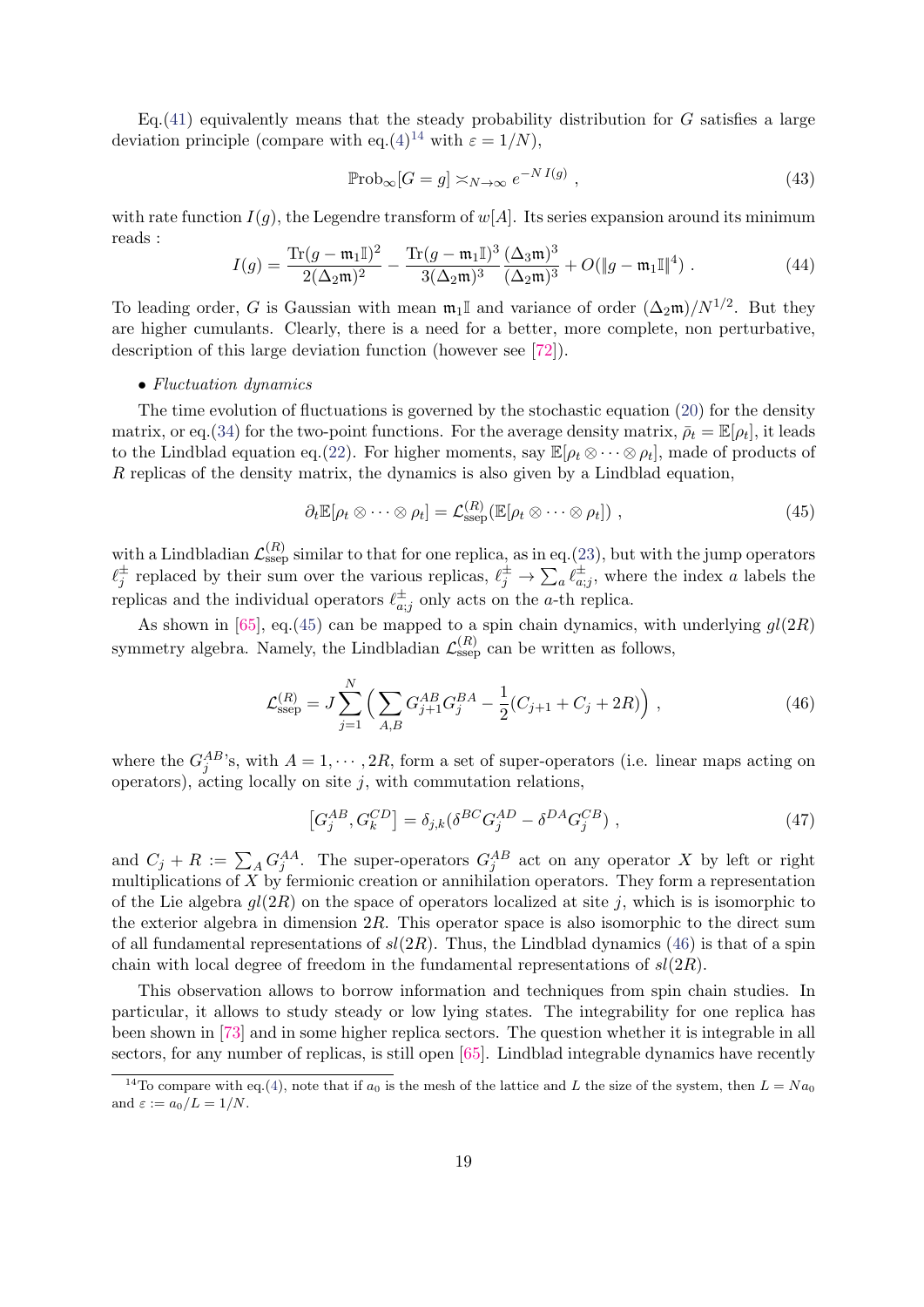Eq.[\(41\)](#page-17-0) equivalently means that the steady probability distribution for  $G$  satisfies a large deviation principle (compare with eq.[\(4\)](#page-3-3)<sup>[14](#page-18-0)</sup> with  $\varepsilon = 1/N$ ),

$$
\mathbb{P}\mathrm{rob}_{\infty}[G=g] \asymp_{N \to \infty} e^{-N I(g)},\tag{43}
$$

with rate function  $I(g)$ , the Legendre transform of  $w[A]$ . Its series expansion around its minimum reads :

$$
I(g) = \frac{\text{Tr}(g - \mathfrak{m}_1 \mathbb{I})^2}{2(\Delta_2 \mathfrak{m})^2} - \frac{\text{Tr}(g - \mathfrak{m}_1 \mathbb{I})^3}{3(\Delta_2 \mathfrak{m})^3} \frac{(\Delta_3 \mathfrak{m})^3}{(\Delta_2 \mathfrak{m})^3} + O(\|g - \mathfrak{m}_1 \mathbb{I}\|^4) \tag{44}
$$

To leading order, G is Gaussian with mean  $\mathfrak{m}_1$  and variance of order  $(\Delta_2\mathfrak{m})/N^{1/2}$ . But they are higher cumulants. Clearly, there is a need for a better, more complete, non perturbative, description of this large deviation function (however see [\[72\]](#page-32-9)).

## • Fluctuation dynamics

The time evolution of fluctuations is governed by the stochastic equation [\(20\)](#page-11-2) for the density matrix, or eq.[\(34\)](#page-15-3) for the two-point functions. For the average density matrix,  $\bar{\rho}_t = \mathbb{E}[\rho_t]$ , it leads to the Lindblad equation eq.[\(22\)](#page-12-1). For higher moments, say  $\mathbb{E}[\rho_t \otimes \cdots \otimes \rho_t]$ , made of products of R replicas of the density matrix, the dynamics is also given by a Lindblad equation,

<span id="page-18-1"></span>
$$
\partial_t \mathbb{E}[\rho_t \otimes \cdots \otimes \rho_t] = \mathcal{L}_{\text{ssep}}^{(R)}(\mathbb{E}[\rho_t \otimes \cdots \otimes \rho_t]), \qquad (45)
$$

with a Lindbladian  $\mathcal{L}_{\text{ssep}}^{(R)}$  similar to that for one replica, as in eq.[\(23\)](#page-12-2), but with the jump operators  $\ell_j^{\pm}$  replaced by their sum over the various replicas,  $\ell_j^{\pm} \to \sum_a \ell_{a;j}^{\pm}$ , where the index a labels the replicas and the individual operators  $\ell_{a;j}^{\pm}$  only acts on the a-th replica.

As shown in [\[65\]](#page-32-2), eq.[\(45\)](#page-18-1) can be mapped to a spin chain dynamics, with underlying  $gl(2R)$ symmetry algebra. Namely, the Lindbladian  $\mathcal{L}_{\text{ssep}}^{(R)}$  can be written as follows,

<span id="page-18-2"></span>
$$
\mathcal{L}_{\text{ssep}}^{(R)} = J \sum_{j=1}^{N} \left( \sum_{A,B} G_{j+1}^{AB} G_j^{BA} - \frac{1}{2} (C_{j+1} + C_j + 2R) \right), \qquad (46)
$$

where the  $G_j^{AB}$ 's, with  $A = 1, \dots, 2R$ , form a set of super-operators (i.e. linear maps acting on operators), acting locally on site  $j$ , with commutation relations,

<span id="page-18-3"></span>
$$
[G_j^{AB}, G_k^{CD}] = \delta_{j,k} (\delta^{BC} G_j^{AD} - \delta^{DA} G_j^{CB}), \qquad (47)
$$

and  $C_j + R := \sum_A G_j^{AA}$ . The super-operators  $G_j^{AB}$  act on any operator X by left or right multiplications of X by fermionic creation or annihilation operators. They form a representation of the Lie algebra  $gl(2R)$  on the space of operators localized at site j, which is is isomorphic to the exterior algebra in dimension  $2R$ . This operator space is also isomorphic to the direct sum of all fundamental representations of  $sl(2R)$ . Thus, the Lindblad dynamics [\(46\)](#page-18-2) is that of a spin chain with local degree of freedom in the fundamental representations of  $sl(2R)$ .

This observation allows to borrow information and techniques from spin chain studies. In particular, it allows to study steady or low lying states. The integrability for one replica has been shown in [\[73\]](#page-32-10) and in some higher replica sectors. The question whether it is integrable in all sectors, for any number of replicas, is still open [\[65\]](#page-32-2). Lindblad integrable dynamics have recently

<span id="page-18-0"></span><sup>&</sup>lt;sup>14</sup>To compare with eq.[\(4\)](#page-3-3), note that if  $a_0$  is the mesh of the lattice and L the size of the system, then  $L = Na_0$ and  $\varepsilon := a_0/L = 1/N$ .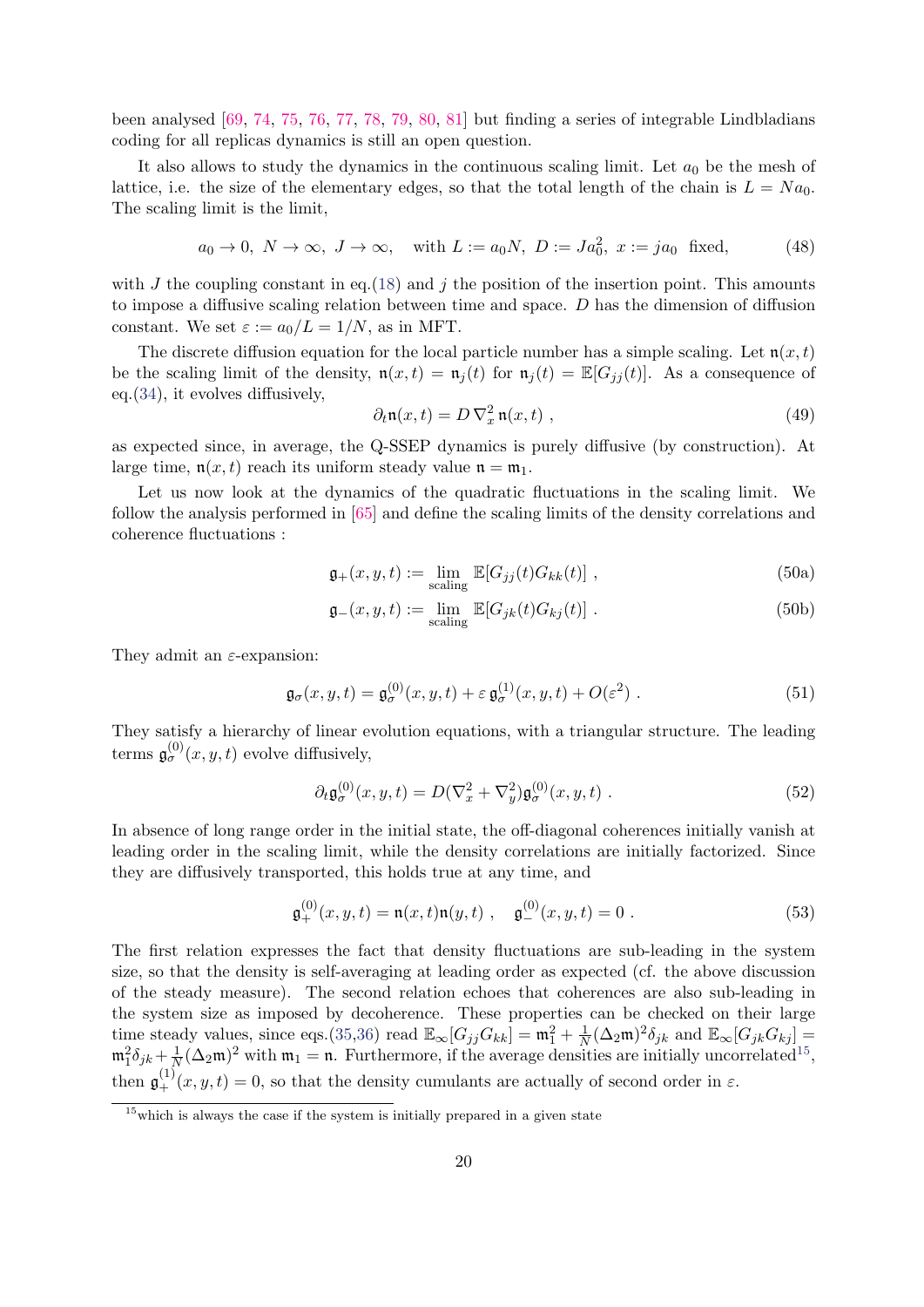been analysed [\[69,](#page-32-6) [74,](#page-32-11) [75,](#page-32-12) [76,](#page-32-13) [77,](#page-32-14) [78,](#page-32-15) [79,](#page-32-16) [80,](#page-32-17) [81\]](#page-33-0) but finding a series of integrable Lindbladians coding for all replicas dynamics is still an open question.

It also allows to study the dynamics in the continuous scaling limit. Let  $a_0$  be the mesh of lattice, i.e. the size of the elementary edges, so that the total length of the chain is  $L = Na<sub>0</sub>$ . The scaling limit is the limit,

$$
a_0 \to 0
$$
,  $N \to \infty$ ,  $J \to \infty$ , with  $L := a_0 N$ ,  $D := Ja_0^2$ ,  $x := ja_0$  fixed, (48)

with  $J$  the coupling constant in eq.[\(18\)](#page-11-3) and  $j$  the position of the insertion point. This amounts to impose a diffusive scaling relation between time and space. D has the dimension of diffusion constant. We set  $\varepsilon := a_0/L = 1/N$ , as in MFT.

The discrete diffusion equation for the local particle number has a simple scaling. Let  $n(x, t)$ be the scaling limit of the density,  $\mathfrak{n}(x,t) = \mathfrak{n}_i(t)$  for  $\mathfrak{n}_i(t) = \mathbb{E}[G_{ij}(t)]$ . As a consequence of eq.[\(34\)](#page-15-3), it evolves diffusively,

<span id="page-19-1"></span>
$$
\partial_t \mathfrak{n}(x,t) = D \nabla_x^2 \mathfrak{n}(x,t) , \qquad (49)
$$

as expected since, in average, the Q-SSEP dynamics is purely diffusive (by construction). At large time,  $n(x, t)$  reach its uniform steady value  $n = m_1$ .

Let us now look at the dynamics of the quadratic fluctuations in the scaling limit. We follow the analysis performed in [\[65\]](#page-32-2) and define the scaling limits of the density correlations and coherence fluctuations :

$$
\mathfrak{g}_+(x,y,t) := \lim_{\text{scaling}} \mathbb{E}[G_{jj}(t)G_{kk}(t)],\qquad(50a)
$$

$$
\mathfrak{g}_{-}(x,y,t) := \lim_{\text{scaling}} \mathbb{E}[G_{jk}(t)G_{kj}(t)] . \tag{50b}
$$

They admit an  $\varepsilon$ -expansion:

<span id="page-19-4"></span>
$$
\mathfrak{g}_{\sigma}(x,y,t) = \mathfrak{g}_{\sigma}^{(0)}(x,y,t) + \varepsilon \mathfrak{g}_{\sigma}^{(1)}(x,y,t) + O(\varepsilon^2) . \tag{51}
$$

They satisfy a hierarchy of linear evolution equations, with a triangular structure. The leading terms  $\mathfrak{g}^{(0)}_{\sigma}(x, y, t)$  evolve diffusively,

<span id="page-19-2"></span>
$$
\partial_t \mathfrak{g}^{(0)}_{\sigma}(x, y, t) = D(\nabla_x^2 + \nabla_y^2) \mathfrak{g}^{(0)}_{\sigma}(x, y, t) . \tag{52}
$$

In absence of long range order in the initial state, the off-diagonal coherences initially vanish at leading order in the scaling limit, while the density correlations are initially factorized. Since they are diffusively transported, this holds true at any time, and

<span id="page-19-3"></span>
$$
\mathfrak{g}_{+}^{(0)}(x,y,t) = \mathfrak{n}(x,t)\mathfrak{n}(y,t) , \quad \mathfrak{g}_{-}^{(0)}(x,y,t) = 0 . \tag{53}
$$

The first relation expresses the fact that density fluctuations are sub-leading in the system size, so that the density is self-averaging at leading order as expected (cf. the above discussion of the steady measure). The second relation echoes that coherences are also sub-leading in the system size as imposed by decoherence. These properties can be checked on their large time steady values, since eqs.[\(35,](#page-15-5)[36\)](#page-15-4) read  $\mathbb{E}_{\infty}[G_{jj}G_{kk}] = \mathfrak{m}_1^2 + \frac{1}{N}$  $\frac{1}{N}(\Delta_2 \mathfrak{m})^2 \delta_{jk}$  and  $\mathbb{E}_{\infty}[G_{jk}G_{kj}]$  $\mathfrak{m}_1^2 \delta_{jk} + \frac{1}{N}$  $\frac{1}{N}(\Delta_2 \mathfrak{m})^2$  with  $\mathfrak{m}_1 = \mathfrak{n}$ . Furthermore, if the average densities are initially uncorrelated<sup>[15](#page-19-0)</sup>, then  $\mathfrak{g}_{+}^{(1)}(x,y,t) = 0$ , so that the density cumulants are actually of second order in  $\varepsilon$ .

<span id="page-19-0"></span> $\frac{15}{15}$ which is always the case if the system is initially prepared in a given state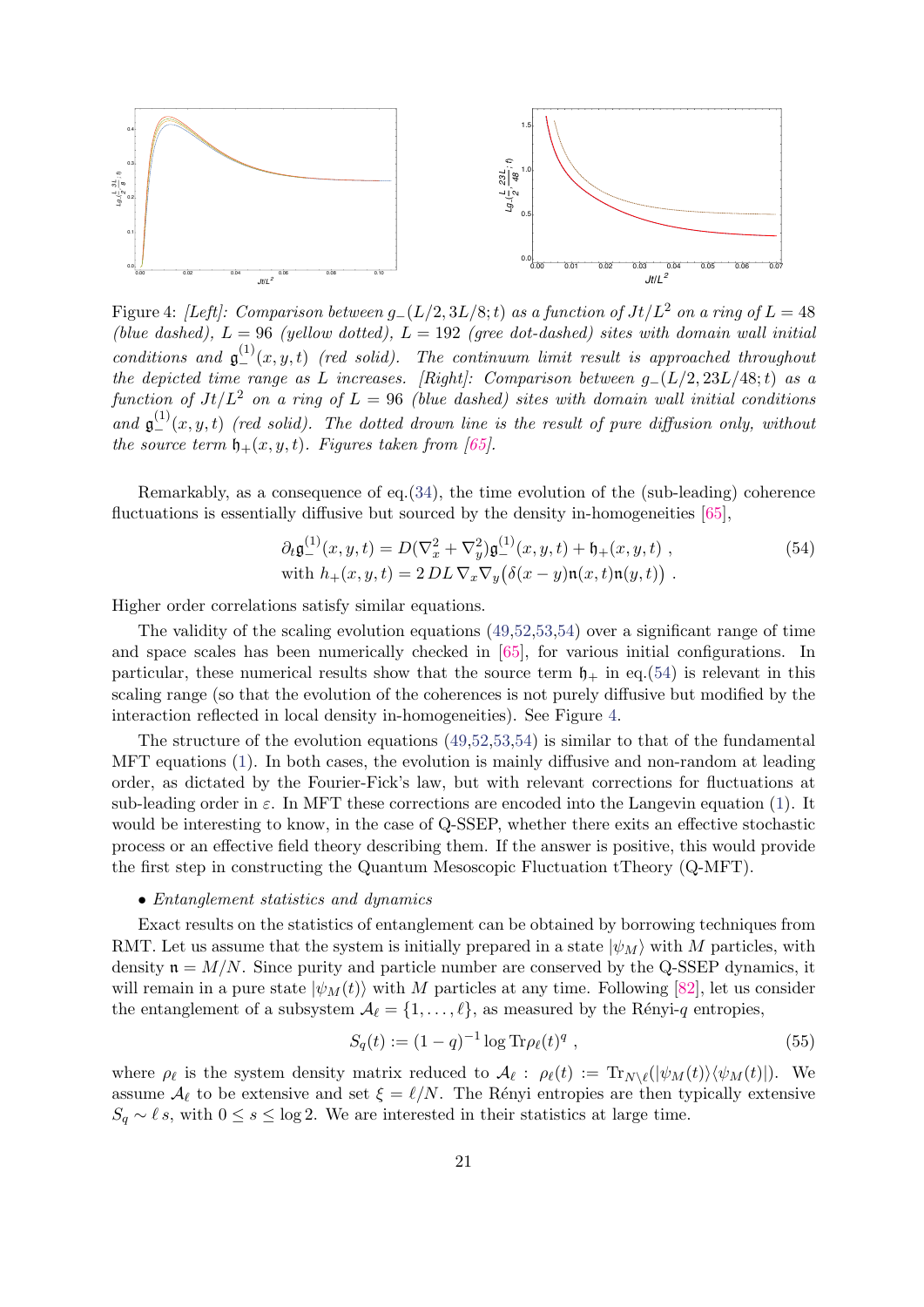

<span id="page-20-1"></span>Figure 4: [Left]: Comparison between  $g_-(L/2, 3L/8; t)$  as a function of  $Jt/L^2$  on a ring of  $L = 48$ (blue dashed),  $L = 96$  (yellow dotted),  $L = 192$  (gree dot-dashed) sites with domain wall initial conditions and  $\mathfrak{g}^{(1)}_-(x,y,t)$  (red solid). The continuum limit result is approached throughout the depicted time range as L increases. [Right]: Comparison between  $g_-(L/2, 23L/48; t)$  as a function of  $Jt/L^2$  on a ring of  $L = 96$  (blue dashed) sites with domain wall initial conditions and  $\mathfrak{g}^{(1)}_-(x,y,t)$  (red solid). The dotted drown line is the result of pure diffusion only, without the source term  $\mathfrak{h}_+(x, y, t)$ . Figures taken from [\[65\]](#page-32-2).

Remarkably, as a consequence of eq.[\(34\)](#page-15-3), the time evolution of the (sub-leading) coherence fluctuations is essentially diffusive but sourced by the density in-homogeneities [\[65\]](#page-32-2),

<span id="page-20-0"></span>
$$
\partial_t \mathfrak{g}_{-}^{(1)}(x, y, t) = D(\nabla_x^2 + \nabla_y^2) \mathfrak{g}_{-}^{(1)}(x, y, t) + \mathfrak{h}_+(x, y, t) ,
$$
\n
$$
\text{with } h_+(x, y, t) = 2 \, DL \, \nabla_x \nabla_y \big( \delta(x - y) \mathfrak{n}(x, t) \mathfrak{n}(y, t) \big) . \tag{54}
$$

Higher order correlations satisfy similar equations.

The validity of the scaling evolution equations  $(49.52.53.54)$  $(49.52.53.54)$  over a significant range of time and space scales has been numerically checked in [\[65\]](#page-32-2), for various initial configurations. In particular, these numerical results show that the source term  $\mathfrak{h}_+$  in eq.[\(54\)](#page-20-0) is relevant in this scaling range (so that the evolution of the coherences is not purely diffusive but modified by the interaction reflected in local density in-homogeneities). See Figure [4.](#page-20-1)

The structure of the evolution equations [\(49,](#page-19-1)[52,](#page-19-2)[53,](#page-19-3)[54\)](#page-20-0) is similar to that of the fundamental MFT equations [\(1\)](#page-2-5). In both cases, the evolution is mainly diffusive and non-random at leading order, as dictated by the Fourier-Fick's law, but with relevant corrections for fluctuations at sub-leading order in  $\varepsilon$ . In MFT these corrections are encoded into the Langevin equation [\(1\)](#page-2-5). It would be interesting to know, in the case of Q-SSEP, whether there exits an effective stochastic process or an effective field theory describing them. If the answer is positive, this would provide the first step in constructing the Quantum Mesoscopic Fluctuation tTheory (Q-MFT).

#### • Entanglement statistics and dynamics

Exact results on the statistics of entanglement can be obtained by borrowing techniques from RMT. Let us assume that the system is initially prepared in a state  $|\psi_M\rangle$  with M particles, with density  $\mathfrak{n} = M/N$ . Since purity and particle number are conserved by the Q-SSEP dynamics, it will remain in a pure state  $|\psi_M(t)\rangle$  with M particles at any time. Following [\[82\]](#page-33-1), let us consider the entanglement of a subsystem  $\mathcal{A}_{\ell} = \{1, \ldots, \ell\}$ , as measured by the Rényi-q entropies,

$$
S_q(t) := (1 - q)^{-1} \log \text{Tr} \rho_\ell(t)^q \tag{55}
$$

where  $\rho_{\ell}$  is the system density matrix reduced to  $\mathcal{A}_{\ell}$ :  $\rho_{\ell}(t) := {\rm Tr}_{N \setminus \ell}(|\psi_M(t)\rangle \langle \psi_M(t)|)$ . We assume  $\mathcal{A}_{\ell}$  to be extensive and set  $\xi = \ell/N$ . The Rényi entropies are then typically extensive  $S_q \sim \ell s$ , with  $0 \le s \le \log 2$ . We are interested in their statistics at large time.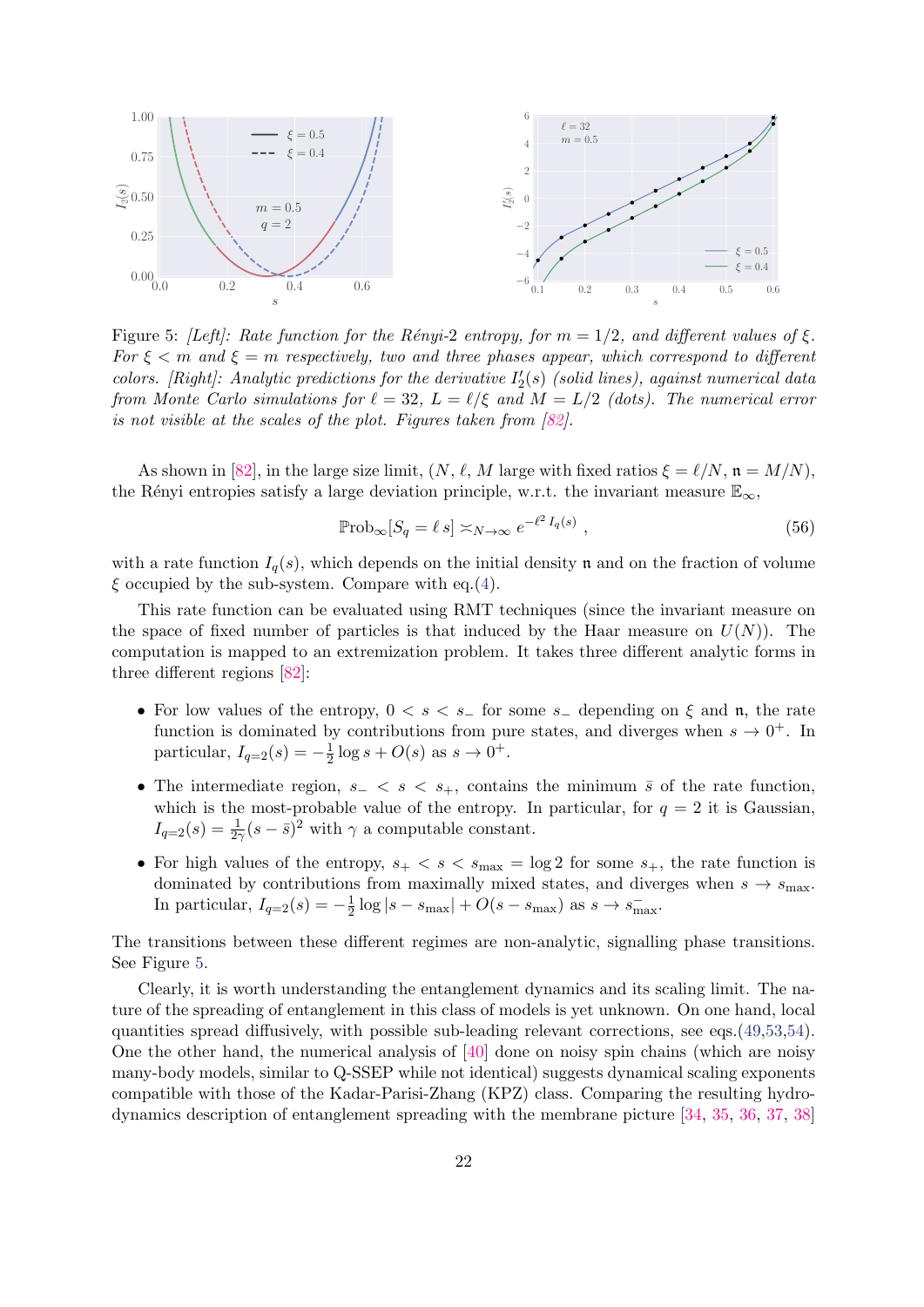

<span id="page-21-0"></span>Figure 5: [Left]: Rate function for the Rényi-2 entropy, for  $m = 1/2$ , and different values of  $\xi$ . For  $\xi < m$  and  $\xi = m$  respectively, two and three phases appear, which correspond to different colors. [Right]: Analytic predictions for the derivative  $I_2'(s)$  (solid lines), against numerical data from Monte Carlo simulations for  $\ell = 32$ ,  $L = \ell/\xi$  and  $M = L/2$  (dots). The numerical error is not visible at the scales of the plot. Figures taken from [\[82\]](#page-33-1).

As shown in [\[82\]](#page-33-1), in the large size limit,  $(N, \ell, M)$  large with fixed ratios  $\xi = \ell/N$ ,  $\mathfrak{n} = M/N$ ), the Rényi entropies satisfy a large deviation principle, w.r.t. the invariant measure  $\mathbb{E}_{\infty}$ ,

$$
\mathbb{P}\mathrm{rob}_{\infty}[S_q = \ell s] \asymp_{N \to \infty} e^{-\ell^2 I_q(s)}, \qquad (56)
$$

with a rate function  $I_q(s)$ , which depends on the initial density n and on the fraction of volume  $\xi$  occupied by the sub-system. Compare with eq.[\(4\)](#page-3-3).

This rate function can be evaluated using RMT techniques (since the invariant measure on the space of fixed number of particles is that induced by the Haar measure on  $U(N)$ ). The computation is mapped to an extremization problem. It takes three different analytic forms in three different regions [\[82\]](#page-33-1):

- For low values of the entropy,  $0 \lt s \lt s_$  for some  $s_$  depending on  $\xi$  and  $\mathfrak{n}$ , the rate function is dominated by contributions from pure states, and diverges when  $s \to 0^+$ . In particular,  $I_{q=2}(s) = -\frac{1}{2}$  $\frac{1}{2} \log s + O(s)$  as  $s \to 0^+$ .
- The intermediate region,  $s- < s < s_+$ , contains the minimum  $\bar{s}$  of the rate function, which is the most-probable value of the entropy. In particular, for  $q = 2$  it is Gaussian,  $I_{q=2}(s) = \frac{1}{2\gamma}(s-\bar{s})^2$  with  $\gamma$  a computable constant.
- For high values of the entropy,  $s_+ < s < s_{\text{max}} = \log 2$  for some  $s_+$ , the rate function is dominated by contributions from maximally mixed states, and diverges when  $s \to s_{\text{max}}$ . In particular,  $I_{q=2}(s) = -\frac{1}{2}$  $\frac{1}{2}\log|s-s_{\max}| + O(s-s_{\max})$  as  $s \to s_{\max}^-$ .

The transitions between these different regimes are non-analytic, signalling phase transitions. See Figure [5.](#page-21-0)

Clearly, it is worth understanding the entanglement dynamics and its scaling limit. The nature of the spreading of entanglement in this class of models is yet unknown. On one hand, local quantities spread diffusively, with possible sub-leading relevant corrections, see eqs.[\(49,](#page-19-1)[53,](#page-19-3)[54\)](#page-20-0). One the other hand, the numerical analysis of [\[40\]](#page-30-12) done on noisy spin chains (which are noisy many-body models, similar to Q-SSEP while not identical) suggests dynamical scaling exponents compatible with those of the Kadar-Parisi-Zhang (KPZ) class. Comparing the resulting hydrodynamics description of entanglement spreading with the membrane picture [\[34,](#page-30-6) [35,](#page-30-7) [36,](#page-30-8) [37,](#page-30-9) [38\]](#page-30-10)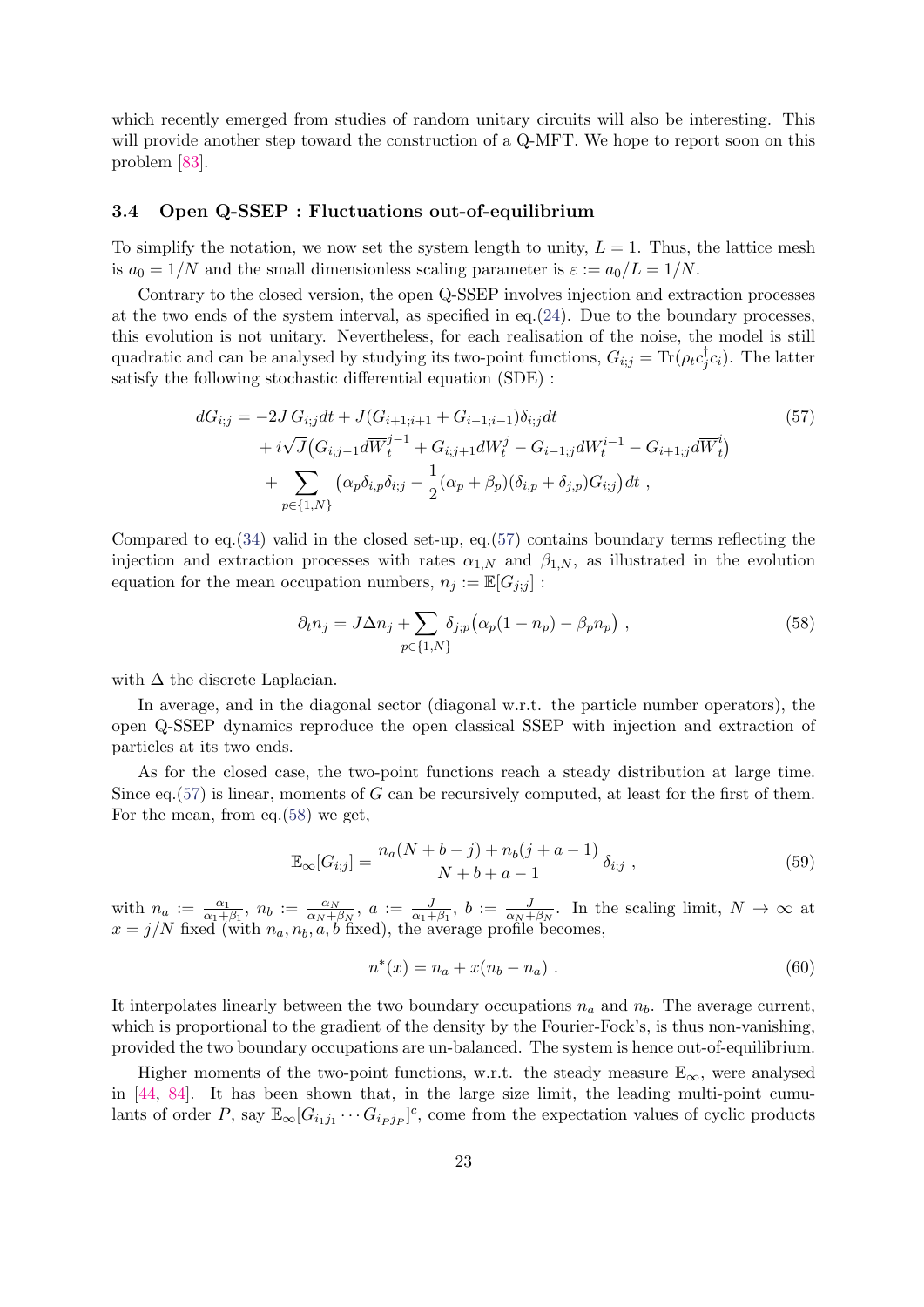which recently emerged from studies of random unitary circuits will also be interesting. This will provide another step toward the construction of a Q-MFT. We hope to report soon on this problem [\[83\]](#page-33-2).

## <span id="page-22-0"></span>3.4 Open Q-SSEP : Fluctuations out-of-equilibrium

To simplify the notation, we now set the system length to unity,  $L = 1$ . Thus, the lattice mesh is  $a_0 = 1/N$  and the small dimensionless scaling parameter is  $\varepsilon := a_0/L = 1/N$ .

Contrary to the closed version, the open Q-SSEP involves injection and extraction processes at the two ends of the system interval, as specified in eq.  $(24)$ . Due to the boundary processes, this evolution is not unitary. Nevertheless, for each realisation of the noise, the model is still quadratic and can be analysed by studying its two-point functions,  $G_{i,j} = \text{Tr}(\rho_t c_j^{\dagger})$  $\int_{j}^{\infty} c_i$ . The latter satisfy the following stochastic differential equation (SDE) :

$$
dG_{i;j} = -2J G_{i;j} dt + J(G_{i+1;i+1} + G_{i-1;i-1}) \delta_{i;j} dt
$$
  
+  $i\sqrt{J} (G_{i;j-1} d\overline{W}_t^{j-1} + G_{i;j+1} dW_t^j - G_{i-1;j} dW_t^{i-1} - G_{i+1;j} d\overline{W}_t^i)$   
+ 
$$
\sum_{p \in \{1,N\}} (\alpha_p \delta_{i,p} \delta_{i;j} - \frac{1}{2} (\alpha_p + \beta_p) (\delta_{i,p} + \delta_{j,p}) G_{i;j}) dt ,
$$
 (57)

Compared to eq.  $(34)$  valid in the closed set-up, eq.  $(57)$  contains boundary terms reflecting the injection and extraction processes with rates  $\alpha_{1,N}$  and  $\beta_{1,N}$ , as illustrated in the evolution equation for the mean occupation numbers,  $n_j := \mathbb{E}[G_{j,j}]$ :

<span id="page-22-2"></span><span id="page-22-1"></span>
$$
\partial_t n_j = J \Delta n_j + \sum_{p \in \{1, N\}} \delta_{j;p} \big( \alpha_p (1 - n_p) - \beta_p n_p \big) , \qquad (58)
$$

with  $\Delta$  the discrete Laplacian.

In average, and in the diagonal sector (diagonal w.r.t. the particle number operators), the open Q-SSEP dynamics reproduce the open classical SSEP with injection and extraction of particles at its two ends.

As for the closed case, the two-point functions reach a steady distribution at large time. Since eq.  $(57)$  is linear, moments of G can be recursively computed, at least for the first of them. For the mean, from eq.[\(58\)](#page-22-2) we get,

$$
\mathbb{E}_{\infty}[G_{i,j}] = \frac{n_a(N+b-j) + n_b(j+a-1)}{N+b+a-1} \delta_{i,j}, \qquad (59)
$$

with  $n_a := \frac{\alpha_1}{\alpha_1 + \beta_1}$ ,  $n_b := \frac{\alpha_N}{\alpha_N + \beta_1}$  $\frac{\alpha_N}{\alpha_N+\beta_N}$ ,  $a := \frac{J}{\alpha_1+\beta_1}$ ,  $b := \frac{J}{\alpha_N+\beta_N}$ . In the scaling limit,  $N \to \infty$  at  $x = j/N$  fixed (with  $n_a, n_b, a, b$  fixed), the average profile becomes,

$$
n^*(x) = n_a + x(n_b - n_a) \tag{60}
$$

It interpolates linearly between the two boundary occupations  $n_a$  and  $n_b$ . The average current, which is proportional to the gradient of the density by the Fourier-Fock's, is thus non-vanishing, provided the two boundary occupations are un-balanced. The system is hence out-of-equilibrium.

Higher moments of the two-point functions, w.r.t. the steady measure  $\mathbb{E}_{\infty}$ , were analysed in [\[44,](#page-30-16) [84\]](#page-33-3). It has been shown that, in the large size limit, the leading multi-point cumulants of order P, say  $\mathbb{E}_{\infty}[G_{i_1j_1}\cdots G_{i_Pj_P}]^c$ , come from the expectation values of cyclic products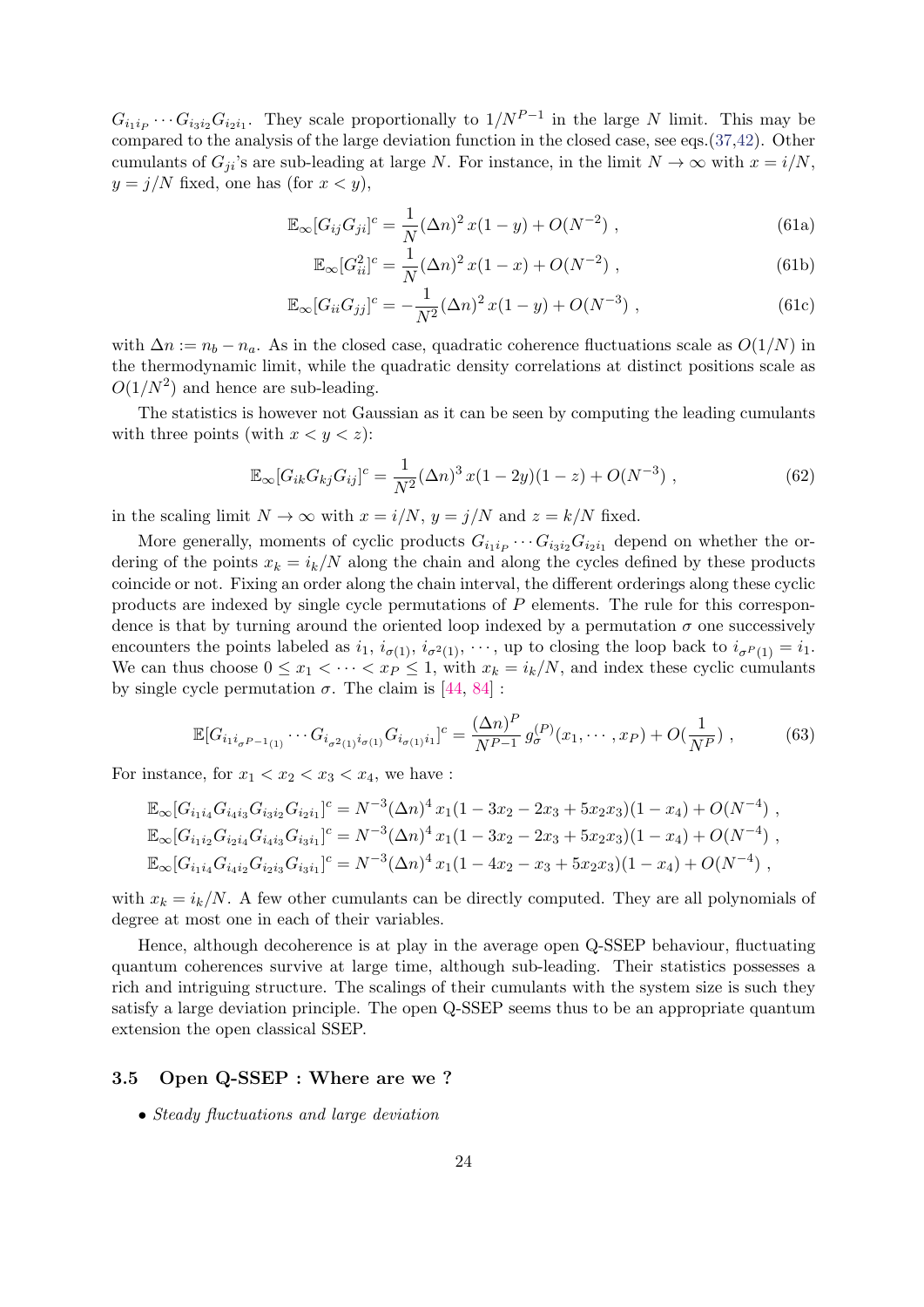$G_{i_1i_1}\cdots G_{i_3i_2}G_{i_2i_1}$ . They scale proportionally to  $1/N^{P-1}$  in the large N limit. This may be compared to the analysis of the large deviation function in the closed case, see eqs.[\(37,](#page-16-2)[42\)](#page-17-1). Other cumulants of  $G_{ii}$ 's are sub-leading at large N. For instance, in the limit  $N \to \infty$  with  $x = i/N$ ,  $y = j/N$  fixed, one has (for  $x < y$ ),

$$
\mathbb{E}_{\infty}[G_{ij}G_{ji}]^{c} = \frac{1}{N}(\Delta n)^{2}x(1-y) + O(N^{-2}), \qquad (61a)
$$

$$
\mathbb{E}_{\infty} [G_{ii}^2]^c = \frac{1}{N} (\Delta n)^2 x (1 - x) + O(N^{-2}), \qquad (61b)
$$

$$
\mathbb{E}_{\infty}[G_{ii}G_{jj}]^{c} = -\frac{1}{N^{2}}(\Delta n)^{2}x(1-y) + O(N^{-3}), \qquad (61c)
$$

with  $\Delta n := n_b - n_a$ . As in the closed case, quadratic coherence fluctuations scale as  $O(1/N)$  in the thermodynamic limit, while the quadratic density correlations at distinct positions scale as  $O(1/N^2)$  and hence are sub-leading.

The statistics is however not Gaussian as it can be seen by computing the leading cumulants with three points (with  $x < y < z$ ):

$$
\mathbb{E}_{\infty}[G_{ik}G_{kj}G_{ij}]^{c} = \frac{1}{N^{2}}(\Delta n)^{3}x(1-2y)(1-z) + O(N^{-3}), \qquad (62)
$$

in the scaling limit  $N \to \infty$  with  $x = i/N$ ,  $y = j/N$  and  $z = k/N$  fixed.

More generally, moments of cyclic products  $G_{i_1 i_1} \cdots G_{i_3 i_2} G_{i_2 i_1}$  depend on whether the ordering of the points  $x_k = i_k/N$  along the chain and along the cycles defined by these products coincide or not. Fixing an order along the chain interval, the different orderings along these cyclic products are indexed by single cycle permutations of  $P$  elements. The rule for this correspondence is that by turning around the oriented loop indexed by a permutation  $\sigma$  one successively encounters the points labeled as  $i_1$ ,  $i_{\sigma(1)}$ ,  $i_{\sigma^2(1)}$ ,  $\cdots$ , up to closing the loop back to  $i_{\sigma^P(1)} = i_1$ . We can thus choose  $0 \le x_1 < \cdots < x_P \le 1$ , with  $x_k = i_k/N$ , and index these cyclic cumulants by single cycle permutation  $\sigma$ . The claim is [\[44,](#page-30-16) [84\]](#page-33-3) :

$$
\mathbb{E}[G_{i_1 i_{\sigma} P-1_{(1)}} \cdots G_{i_{\sigma^2(1)} i_{\sigma(1)}} G_{i_{\sigma(1)} i_1}]^c = \frac{(\Delta n)^P}{N^{P-1}} g_{\sigma}^{(P)}(x_1, \cdots, x_P) + O(\frac{1}{N^P}), \tag{63}
$$

For instance, for  $x_1 < x_2 < x_3 < x_4$ , we have :

$$
\mathbb{E}_{\infty}[G_{i_1i_4}G_{i_4i_3}G_{i_3i_2}G_{i_2i_1}]^c = N^{-3}(\Delta n)^4 x_1(1 - 3x_2 - 2x_3 + 5x_2x_3)(1 - x_4) + O(N^{-4}),
$$
  
\n
$$
\mathbb{E}_{\infty}[G_{i_1i_2}G_{i_2i_4}G_{i_4i_3}G_{i_3i_1}]^c = N^{-3}(\Delta n)^4 x_1(1 - 3x_2 - 2x_3 + 5x_2x_3)(1 - x_4) + O(N^{-4}),
$$
  
\n
$$
\mathbb{E}_{\infty}[G_{i_1i_4}G_{i_4i_2}G_{i_2i_3}G_{i_3i_1}]^c = N^{-3}(\Delta n)^4 x_1(1 - 4x_2 - x_3 + 5x_2x_3)(1 - x_4) + O(N^{-4}),
$$

with  $x_k = i_k/N$ . A few other cumulants can be directly computed. They are all polynomials of degree at most one in each of their variables.

Hence, although decoherence is at play in the average open Q-SSEP behaviour, fluctuating quantum coherences survive at large time, although sub-leading. Their statistics possesses a rich and intriguing structure. The scalings of their cumulants with the system size is such they satisfy a large deviation principle. The open Q-SSEP seems thus to be an appropriate quantum extension the open classical SSEP.

## <span id="page-23-0"></span>3.5 Open Q-SSEP : Where are we ?

• Steady fluctuations and large deviation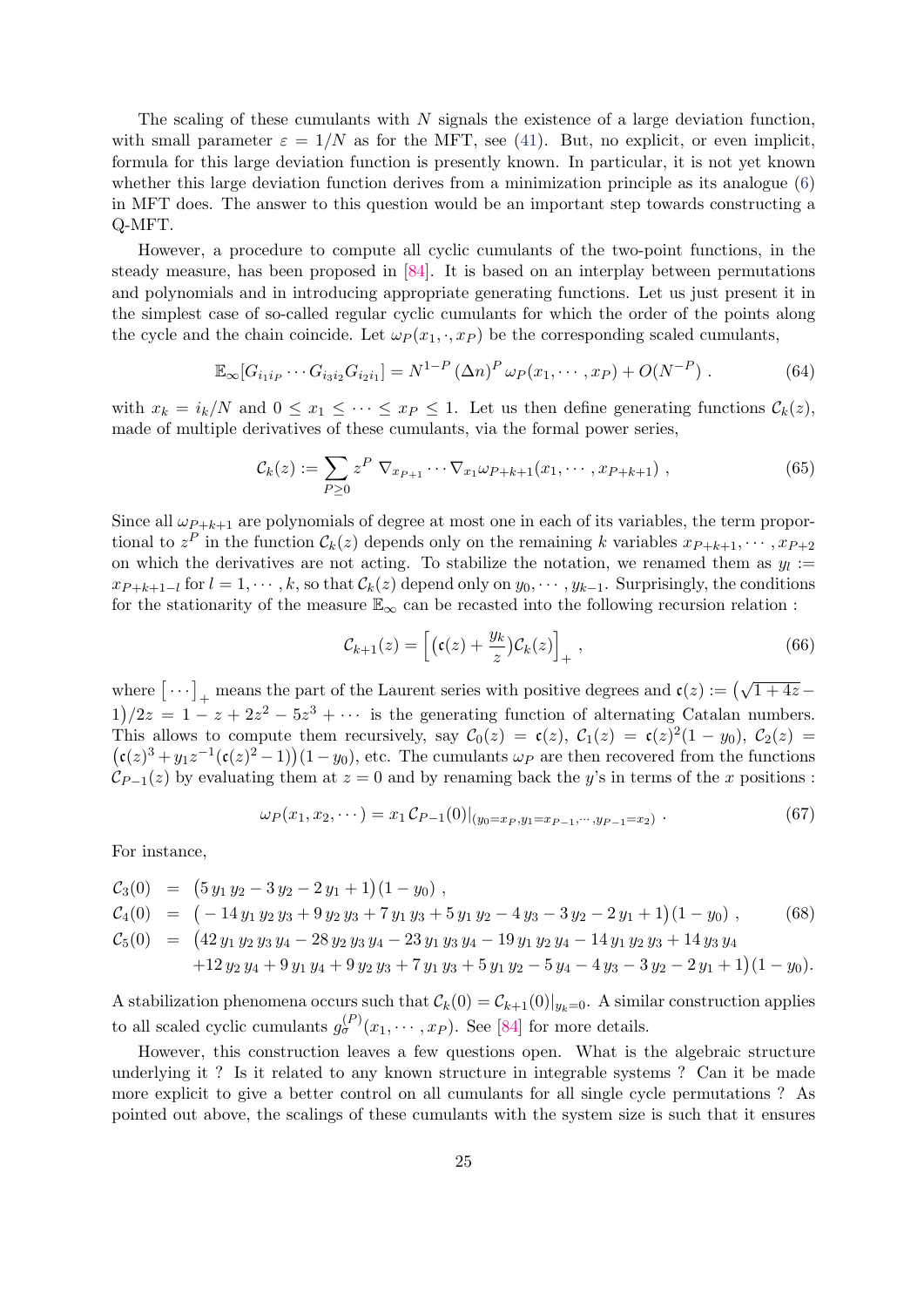The scaling of these cumulants with N signals the existence of a large deviation function, with small parameter  $\varepsilon = 1/N$  as for the MFT, see [\(41\)](#page-17-0). But, no explicit, or even implicit, formula for this large deviation function is presently known. In particular, it is not yet known whether this large deviation function derives from a minimization principle as its analogue [\(6\)](#page-4-3) in MFT does. The answer to this question would be an important step towards constructing a Q-MFT.

However, a procedure to compute all cyclic cumulants of the two-point functions, in the steady measure, has been proposed in [\[84\]](#page-33-3). It is based on an interplay between permutations and polynomials and in introducing appropriate generating functions. Let us just present it in the simplest case of so-called regular cyclic cumulants for which the order of the points along the cycle and the chain coincide. Let  $\omega_P(x_1, \cdot, x_P)$  be the corresponding scaled cumulants,

$$
\mathbb{E}_{\infty}[G_{i_1i_P}\cdots G_{i_3i_2}G_{i_2i_1}] = N^{1-P} (\Delta n)^P \,\omega_P(x_1,\cdots,x_P) + O(N^{-P}). \tag{64}
$$

with  $x_k = i_k/N$  and  $0 \le x_1 \le \cdots \le x_p \le 1$ . Let us then define generating functions  $\mathcal{C}_k(z)$ , made of multiple derivatives of these cumulants, via the formal power series,

$$
\mathcal{C}_k(z) := \sum_{P \ge 0} z^P \nabla_{x_{P+1}} \cdots \nabla_{x_1} \omega_{P+k+1}(x_1, \cdots, x_{P+k+1}), \qquad (65)
$$

Since all  $\omega_{P+k+1}$  are polynomials of degree at most one in each of its variables, the term proportional to  $z^P$  in the function  $\mathcal{C}_k(z)$  depends only on the remaining k variables  $x_{P+k+1}, \cdots, x_{P+2}$ on which the derivatives are not acting. To stabilize the notation, we renamed them as  $y_l :=$  $x_{P+k+1-l}$  for  $l=1,\cdots,k$ , so that  $\mathcal{C}_k(z)$  depend only on  $y_0,\cdots,y_{k-1}$ . Surprisingly, the conditions for the stationarity of the measure  $\mathbb{E}_{\infty}$  can be recasted into the following recursion relation :

<span id="page-24-1"></span>
$$
\mathcal{C}_{k+1}(z) = \left[ \left( \mathfrak{c}(z) + \frac{y_k}{z} \right) \mathcal{C}_k(z) \right]_+, \tag{66}
$$

where  $\left[\cdots\right]_+$  means the part of the Laurent series with positive degrees and  $\mathfrak{c}(z) := (\sqrt{1+4z} 1/2z = 1 - z + 2z^2 - 5z^3 + \cdots$  is the generating function of alternating Catalan numbers. This allows to compute them recursively, say  $C_0(z) = c(z)$ ,  $C_1(z) = c(z)^2(1 - y_0)$ ,  $C_2(z) = c(z)$  $(c(z)^3 + y_1z^{-1}(c(z)^2 - 1))(1 - y_0)$ , etc. The cumulants  $\omega_P$  are then recovered from the functions  $\mathcal{C}_{P-1}(z)$  by evaluating them at  $z = 0$  and by renaming back the y's in terms of the x positions :

$$
\omega_P(x_1, x_2, \cdots) = x_1 C_{P-1}(0)|_{(y_0 = x_P, y_1 = x_{P-1}, \cdots, y_{P-1} = x_2)}.
$$
\n(67)

For instance,

<span id="page-24-0"></span>
$$
C_3(0) = (5 y_1 y_2 - 3 y_2 - 2 y_1 + 1)(1 - y_0),
$$
  
\n
$$
C_4(0) = (-14 y_1 y_2 y_3 + 9 y_2 y_3 + 7 y_1 y_3 + 5 y_1 y_2 - 4 y_3 - 3 y_2 - 2 y_1 + 1)(1 - y_0),
$$
  
\n
$$
C_5(0) = (42 y_1 y_2 y_3 y_4 - 28 y_2 y_3 y_4 - 23 y_1 y_3 y_4 - 19 y_1 y_2 y_4 - 14 y_1 y_2 y_3 + 14 y_3 y_4
$$
  
\n
$$
+ 12 y_2 y_4 + 9 y_1 y_4 + 9 y_2 y_3 + 7 y_1 y_3 + 5 y_1 y_2 - 5 y_4 - 4 y_3 - 3 y_2 - 2 y_1 + 1)(1 - y_0).
$$
\n(68)

A stabilization phenomena occurs such that  $\mathcal{C}_k(0) = \mathcal{C}_{k+1}(0)|_{y_k=0}$ . A similar construction applies to all scaled cyclic cumulants  $g_{\sigma}^{(P)}(x_1,\dots,x_P)$ . See [\[84\]](#page-33-3) for more details.

However, this construction leaves a few questions open. What is the algebraic structure underlying it ? Is it related to any known structure in integrable systems ? Can it be made more explicit to give a better control on all cumulants for all single cycle permutations ? As pointed out above, the scalings of these cumulants with the system size is such that it ensures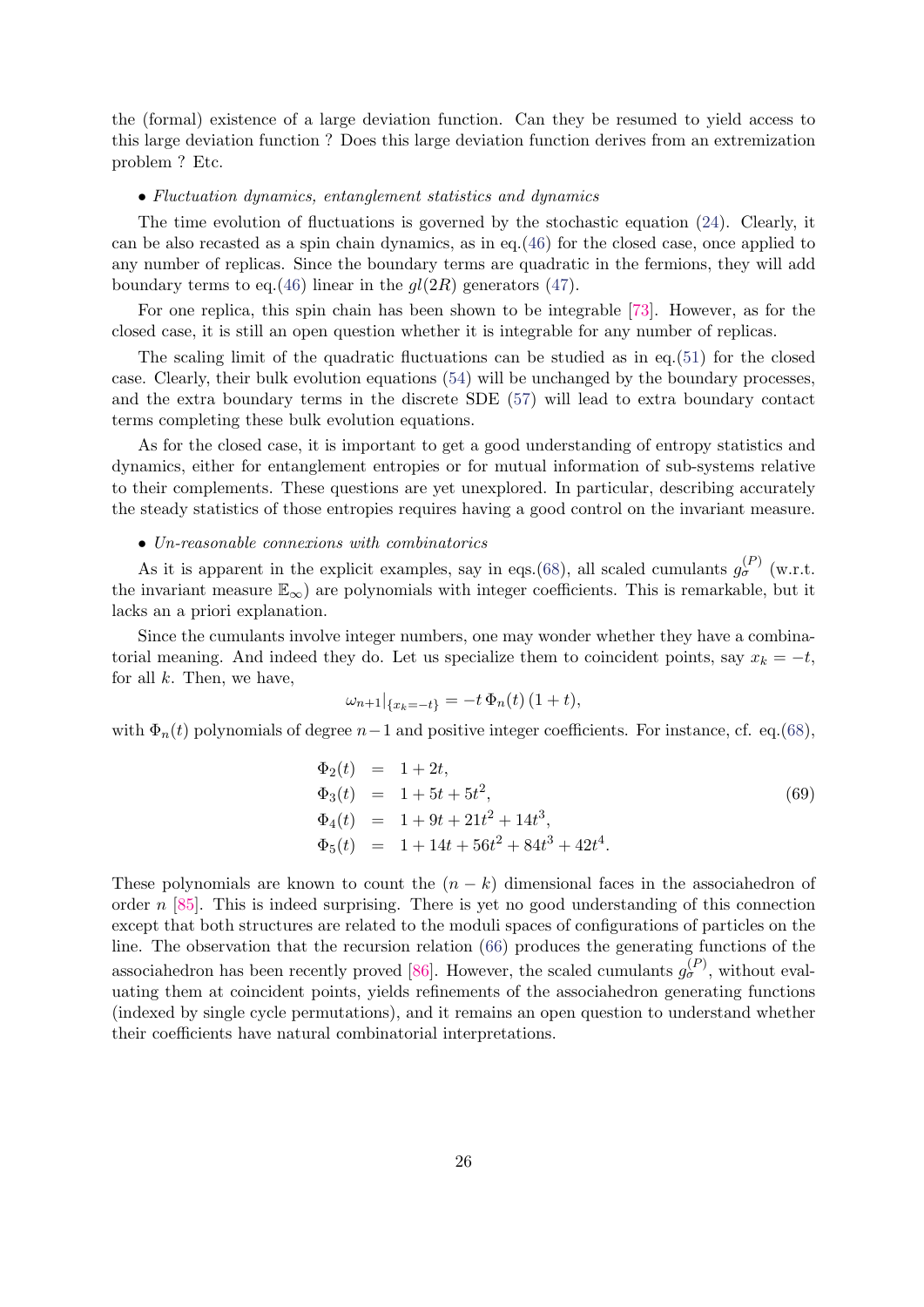the (formal) existence of a large deviation function. Can they be resumed to yield access to this large deviation function ? Does this large deviation function derives from an extremization problem ? Etc.

#### • Fluctuation dynamics, entanglement statistics and dynamics

The time evolution of fluctuations is governed by the stochastic equation [\(24\)](#page-13-2). Clearly, it can be also recasted as a spin chain dynamics, as in eq.[\(46\)](#page-18-2) for the closed case, once applied to any number of replicas. Since the boundary terms are quadratic in the fermions, they will add boundary terms to eq.[\(46\)](#page-18-2) linear in the  $gl(2R)$  generators [\(47\)](#page-18-3).

For one replica, this spin chain has been shown to be integrable [\[73\]](#page-32-10). However, as for the closed case, it is still an open question whether it is integrable for any number of replicas.

The scaling limit of the quadratic fluctuations can be studied as in eq.[\(51\)](#page-19-4) for the closed case. Clearly, their bulk evolution equations [\(54\)](#page-20-0) will be unchanged by the boundary processes, and the extra boundary terms in the discrete SDE [\(57\)](#page-22-1) will lead to extra boundary contact terms completing these bulk evolution equations.

As for the closed case, it is important to get a good understanding of entropy statistics and dynamics, either for entanglement entropies or for mutual information of sub-systems relative to their complements. These questions are yet unexplored. In particular, describing accurately the steady statistics of those entropies requires having a good control on the invariant measure.

#### • Un-reasonable connexions with combinatorics

As it is apparent in the explicit examples, say in eqs.[\(68\)](#page-24-0), all scaled cumulants  $g_{\sigma}^{(P)}$  (w.r.t. the invariant measure  $\mathbb{E}_{\infty}$ ) are polynomials with integer coefficients. This is remarkable, but it lacks an a priori explanation.

Since the cumulants involve integer numbers, one may wonder whether they have a combinatorial meaning. And indeed they do. Let us specialize them to coincident points, say  $x_k = -t$ , for all  $k$ . Then, we have,

$$
\omega_{n+1}|_{\{x_k = -t\}} = -t \, \Phi_n(t) \, (1+t),
$$

with  $\Phi_n(t)$  polynomials of degree  $n-1$  and positive integer coefficients. For instance, cf. eq.[\(68\)](#page-24-0),

$$
\Phi_2(t) = 1 + 2t,\n\Phi_3(t) = 1 + 5t + 5t^2,\n\Phi_4(t) = 1 + 9t + 21t^2 + 14t^3,\n\Phi_5(t) = 1 + 14t + 56t^2 + 84t^3 + 42t^4.
$$
\n(69)

These polynomials are known to count the  $(n - k)$  dimensional faces in the associahedron of order  $n$  [\[85\]](#page-33-4). This is indeed surprising. There is yet no good understanding of this connection except that both structures are related to the moduli spaces of configurations of particles on the line. The observation that the recursion relation [\(66\)](#page-24-1) produces the generating functions of the associahedron has been recently proved [\[86\]](#page-33-5). However, the scaled cumulants  $g_{\sigma}^{(P)}$ , without evaluating them at coincident points, yields refinements of the associahedron generating functions (indexed by single cycle permutations), and it remains an open question to understand whether their coefficients have natural combinatorial interpretations.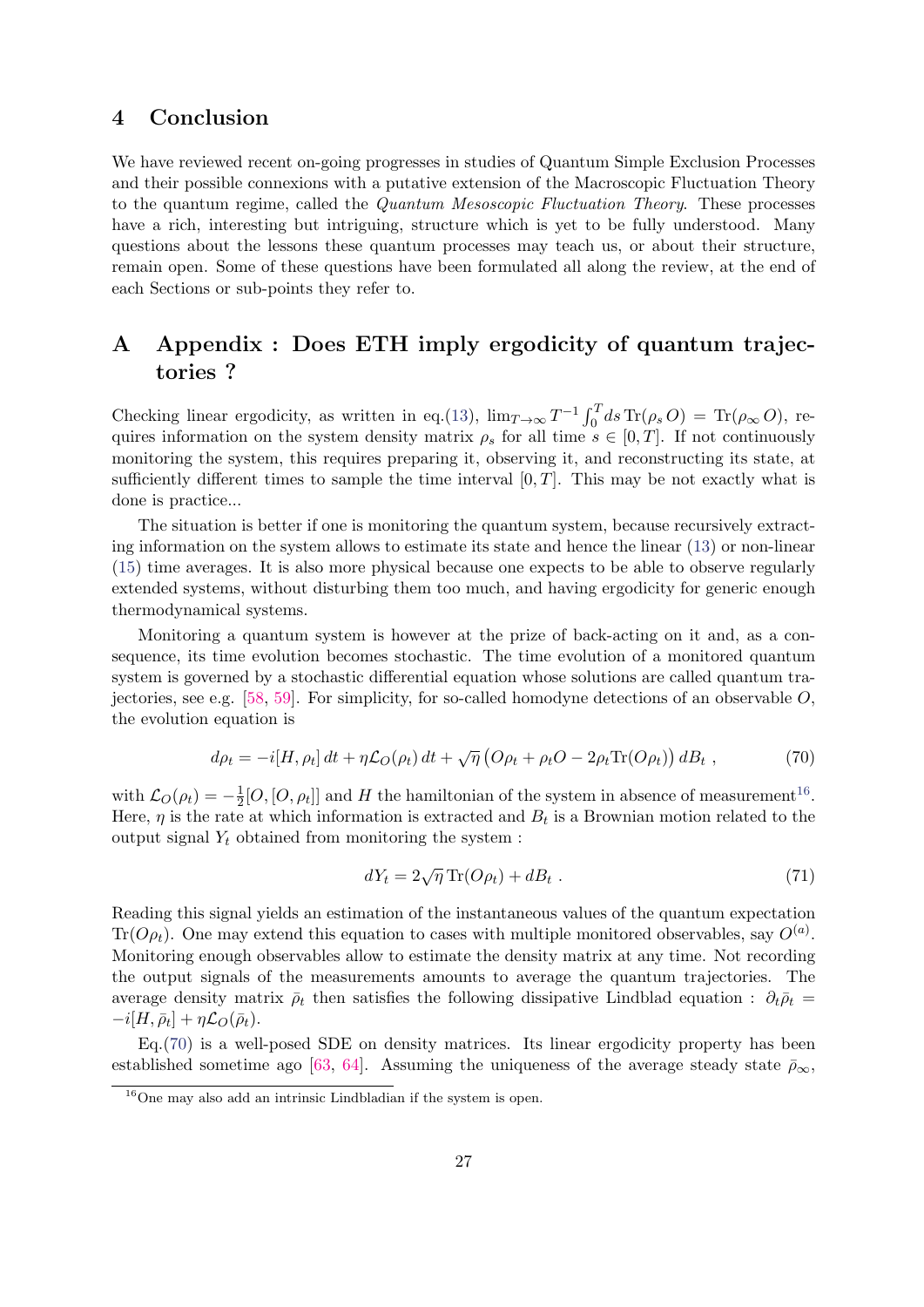# <span id="page-26-0"></span>4 Conclusion

We have reviewed recent on-going progresses in studies of Quantum Simple Exclusion Processes and their possible connexions with a putative extension of the Macroscopic Fluctuation Theory to the quantum regime, called the Quantum Mesoscopic Fluctuation Theory. These processes have a rich, interesting but intriguing, structure which is yet to be fully understood. Many questions about the lessons these quantum processes may teach us, or about their structure, remain open. Some of these questions have been formulated all along the review, at the end of each Sections or sub-points they refer to.

# <span id="page-26-1"></span>A Appendix : Does ETH imply ergodicity of quantum trajectories ?

Checking linear ergodicity, as written in eq.[\(13\)](#page-8-3),  $\lim_{T\to\infty} T^{-1} \int_0^T ds \operatorname{Tr}(\rho_s O) = \operatorname{Tr}(\rho_\infty O)$ , requires information on the system density matrix  $\rho_s$  for all time  $s \in [0, T]$ . If not continuously monitoring the system, this requires preparing it, observing it, and reconstructing its state, at sufficiently different times to sample the time interval  $[0, T]$ . This may be not exactly what is done is practice...

The situation is better if one is monitoring the quantum system, because recursively extracting information on the system allows to estimate its state and hence the linear [\(13\)](#page-8-3) or non-linear [\(15\)](#page-9-2) time averages. It is also more physical because one expects to be able to observe regularly extended systems, without disturbing them too much, and having ergodicity for generic enough thermodynamical systems.

Monitoring a quantum system is however at the prize of back-acting on it and, as a consequence, its time evolution becomes stochastic. The time evolution of a monitored quantum system is governed by a stochastic differential equation whose solutions are called quantum tra-jectories, see e.g. [\[58,](#page-31-12) [59\]](#page-31-13). For simplicity, for so-called homodyne detections of an observable  $O$ , the evolution equation is

<span id="page-26-3"></span>
$$
d\rho_t = -i[H, \rho_t] dt + \eta \mathcal{L}_O(\rho_t) dt + \sqrt{\eta} \left( O \rho_t + \rho_t O - 2\rho_t \text{Tr}(O \rho_t) \right) dB_t , \qquad (70)
$$

with  $\mathcal{L}_O(\rho_t) = -\frac{1}{2}$  $\frac{1}{2}[O,[O,\rho_t]]$  and H the hamiltonian of the system in absence of measurement<sup>[16](#page-26-2)</sup>. Here,  $\eta$  is the rate at which information is extracted and  $B_t$  is a Brownian motion related to the output signal  $Y_t$  obtained from monitoring the system :

$$
dY_t = 2\sqrt{\eta} \operatorname{Tr}(O\rho_t) + dB_t \tag{71}
$$

Reading this signal yields an estimation of the instantaneous values of the quantum expectation Tr( $O\rho_t$ ). One may extend this equation to cases with multiple monitored observables, say  $O^{(a)}$ . Monitoring enough observables allow to estimate the density matrix at any time. Not recording the output signals of the measurements amounts to average the quantum trajectories. The average density matrix  $\bar{\rho}_t$  then satisfies the following dissipative Lindblad equation :  $\partial_t \bar{\rho}_t =$  $-i[H,\bar{\rho}_t]+\eta\mathcal{L}_O(\bar{\rho}_t).$ 

Eq.[\(70\)](#page-26-3) is a well-posed SDE on density matrices. Its linear ergodicity property has been established sometime ago [\[63,](#page-32-0) [64\]](#page-32-1). Assuming the uniqueness of the average steady state  $\bar{\rho}_{\infty}$ ,

<span id="page-26-2"></span> $16$ One may also add an intrinsic Lindbladian if the system is open.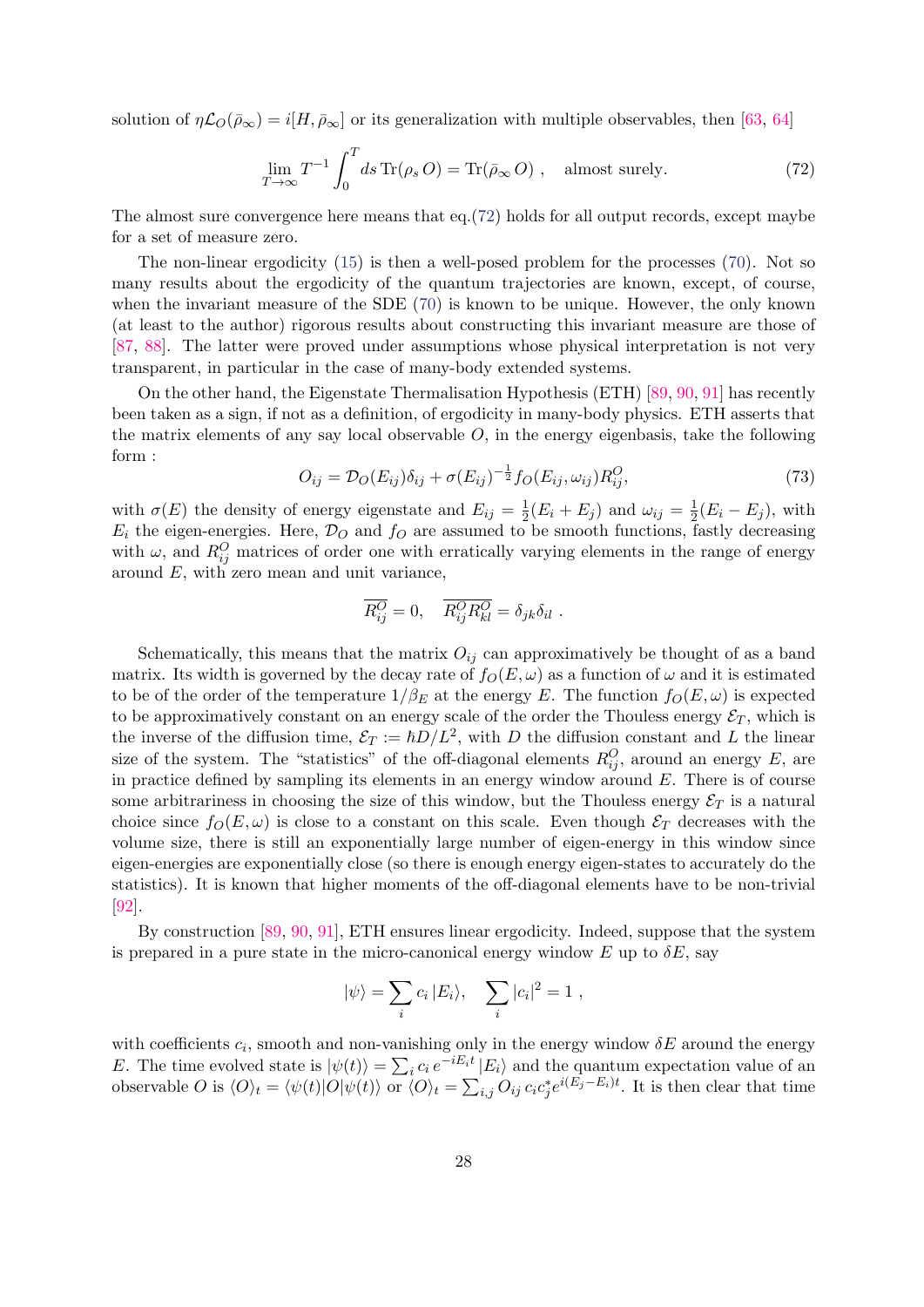solution of  $\eta\mathcal{L}_O(\bar{\rho}_{\infty})=i[H,\bar{\rho}_{\infty}]$  or its generalization with multiple observables, then [\[63,](#page-32-0) [64\]](#page-32-1)

<span id="page-27-0"></span>
$$
\lim_{T \to \infty} T^{-1} \int_0^T ds \operatorname{Tr}(\rho_s O) = \operatorname{Tr}(\bar{\rho}_{\infty} O) , \quad \text{almost surely.} \tag{72}
$$

The almost sure convergence here means that eq.[\(72\)](#page-27-0) holds for all output records, except maybe for a set of measure zero.

The non-linear ergodicity [\(15\)](#page-9-2) is then a well-posed problem for the processes [\(70\)](#page-26-3). Not so many results about the ergodicity of the quantum trajectories are known, except, of course, when the invariant measure of the SDE [\(70\)](#page-26-3) is known to be unique. However, the only known (at least to the author) rigorous results about constructing this invariant measure are those of [\[87,](#page-33-6) [88\]](#page-33-7). The latter were proved under assumptions whose physical interpretation is not very transparent, in particular in the case of many-body extended systems.

On the other hand, the Eigenstate Thermalisation Hypothesis (ETH) [\[89,](#page-33-8) [90,](#page-33-9) [91\]](#page-33-10) has recently been taken as a sign, if not as a definition, of ergodicity in many-body physics. ETH asserts that the matrix elements of any say local observable  $O$ , in the energy eigenbasis, take the following form :

$$
O_{ij} = \mathcal{D}_O(E_{ij})\delta_{ij} + \sigma(E_{ij})^{-\frac{1}{2}}f_O(E_{ij}, \omega_{ij})R_{ij}^O,
$$
\n(73)

with  $\sigma(E)$  the density of energy eigenstate and  $E_{ij} = \frac{1}{2}$  $\frac{1}{2}(E_i + E_j)$  and  $\omega_{ij} = \frac{1}{2}$  $\frac{1}{2}(E_i - E_j)$ , with  $E_i$  the eigen-energies. Here,  $\mathcal{D}_O$  and  $f_O$  are assumed to be smooth functions, fastly decreasing with  $\omega$ , and  $R_{ij}^O$  matrices of order one with erratically varying elements in the range of energy around  $E$ , with zero mean and unit variance,

$$
\overline{R_{ij}^O} = 0, \quad \overline{R_{ij}^O R_{kl}^O} = \delta_{jk} \delta_{il} .
$$

Schematically, this means that the matrix  $O_{ij}$  can approximatively be thought of as a band matrix. Its width is governed by the decay rate of  $f_O(E, \omega)$  as a function of  $\omega$  and it is estimated to be of the order of the temperature  $1/\beta_E$  at the energy E. The function  $f_O(E, \omega)$  is expected to be approximatively constant on an energy scale of the order the Thouless energy  $\mathcal{E}_T$ , which is the inverse of the diffusion time,  $\mathcal{E}_T := \hbar D/L^2$ , with D the diffusion constant and L the linear size of the system. The "statistics" of the off-diagonal elements  $R_{ij}^O$ , around an energy E, are in practice defined by sampling its elements in an energy window around  $E$ . There is of course some arbitrariness in choosing the size of this window, but the Thouless energy  $\mathcal{E}_T$  is a natural choice since  $f_O(E, \omega)$  is close to a constant on this scale. Even though  $\mathcal{E}_T$  decreases with the volume size, there is still an exponentially large number of eigen-energy in this window since eigen-energies are exponentially close (so there is enough energy eigen-states to accurately do the statistics). It is known that higher moments of the off-diagonal elements have to be non-trivial [\[92\]](#page-33-11).

By construction [\[89,](#page-33-8) [90,](#page-33-9) [91\]](#page-33-10), ETH ensures linear ergodicity. Indeed, suppose that the system is prepared in a pure state in the micro-canonical energy window E up to  $\delta E$ , say

$$
|\psi\rangle = \sum_i c_i |E_i\rangle, \quad \sum_i |c_i|^2 = 1 ,
$$

with coefficients  $c_i$ , smooth and non-vanishing only in the energy window  $\delta E$  around the energy E. The time evolved state is  $|\psi(t)\rangle = \sum_i c_i e^{-iE_i t} |E_i\rangle$  and the quantum expectation value of an observable O is  $\langle O \rangle_t = \langle \psi(t) | O | \psi(t) \rangle$  or  $\langle O \rangle_t = \sum_{i,j} O_{ij} c_i c_j^* e^{i(E_j - E_i)t}$ . It is then clear that time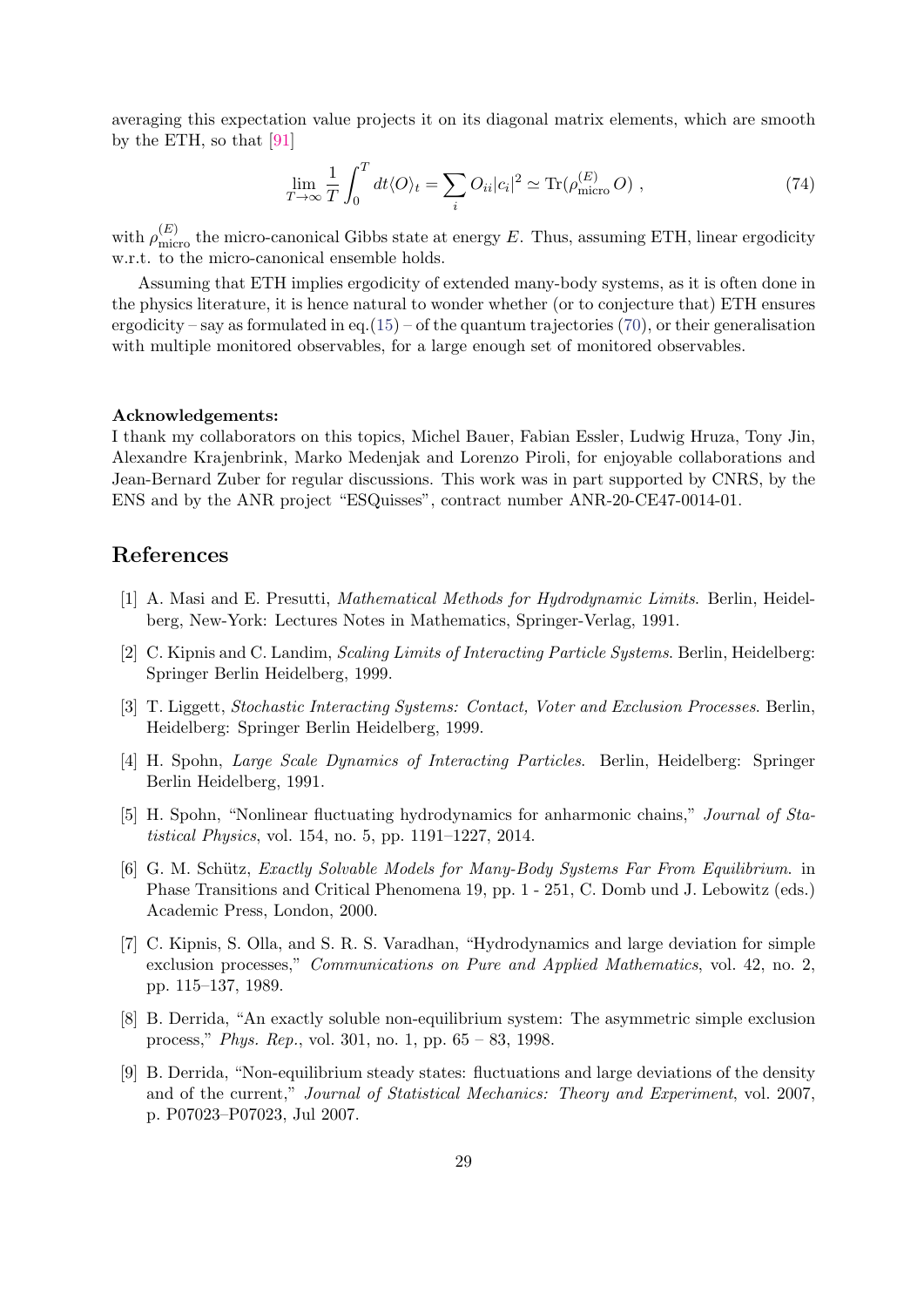averaging this expectation value projects it on its diagonal matrix elements, which are smooth by the ETH, so that [\[91\]](#page-33-10)

$$
\lim_{T \to \infty} \frac{1}{T} \int_0^T dt \langle O \rangle_t = \sum_i O_{ii} |c_i|^2 \simeq \text{Tr}(\rho_{\text{micro}}^{(E)} O) , \qquad (74)
$$

with  $\rho_{\text{micro}}^{(E)}$  the micro-canonical Gibbs state at energy E. Thus, assuming ETH, linear ergodicity w.r.t. to the micro-canonical ensemble holds.

Assuming that ETH implies ergodicity of extended many-body systems, as it is often done in the physics literature, it is hence natural to wonder whether (or to conjecture that) ETH ensures ergodicity – say as formulated in eq.[\(15\)](#page-9-2) – of the quantum trajectories [\(70\)](#page-26-3), or their generalisation with multiple monitored observables, for a large enough set of monitored observables.

#### Acknowledgements:

I thank my collaborators on this topics, Michel Bauer, Fabian Essler, Ludwig Hruza, Tony Jin, Alexandre Krajenbrink, Marko Medenjak and Lorenzo Piroli, for enjoyable collaborations and Jean-Bernard Zuber for regular discussions. This work was in part supported by CNRS, by the ENS and by the ANR project "ESQuisses", contract number ANR-20-CE47-0014-01.

# References

- <span id="page-28-0"></span>[1] A. Masi and E. Presutti, Mathematical Methods for Hydrodynamic Limits. Berlin, Heidelberg, New-York: Lectures Notes in Mathematics, Springer-Verlag, 1991.
- <span id="page-28-1"></span>[2] C. Kipnis and C. Landim, *Scaling Limits of Interacting Particle Systems*. Berlin, Heidelberg: Springer Berlin Heidelberg, 1999.
- <span id="page-28-2"></span>[3] T. Liggett, Stochastic Interacting Systems: Contact, Voter and Exclusion Processes. Berlin, Heidelberg: Springer Berlin Heidelberg, 1999.
- <span id="page-28-3"></span>[4] H. Spohn, Large Scale Dynamics of Interacting Particles. Berlin, Heidelberg: Springer Berlin Heidelberg, 1991.
- <span id="page-28-4"></span>[5] H. Spohn, "Nonlinear fluctuating hydrodynamics for anharmonic chains," Journal of Statistical Physics, vol. 154, no. 5, pp. 1191–1227, 2014.
- <span id="page-28-5"></span>[6] G. M. Schütz, *Exactly Solvable Models for Many-Body Systems Far From Equilibrium.* in Phase Transitions and Critical Phenomena 19, pp. 1 - 251, C. Domb und J. Lebowitz (eds.) Academic Press, London, 2000.
- <span id="page-28-6"></span>[7] C. Kipnis, S. Olla, and S. R. S. Varadhan, "Hydrodynamics and large deviation for simple exclusion processes," Communications on Pure and Applied Mathematics, vol. 42, no. 2, pp. 115–137, 1989.
- <span id="page-28-7"></span>[8] B. Derrida, "An exactly soluble non-equilibrium system: The asymmetric simple exclusion process," Phys. Rep., vol. 301, no. 1, pp. 65 – 83, 1998.
- <span id="page-28-8"></span>[9] B. Derrida, "Non-equilibrium steady states: fluctuations and large deviations of the density and of the current," Journal of Statistical Mechanics: Theory and Experiment, vol. 2007, p. P07023–P07023, Jul 2007.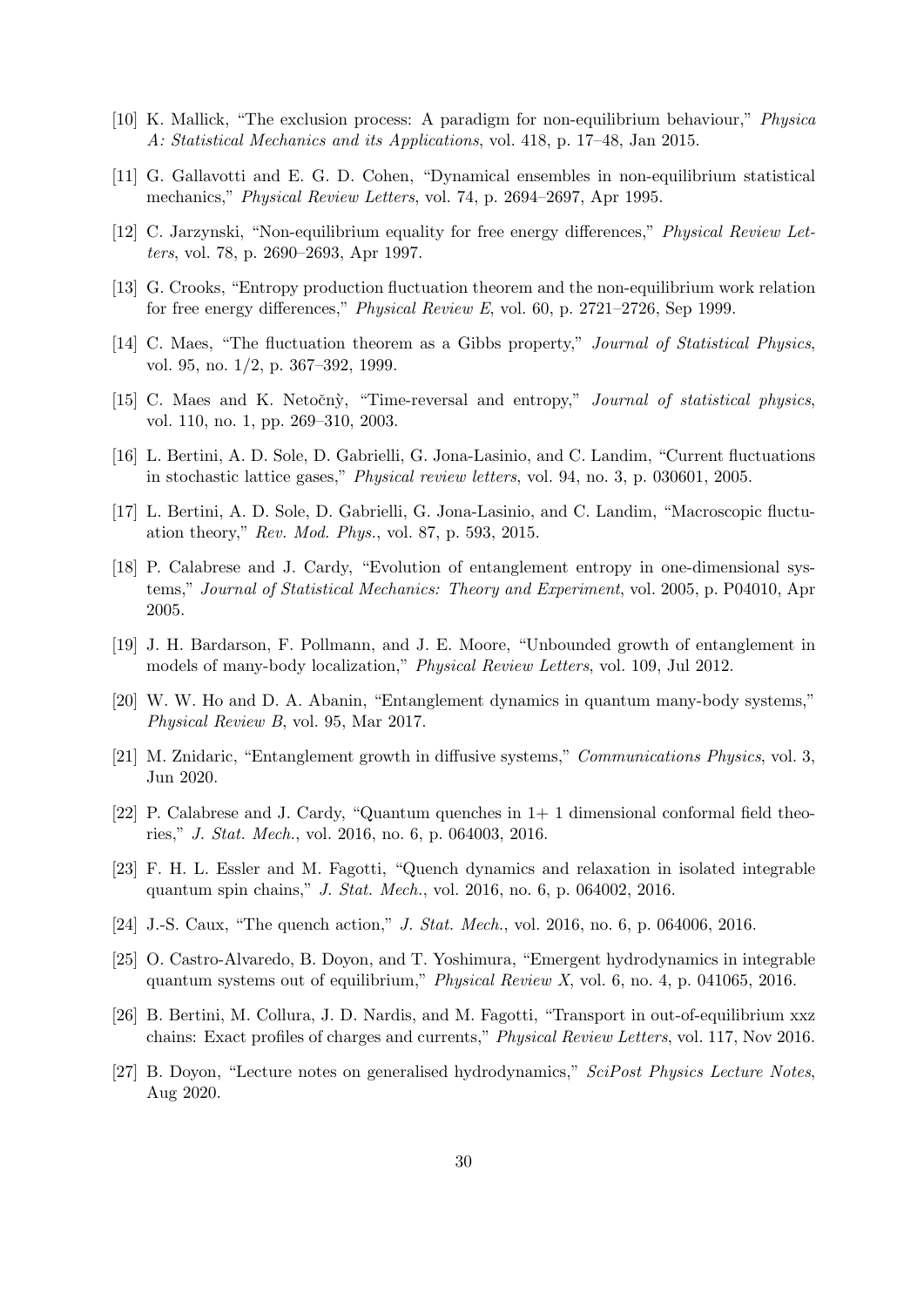- <span id="page-29-0"></span>[10] K. Mallick, "The exclusion process: A paradigm for non-equilibrium behaviour," Physica A: Statistical Mechanics and its Applications, vol. 418, p. 17–48, Jan 2015.
- <span id="page-29-1"></span>[11] G. Gallavotti and E. G. D. Cohen, "Dynamical ensembles in non-equilibrium statistical mechanics," Physical Review Letters, vol. 74, p. 2694–2697, Apr 1995.
- <span id="page-29-2"></span>[12] C. Jarzynski, "Non-equilibrium equality for free energy differences," Physical Review Letters, vol. 78, p. 2690–2693, Apr 1997.
- <span id="page-29-3"></span>[13] G. Crooks, "Entropy production fluctuation theorem and the non-equilibrium work relation for free energy differences," Physical Review E, vol. 60, p. 2721–2726, Sep 1999.
- <span id="page-29-4"></span>[14] C. Maes, "The fluctuation theorem as a Gibbs property," Journal of Statistical Physics, vol. 95, no. 1/2, p. 367–392, 1999.
- <span id="page-29-5"></span>[15] C. Maes and K. Netočný, "Time-reversal and entropy," Journal of statistical physics, vol. 110, no. 1, pp. 269–310, 2003.
- <span id="page-29-6"></span>[16] L. Bertini, A. D. Sole, D. Gabrielli, G. Jona-Lasinio, and C. Landim, "Current fluctuations in stochastic lattice gases," Physical review letters, vol. 94, no. 3, p. 030601, 2005.
- <span id="page-29-7"></span>[17] L. Bertini, A. D. Sole, D. Gabrielli, G. Jona-Lasinio, and C. Landim, "Macroscopic fluctuation theory," Rev. Mod. Phys., vol. 87, p. 593, 2015.
- <span id="page-29-8"></span>[18] P. Calabrese and J. Cardy, "Evolution of entanglement entropy in one-dimensional systems," Journal of Statistical Mechanics: Theory and Experiment, vol. 2005, p. P04010, Apr 2005.
- <span id="page-29-9"></span>[19] J. H. Bardarson, F. Pollmann, and J. E. Moore, "Unbounded growth of entanglement in models of many-body localization," Physical Review Letters, vol. 109, Jul 2012.
- <span id="page-29-10"></span>[20] W. W. Ho and D. A. Abanin, "Entanglement dynamics in quantum many-body systems," Physical Review B, vol. 95, Mar 2017.
- <span id="page-29-11"></span>[21] M. Znidaric, "Entanglement growth in diffusive systems," Communications Physics, vol. 3, Jun 2020.
- <span id="page-29-12"></span>[22] P. Calabrese and J. Cardy, "Quantum quenches in 1+ 1 dimensional conformal field theories," J. Stat. Mech., vol. 2016, no. 6, p. 064003, 2016.
- <span id="page-29-13"></span>[23] F. H. L. Essler and M. Fagotti, "Quench dynamics and relaxation in isolated integrable quantum spin chains," J. Stat. Mech., vol. 2016, no. 6, p. 064002, 2016.
- <span id="page-29-14"></span>[24] J.-S. Caux, "The quench action," *J. Stat. Mech.*, vol. 2016, no. 6, p. 064006, 2016.
- <span id="page-29-15"></span>[25] O. Castro-Alvaredo, B. Doyon, and T. Yoshimura, "Emergent hydrodynamics in integrable quantum systems out of equilibrium," *Physical Review X*, vol. 6, no. 4, p. 041065, 2016.
- <span id="page-29-16"></span>[26] B. Bertini, M. Collura, J. D. Nardis, and M. Fagotti, "Transport in out-of-equilibrium xxz chains: Exact profiles of charges and currents," Physical Review Letters, vol. 117, Nov 2016.
- <span id="page-29-17"></span>[27] B. Doyon, "Lecture notes on generalised hydrodynamics," SciPost Physics Lecture Notes, Aug 2020.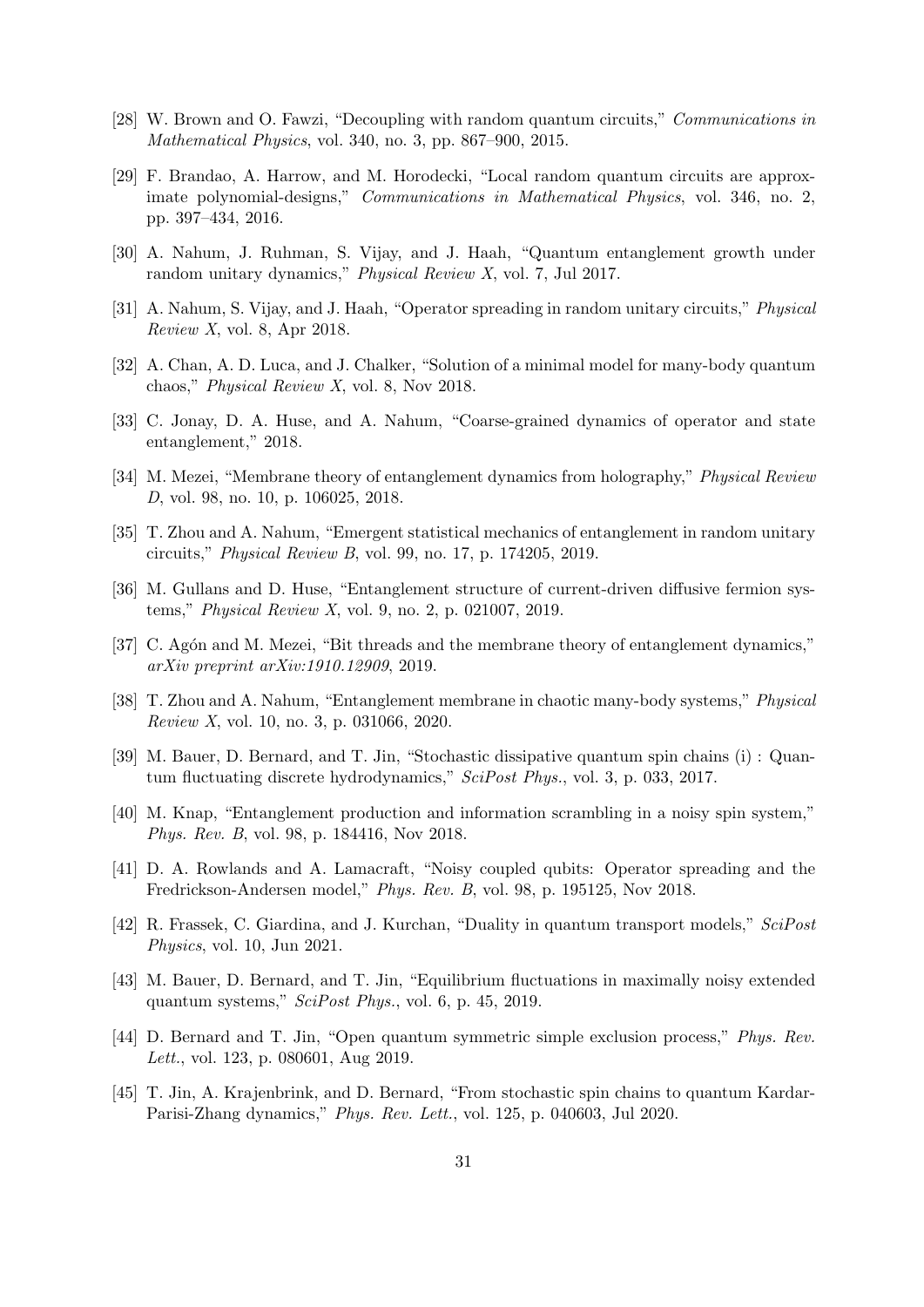- <span id="page-30-0"></span>[28] W. Brown and O. Fawzi, "Decoupling with random quantum circuits," Communications in Mathematical Physics, vol. 340, no. 3, pp. 867–900, 2015.
- <span id="page-30-1"></span>[29] F. Brandao, A. Harrow, and M. Horodecki, "Local random quantum circuits are approximate polynomial-designs," Communications in Mathematical Physics, vol. 346, no. 2, pp. 397–434, 2016.
- <span id="page-30-2"></span>[30] A. Nahum, J. Ruhman, S. Vijay, and J. Haah, "Quantum entanglement growth under random unitary dynamics," Physical Review X, vol. 7, Jul 2017.
- <span id="page-30-3"></span>[31] A. Nahum, S. Vijay, and J. Haah, "Operator spreading in random unitary circuits," Physical  $Review X, vol. 8, Apr 2018.$
- <span id="page-30-4"></span>[32] A. Chan, A. D. Luca, and J. Chalker, "Solution of a minimal model for many-body quantum chaos," Physical Review X, vol. 8, Nov 2018.
- <span id="page-30-5"></span>[33] C. Jonay, D. A. Huse, and A. Nahum, "Coarse-grained dynamics of operator and state entanglement," 2018.
- <span id="page-30-6"></span>[34] M. Mezei, "Membrane theory of entanglement dynamics from holography," Physical Review D, vol. 98, no. 10, p. 106025, 2018.
- <span id="page-30-7"></span>[35] T. Zhou and A. Nahum, "Emergent statistical mechanics of entanglement in random unitary circuits," Physical Review B, vol. 99, no. 17, p. 174205, 2019.
- <span id="page-30-8"></span>[36] M. Gullans and D. Huse, "Entanglement structure of current-driven diffusive fermion systems," Physical Review X, vol. 9, no. 2, p. 021007, 2019.
- <span id="page-30-9"></span>[37] C. Agón and M. Mezei, "Bit threads and the membrane theory of entanglement dynamics," arXiv preprint arXiv:1910.12909, 2019.
- <span id="page-30-10"></span>[38] T. Zhou and A. Nahum, "Entanglement membrane in chaotic many-body systems," Physical Review X, vol. 10, no. 3, p. 031066, 2020.
- <span id="page-30-11"></span>[39] M. Bauer, D. Bernard, and T. Jin, "Stochastic dissipative quantum spin chains (i) : Quantum fluctuating discrete hydrodynamics," SciPost Phys., vol. 3, p. 033, 2017.
- <span id="page-30-12"></span>[40] M. Knap, "Entanglement production and information scrambling in a noisy spin system," Phys. Rev. B, vol. 98, p. 184416, Nov 2018.
- <span id="page-30-13"></span>[41] D. A. Rowlands and A. Lamacraft, "Noisy coupled qubits: Operator spreading and the Fredrickson-Andersen model," Phys. Rev. B, vol. 98, p. 195125, Nov 2018.
- <span id="page-30-14"></span>[42] R. Frassek, C. Giardina, and J. Kurchan, "Duality in quantum transport models," SciPost Physics, vol. 10, Jun 2021.
- <span id="page-30-15"></span>[43] M. Bauer, D. Bernard, and T. Jin, "Equilibrium fluctuations in maximally noisy extended quantum systems," SciPost Phys., vol. 6, p. 45, 2019.
- <span id="page-30-16"></span>[44] D. Bernard and T. Jin, "Open quantum symmetric simple exclusion process," Phys. Rev. Lett., vol. 123, p. 080601, Aug 2019.
- <span id="page-30-17"></span>[45] T. Jin, A. Krajenbrink, and D. Bernard, "From stochastic spin chains to quantum Kardar-Parisi-Zhang dynamics," Phys. Rev. Lett., vol. 125, p. 040603, Jul 2020.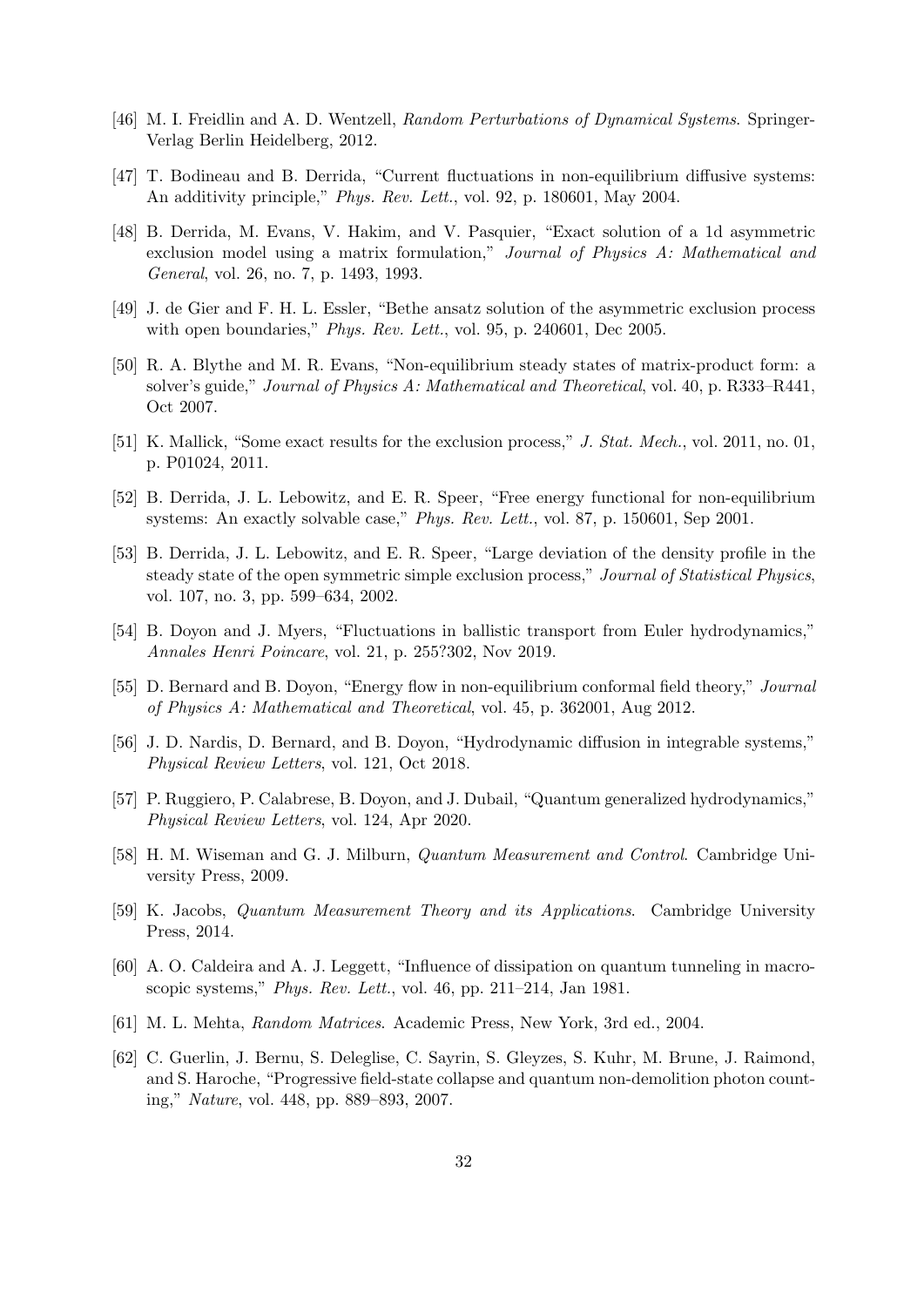- <span id="page-31-0"></span>[46] M. I. Freidlin and A. D. Wentzell, Random Perturbations of Dynamical Systems. Springer-Verlag Berlin Heidelberg, 2012.
- <span id="page-31-1"></span>[47] T. Bodineau and B. Derrida, "Current fluctuations in non-equilibrium diffusive systems: An additivity principle," Phys. Rev. Lett., vol. 92, p. 180601, May 2004.
- <span id="page-31-2"></span>[48] B. Derrida, M. Evans, V. Hakim, and V. Pasquier, "Exact solution of a 1d asymmetric exclusion model using a matrix formulation," Journal of Physics A: Mathematical and General, vol. 26, no. 7, p. 1493, 1993.
- <span id="page-31-3"></span>[49] J. de Gier and F. H. L. Essler, "Bethe ansatz solution of the asymmetric exclusion process with open boundaries," Phys. Rev. Lett., vol. 95, p. 240601, Dec 2005.
- <span id="page-31-4"></span>[50] R. A. Blythe and M. R. Evans, "Non-equilibrium steady states of matrix-product form: a solver's guide," Journal of Physics A: Mathematical and Theoretical, vol. 40, p. R333–R441, Oct 2007.
- <span id="page-31-5"></span>[51] K. Mallick, "Some exact results for the exclusion process," J. Stat. Mech., vol. 2011, no. 01, p. P01024, 2011.
- <span id="page-31-6"></span>[52] B. Derrida, J. L. Lebowitz, and E. R. Speer, "Free energy functional for non-equilibrium systems: An exactly solvable case," Phys. Rev. Lett., vol. 87, p. 150601, Sep 2001.
- <span id="page-31-7"></span>[53] B. Derrida, J. L. Lebowitz, and E. R. Speer, "Large deviation of the density profile in the steady state of the open symmetric simple exclusion process," Journal of Statistical Physics, vol. 107, no. 3, pp. 599–634, 2002.
- <span id="page-31-8"></span>[54] B. Doyon and J. Myers, "Fluctuations in ballistic transport from Euler hydrodynamics," Annales Henri Poincare, vol. 21, p. 255?302, Nov 2019.
- <span id="page-31-9"></span>[55] D. Bernard and B. Doyon, "Energy flow in non-equilibrium conformal field theory," Journal of Physics A: Mathematical and Theoretical, vol. 45, p. 362001, Aug 2012.
- <span id="page-31-10"></span>[56] J. D. Nardis, D. Bernard, and B. Doyon, "Hydrodynamic diffusion in integrable systems," Physical Review Letters, vol. 121, Oct 2018.
- <span id="page-31-11"></span>[57] P. Ruggiero, P. Calabrese, B. Doyon, and J. Dubail, "Quantum generalized hydrodynamics," Physical Review Letters, vol. 124, Apr 2020.
- <span id="page-31-12"></span>[58] H. M. Wiseman and G. J. Milburn, Quantum Measurement and Control. Cambridge University Press, 2009.
- <span id="page-31-13"></span>[59] K. Jacobs, Quantum Measurement Theory and its Applications. Cambridge University Press, 2014.
- <span id="page-31-14"></span>[60] A. O. Caldeira and A. J. Leggett, "Influence of dissipation on quantum tunneling in macroscopic systems," Phys. Rev. Lett., vol. 46, pp. 211–214, Jan 1981.
- <span id="page-31-15"></span>[61] M. L. Mehta, Random Matrices. Academic Press, New York, 3rd ed., 2004.
- <span id="page-31-16"></span>[62] C. Guerlin, J. Bernu, S. Deleglise, C. Sayrin, S. Gleyzes, S. Kuhr, M. Brune, J. Raimond, and S. Haroche, "Progressive field-state collapse and quantum non-demolition photon counting," Nature, vol. 448, pp. 889–893, 2007.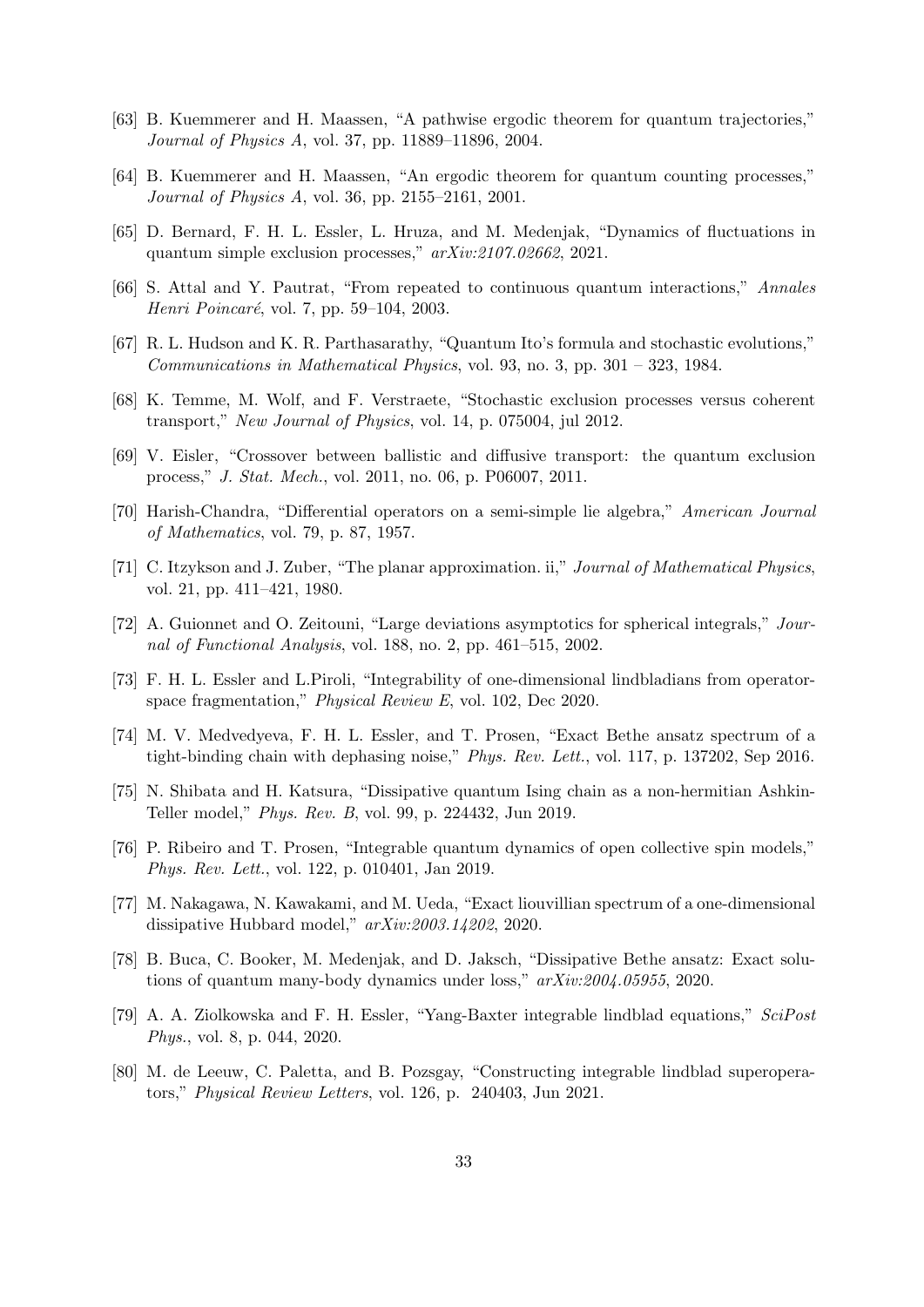- <span id="page-32-0"></span>[63] B. Kuemmerer and H. Maassen, "A pathwise ergodic theorem for quantum trajectories," Journal of Physics A, vol. 37, pp. 11889–11896, 2004.
- <span id="page-32-1"></span>[64] B. Kuemmerer and H. Maassen, "An ergodic theorem for quantum counting processes," Journal of Physics A, vol. 36, pp. 2155–2161, 2001.
- <span id="page-32-2"></span>[65] D. Bernard, F. H. L. Essler, L. Hruza, and M. Medenjak, "Dynamics of fluctuations in quantum simple exclusion processes," arXiv:2107.02662, 2021.
- <span id="page-32-3"></span>[66] S. Attal and Y. Pautrat, "From repeated to continuous quantum interactions," Annales *Henri Poincaré*, vol. 7, pp. 59–104, 2003.
- <span id="page-32-4"></span>[67] R. L. Hudson and K. R. Parthasarathy, "Quantum Ito's formula and stochastic evolutions," Communications in Mathematical Physics, vol. 93, no. 3, pp.  $301 - 323$ , 1984.
- <span id="page-32-5"></span>[68] K. Temme, M. Wolf, and F. Verstraete, "Stochastic exclusion processes versus coherent transport," New Journal of Physics, vol. 14, p. 075004, jul 2012.
- <span id="page-32-6"></span>[69] V. Eisler, "Crossover between ballistic and diffusive transport: the quantum exclusion process," J. Stat. Mech., vol. 2011, no. 06, p. P06007, 2011.
- <span id="page-32-7"></span>[70] Harish-Chandra, "Differential operators on a semi-simple lie algebra," American Journal of Mathematics, vol. 79, p. 87, 1957.
- <span id="page-32-8"></span>[71] C. Itzykson and J. Zuber, "The planar approximation. ii," Journal of Mathematical Physics, vol. 21, pp. 411–421, 1980.
- <span id="page-32-9"></span>[72] A. Guionnet and O. Zeitouni, "Large deviations asymptotics for spherical integrals," Journal of Functional Analysis, vol. 188, no. 2, pp. 461–515, 2002.
- <span id="page-32-10"></span>[73] F. H. L. Essler and L.Piroli, "Integrability of one-dimensional lindbladians from operatorspace fragmentation," Physical Review E, vol. 102, Dec 2020.
- <span id="page-32-11"></span>[74] M. V. Medvedyeva, F. H. L. Essler, and T. Prosen, "Exact Bethe ansatz spectrum of a tight-binding chain with dephasing noise," Phys. Rev. Lett., vol. 117, p. 137202, Sep 2016.
- <span id="page-32-12"></span>[75] N. Shibata and H. Katsura, "Dissipative quantum Ising chain as a non-hermitian Ashkin-Teller model," Phys. Rev. B, vol. 99, p. 224432, Jun 2019.
- <span id="page-32-13"></span>[76] P. Ribeiro and T. Prosen, "Integrable quantum dynamics of open collective spin models," Phys. Rev. Lett., vol. 122, p. 010401, Jan 2019.
- <span id="page-32-14"></span>[77] M. Nakagawa, N. Kawakami, and M. Ueda, "Exact liouvillian spectrum of a one-dimensional dissipative Hubbard model," arXiv:2003.14202, 2020.
- <span id="page-32-15"></span>[78] B. Buca, C. Booker, M. Medenjak, and D. Jaksch, "Dissipative Bethe ansatz: Exact solutions of quantum many-body dynamics under loss," arXiv:2004.05955, 2020.
- <span id="page-32-16"></span>[79] A. A. Ziolkowska and F. H. Essler, "Yang-Baxter integrable lindblad equations," SciPost Phys., vol. 8, p. 044, 2020.
- <span id="page-32-17"></span>[80] M. de Leeuw, C. Paletta, and B. Pozsgay, "Constructing integrable lindblad superoperators," Physical Review Letters, vol. 126, p. 240403, Jun 2021.